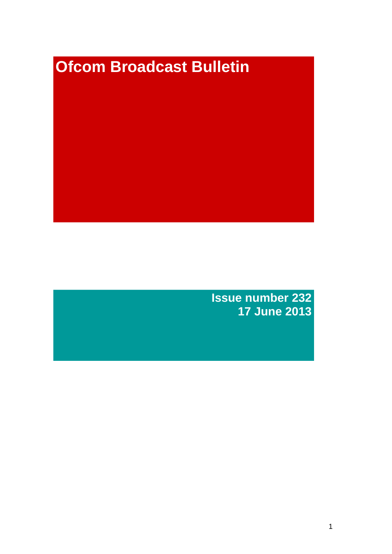# **Ofcom Broadcast Bulletin**

**Issue number 232 17 June 2013**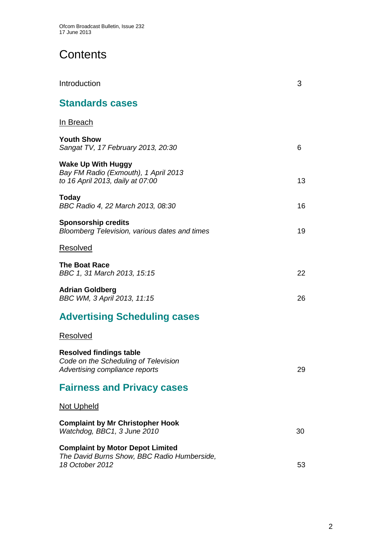# **Contents**

| Introduction                                                                                              | 3  |
|-----------------------------------------------------------------------------------------------------------|----|
| <b>Standards cases</b>                                                                                    |    |
| <u>In Breach</u>                                                                                          |    |
| <b>Youth Show</b><br>Sangat TV, 17 February 2013, 20:30                                                   | 6  |
| <b>Wake Up With Huggy</b><br>Bay FM Radio (Exmouth), 1 April 2013<br>to 16 April 2013, daily at 07:00     | 13 |
| Today<br>BBC Radio 4, 22 March 2013, 08:30                                                                | 16 |
| <b>Sponsorship credits</b><br>Bloomberg Television, various dates and times                               | 19 |
| Resolved                                                                                                  |    |
| The Boat Race<br>BBC 1, 31 March 2013, 15:15                                                              | 22 |
| Adrian Goldberg<br>BBC WM, 3 April 2013, 11:15                                                            | 26 |
| <b>Advertising Scheduling cases</b>                                                                       |    |
| Resolved                                                                                                  |    |
| <b>Resolved findings table</b><br>Code on the Scheduling of Television<br>Advertising compliance reports  | 29 |
| <b>Fairness and Privacy cases</b>                                                                         |    |
| Not Upheld                                                                                                |    |
| <b>Complaint by Mr Christopher Hook</b><br>Watchdog, BBC1, 3 June 2010                                    | 30 |
| <b>Complaint by Motor Depot Limited</b><br>The David Burns Show, BBC Radio Humberside,<br>18 October 2012 | 53 |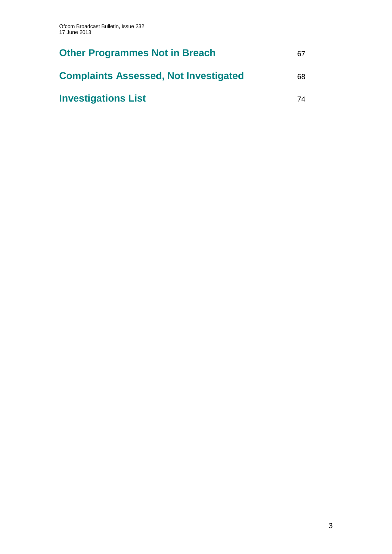| <b>Other Programmes Not in Breach</b>        | 67 |
|----------------------------------------------|----|
| <b>Complaints Assessed, Not Investigated</b> | 68 |
| <b>Investigations List</b>                   | 74 |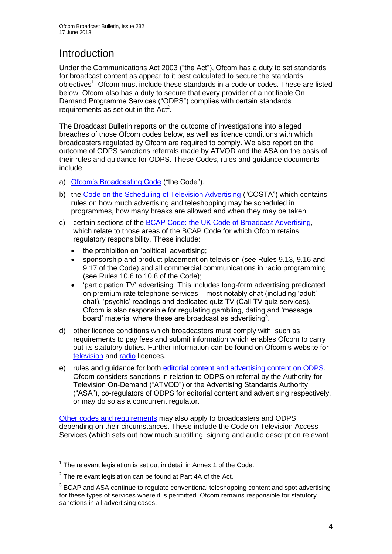# **Introduction**

Under the Communications Act 2003 ("the Act"), Ofcom has a duty to set standards for broadcast content as appear to it best calculated to secure the standards objectives<sup>1</sup>. Ofcom must include these standards in a code or codes. These are listed below. Ofcom also has a duty to secure that every provider of a notifiable On Demand Programme Services ("ODPS") complies with certain standards requirements as set out in the  $Act<sup>2</sup>$ .

The Broadcast Bulletin reports on the outcome of investigations into alleged breaches of those Ofcom codes below, as well as licence conditions with which broadcasters regulated by Ofcom are required to comply. We also report on the outcome of ODPS sanctions referrals made by ATVOD and the ASA on the basis of their rules and guidance for ODPS. These Codes, rules and guidance documents include:

- a) [Ofcom's Broadcasting Code](http://stakeholders.ofcom.org.uk/broadcasting/broadcast-codes/broadcast-code/) ("the Code").
- b) the [Code on the Scheduling of Television Advertising](http://stakeholders.ofcom.org.uk/broadcasting/broadcast-codes/advert-code/) ("COSTA") which contains rules on how much advertising and teleshopping may be scheduled in programmes, how many breaks are allowed and when they may be taken.
- c) certain sections of the [BCAP Code: the UK Code of Broadcast Advertising,](http://www.bcap.org.uk/Advertising-Codes/Broadcast-HTML.aspx) which relate to those areas of the BCAP Code for which Ofcom retains regulatory responsibility. These include:
	- the prohibition on 'political' advertising:
	- sponsorship and product placement on television (see Rules 9.13, 9.16 and 9.17 of the Code) and all commercial communications in radio programming (see Rules 10.6 to 10.8 of the Code);
	- 'participation TV' advertising. This includes long-form advertising predicated on premium rate telephone services – most notably chat (including 'adult' chat), 'psychic' readings and dedicated quiz TV (Call TV quiz services). Ofcom is also responsible for regulating gambling, dating and 'message board' material where these are broadcast as advertising<sup>3</sup>.
- d) other licence conditions which broadcasters must comply with, such as requirements to pay fees and submit information which enables Ofcom to carry out its statutory duties. Further information can be found on Ofcom's website for [television](http://licensing.ofcom.org.uk/tv-broadcast-licences/) and [radio](http://licensing.ofcom.org.uk/radio-broadcast-licensing/) licences.
- e) rules and guidance for both [editorial content and advertising content on ODPS.](http://www.atvod.co.uk/uploads/files/ATVOD_Rules_and_Guidance_Ed_2.0_May_2012.pdf) Ofcom considers sanctions in relation to ODPS on referral by the Authority for Television On-Demand ("ATVOD") or the Advertising Standards Authority ("ASA"), co-regulators of ODPS for editorial content and advertising respectively, or may do so as a concurrent regulator.

[Other codes and requirements](http://stakeholders.ofcom.org.uk/broadcasting/broadcast-codes/) may also apply to broadcasters and ODPS, depending on their circumstances. These include the Code on Television Access Services (which sets out how much subtitling, signing and audio description relevant

<sup>1</sup>  $1$  The relevant legislation is set out in detail in Annex 1 of the Code.

 $2$  The relevant legislation can be found at Part 4A of the Act.

 $3$  BCAP and ASA continue to regulate conventional teleshopping content and spot advertising for these types of services where it is permitted. Ofcom remains responsible for statutory sanctions in all advertising cases.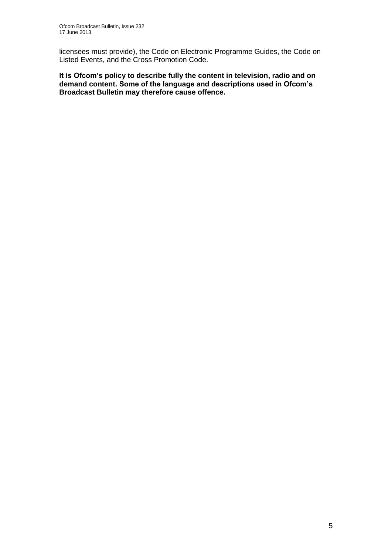licensees must provide), the Code on Electronic Programme Guides, the Code on Listed Events, and the Cross Promotion Code.

**It is Ofcom's policy to describe fully the content in television, radio and on demand content. Some of the language and descriptions used in Ofcom's Broadcast Bulletin may therefore cause offence.**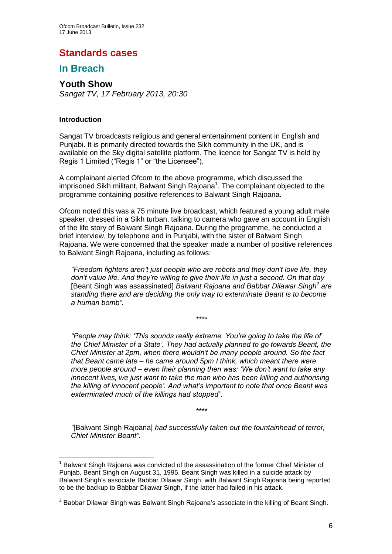## **Standards cases**

## **In Breach**

## **Youth Show**

*Sangat TV, 17 February 2013, 20:30*

#### **Introduction**

Sangat TV broadcasts religious and general entertainment content in English and Punjabi. It is primarily directed towards the Sikh community in the UK, and is available on the Sky digital satellite platform. The licence for Sangat TV is held by Regis 1 Limited ("Regis 1" or "the Licensee").

A complainant alerted Ofcom to the above programme, which discussed the imprisoned Sikh militant, Balwant Singh Rajoana<sup>1</sup>. The complainant objected to the programme containing positive references to Balwant Singh Rajoana.

Ofcom noted this was a 75 minute live broadcast, which featured a young adult male speaker, dressed in a Sikh turban, talking to camera who gave an account in English of the life story of Balwant Singh Rajoana. During the programme, he conducted a brief interview, by telephone and in Punjabi, with the sister of Balwant Singh Rajoana. We were concerned that the speaker made a number of positive references to Balwant Singh Rajoana, including as follows:

*"Freedom fighters aren't just people who are robots and they don't love life, they don't value life. And they're willing to give their life in just a second. On that day*  [Beant Singh was assassinated] Balwant Rajoana and Babbar Dilawar Singh<sup>2</sup> are *standing there and are deciding the only way to exterminate Beant is to become a human bomb".*

\*\*\*\*

*"People may think: 'This sounds really extreme. You're going to take the life of the Chief Minister of a State'. They had actually planned to go towards Beant, the Chief Minister at 2pm, when there wouldn't be many people around. So the fact that Beant came late – he came around 5pm I think, which meant there were more people around – even their planning then was: 'We don't want to take any innocent lives, we just want to take the man who has been killing and authorising the killing of innocent people'. And what's important to note that once Beant was exterminated much of the killings had stopped".*

*"*[Balwant Singh Rajoana] *had successfully taken out the fountainhead of terror, Chief Minister Beant".*

\*\*\*\*

<sup>1</sup> <sup>1</sup> Balwant Singh Rajoana was convicted of the assassination of the former Chief Minister of Punjab, Beant Singh on August 31, 1995. Beant Singh was killed in a suicide attack by Balwant Singh's associate Babbar Dilawar Singh, with Balwant Singh Rajoana being reported to be the backup to Babbar Dilawar Singh, if the latter had failed in his attack.

 $^{2}$  Babbar Dilawar Singh was Balwant Singh Rajoana's associate in the killing of Beant Singh.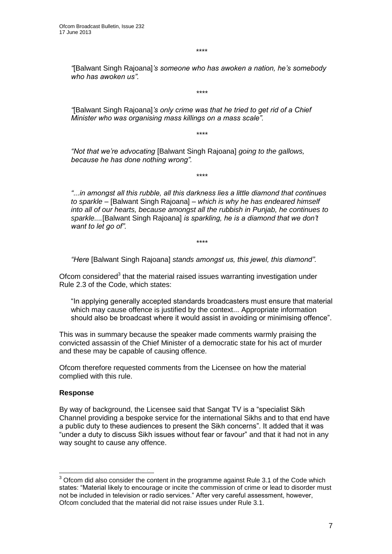\*\*\*\*

*"*[Balwant Singh Rajoana]*'s someone who has awoken a nation, he's somebody who has awoken us".*

*\*\*\*\**

*"*[Balwant Singh Rajoana]*'s only crime was that he tried to get rid of a Chief Minister who was organising mass killings on a mass scale".*

*\*\*\*\**

*\*\*\*\**

*"Not that we're advocating* [Balwant Singh Rajoana] *going to the gallows, because he has done nothing wrong".*

*"...in amongst all this rubble, all this darkness lies a little diamond that continues to sparkle –* [Balwant Singh Rajoana] *– which is why he has endeared himself into all of our hearts, because amongst all the rubbish in Punjab, he continues to sparkle....*[Balwant Singh Rajoana] *is sparkling, he is a diamond that we don't want to let go of".*

*\*\*\*\**

*"Here* [Balwant Singh Rajoana] *stands amongst us, this jewel, this diamond".*

Ofcom considered<sup>3</sup> that the material raised issues warranting investigation under Rule 2.3 of the Code, which states:

"In applying generally accepted standards broadcasters must ensure that material which may cause offence is justified by the context... Appropriate information should also be broadcast where it would assist in avoiding or minimising offence".

This was in summary because the speaker made comments warmly praising the convicted assassin of the Chief Minister of a democratic state for his act of murder and these may be capable of causing offence.

Ofcom therefore requested comments from the Licensee on how the material complied with this rule.

#### **Response**

1

By way of background, the Licensee said that Sangat TV is a "specialist Sikh Channel providing a bespoke service for the international Sikhs and to that end have a public duty to these audiences to present the Sikh concerns". It added that it was "under a duty to discuss Sikh issues without fear or favour" and that it had not in any way sought to cause any offence.

 $3$  Ofcom did also consider the content in the programme against Rule 3.1 of the Code which states: "Material likely to encourage or incite the commission of crime or lead to disorder must not be included in television or radio services." After very careful assessment, however, Ofcom concluded that the material did not raise issues under Rule 3.1.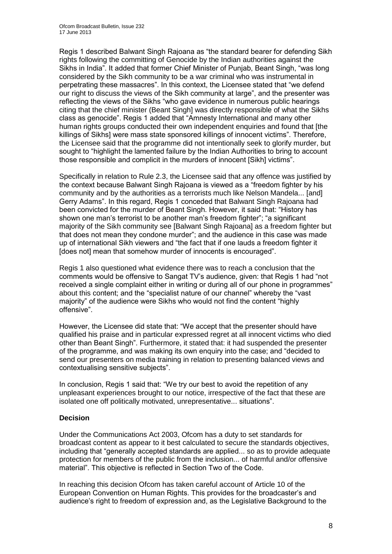Regis 1 described Balwant Singh Rajoana as "the standard bearer for defending Sikh rights following the committing of Genocide by the Indian authorities against the Sikhs in India". It added that former Chief Minister of Punjab, Beant Singh, "was long considered by the Sikh community to be a war criminal who was instrumental in perpetrating these massacres". In this context, the Licensee stated that "we defend our right to discuss the views of the Sikh community at large", and the presenter was reflecting the views of the Sikhs "who gave evidence in numerous public hearings citing that the chief minister (Beant Singh] was directly responsible of what the Sikhs class as genocide". Regis 1 added that "Amnesty International and many other human rights groups conducted their own independent enquiries and found that [the killings of Sikhs] were mass state sponsored killings of innocent victims". Therefore, the Licensee said that the programme did not intentionally seek to glorify murder, but sought to "highlight the lamented failure by the Indian Authorities to bring to account those responsible and complicit in the murders of innocent [Sikh] victims".

Specifically in relation to Rule 2.3, the Licensee said that any offence was justified by the context because Balwant Singh Rajoana is viewed as a "freedom fighter by his community and by the authorities as a terrorists much like Nelson Mandela... [and] Gerry Adams". In this regard, Regis 1 conceded that Balwant Singh Rajoana had been convicted for the murder of Beant Singh. However, it said that: "History has shown one man's terrorist to be another man's freedom fighter"; "a significant majority of the Sikh community see [Balwant Singh Rajoana] as a freedom fighter but that does not mean they condone murder"; and the audience in this case was made up of international Sikh viewers and "the fact that if one lauds a freedom fighter it [does not] mean that somehow murder of innocents is encouraged".

Regis 1 also questioned what evidence there was to reach a conclusion that the comments would be offensive to Sangat TV's audience, given: that Regis 1 had "not received a single complaint either in writing or during all of our phone in programmes" about this content; and the "specialist nature of our channel" whereby the "vast majority" of the audience were Sikhs who would not find the content "highly offensive".

However, the Licensee did state that: "We accept that the presenter should have qualified his praise and in particular expressed regret at all innocent victims who died other than Beant Singh". Furthermore, it stated that: it had suspended the presenter of the programme, and was making its own enquiry into the case; and "decided to send our presenters on media training in relation to presenting balanced views and contextualising sensitive subjects".

In conclusion, Regis 1 said that: "We try our best to avoid the repetition of any unpleasant experiences brought to our notice, irrespective of the fact that these are isolated one off politically motivated, unrepresentative... situations".

#### **Decision**

Under the Communications Act 2003, Ofcom has a duty to set standards for broadcast content as appear to it best calculated to secure the standards objectives, including that "generally accepted standards are applied... so as to provide adequate protection for members of the public from the inclusion... of harmful and/or offensive material". This objective is reflected in Section Two of the Code.

In reaching this decision Ofcom has taken careful account of Article 10 of the European Convention on Human Rights. This provides for the broadcaster's and audience's right to freedom of expression and, as the Legislative Background to the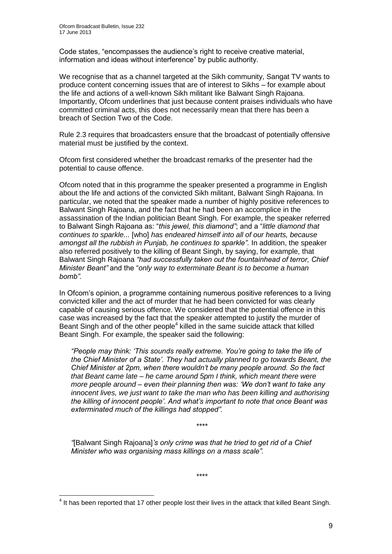1

Code states, "encompasses the audience's right to receive creative material, information and ideas without interference" by public authority.

We recognise that as a channel targeted at the Sikh community, Sangat TV wants to produce content concerning issues that are of interest to Sikhs – for example about the life and actions of a well-known Sikh militant like Balwant Singh Rajoana. Importantly, Ofcom underlines that just because content praises individuals who have committed criminal acts, this does not necessarily mean that there has been a breach of Section Two of the Code.

Rule 2.3 requires that broadcasters ensure that the broadcast of potentially offensive material must be justified by the context.

Ofcom first considered whether the broadcast remarks of the presenter had the potential to cause offence.

Ofcom noted that in this programme the speaker presented a programme in English about the life and actions of the convicted Sikh militant, Balwant Singh Rajoana. In particular, we noted that the speaker made a number of highly positive references to Balwant Singh Rajoana, and the fact that he had been an accomplice in the assassination of the Indian politician Beant Singh. For example, the speaker referred to Balwant Singh Rajoana as: "*this jewel, this diamond"*; and a "*little diamond that continues to sparkle...* [who] *has endeared himself into all of our hearts, because amongst all the rubbish in Punjab, he continues to sparkle".* In addition, the speaker also referred positively to the killing of Beant Singh, by saying, for example, that Balwant Singh Rajoana *"had successfully taken out the fountainhead of terror, Chief Minister Beant"* and the "*only way to exterminate Beant is to become a human bomb".*

In Ofcom's opinion, a programme containing numerous positive references to a living convicted killer and the act of murder that he had been convicted for was clearly capable of causing serious offence. We considered that the potential offence in this case was increased by the fact that the speaker attempted to justify the murder of Beant Singh and of the other people $4$  killed in the same suicide attack that killed Beant Singh. For example, the speaker said the following:

*"People may think: 'This sounds really extreme. You're going to take the life of the Chief Minister of a State'. They had actually planned to go towards Beant, the Chief Minister at 2pm, when there wouldn't be many people around. So the fact that Beant came late – he came around 5pm I think, which meant there were more people around – even their planning then was: 'We don't want to take any innocent lives, we just want to take the man who has been killing and authorising the killing of innocent people'. And what's important to note that once Beant was exterminated much of the killings had stopped".*

*\*\*\*\**

*"*[Balwant Singh Rajoana]*'s only crime was that he tried to get rid of a Chief Minister who was organising mass killings on a mass scale".*

*\*\*\*\**

 $<sup>4</sup>$  It has been reported that 17 other people lost their lives in the attack that killed Beant Singh.</sup>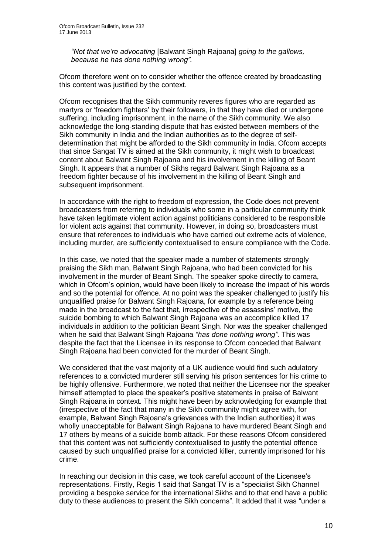*"Not that we're advocating* [Balwant Singh Rajoana] *going to the gallows, because he has done nothing wrong".*

Ofcom therefore went on to consider whether the offence created by broadcasting this content was justified by the context.

Ofcom recognises that the Sikh community reveres figures who are regarded as martyrs or 'freedom fighters' by their followers, in that they have died or undergone suffering, including imprisonment, in the name of the Sikh community. We also acknowledge the long-standing dispute that has existed between members of the Sikh community in India and the Indian authorities as to the degree of selfdetermination that might be afforded to the Sikh community in India. Ofcom accepts that since Sangat TV is aimed at the Sikh community, it might wish to broadcast content about Balwant Singh Rajoana and his involvement in the killing of Beant Singh. It appears that a number of Sikhs regard Balwant Singh Rajoana as a freedom fighter because of his involvement in the killing of Beant Singh and subsequent imprisonment.

In accordance with the right to freedom of expression, the Code does not prevent broadcasters from referring to individuals who some in a particular community think have taken legitimate violent action against politicians considered to be responsible for violent acts against that community. However, in doing so, broadcasters must ensure that references to individuals who have carried out extreme acts of violence, including murder, are sufficiently contextualised to ensure compliance with the Code.

In this case, we noted that the speaker made a number of statements strongly praising the Sikh man, Balwant Singh Rajoana, who had been convicted for his involvement in the murder of Beant Singh. The speaker spoke directly to camera, which in Ofcom's opinion, would have been likely to increase the impact of his words and so the potential for offence. At no point was the speaker challenged to justify his unqualified praise for Balwant Singh Rajoana, for example by a reference being made in the broadcast to the fact that, irrespective of the assassins' motive, the suicide bombing to which Balwant Singh Rajoana was an accomplice killed 17 individuals in addition to the politician Beant Singh. Nor was the speaker challenged when he said that Balwant Singh Rajoana *"has done nothing wrong".* This was despite the fact that the Licensee in its response to Ofcom conceded that Balwant Singh Rajoana had been convicted for the murder of Beant Singh.

We considered that the vast majority of a UK audience would find such adulatory references to a convicted murderer still serving his prison sentences for his crime to be highly offensive. Furthermore, we noted that neither the Licensee nor the speaker himself attempted to place the speaker's positive statements in praise of Balwant Singh Rajoana in context. This might have been by acknowledging for example that (irrespective of the fact that many in the Sikh community might agree with, for example, Balwant Singh Rajoana's grievances with the Indian authorities) it was wholly unacceptable for Balwant Singh Rajoana to have murdered Beant Singh and 17 others by means of a suicide bomb attack. For these reasons Ofcom considered that this content was not sufficiently contextualised to justify the potential offence caused by such unqualified praise for a convicted killer, currently imprisoned for his crime.

In reaching our decision in this case, we took careful account of the Licensee's representations. Firstly, Regis 1 said that Sangat TV is a "specialist Sikh Channel providing a bespoke service for the international Sikhs and to that end have a public duty to these audiences to present the Sikh concerns". It added that it was "under a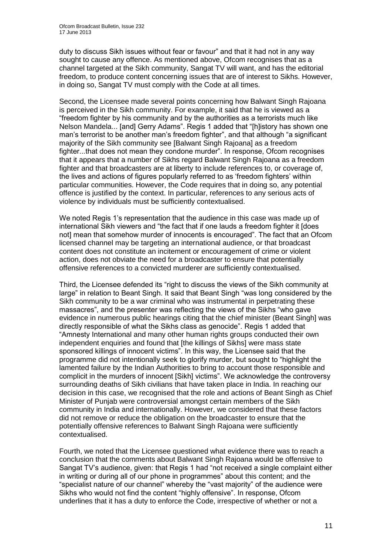duty to discuss Sikh issues without fear or favour" and that it had not in any way sought to cause any offence. As mentioned above, Ofcom recognises that as a channel targeted at the Sikh community, Sangat TV will want, and has the editorial freedom, to produce content concerning issues that are of interest to Sikhs. However, in doing so, Sangat TV must comply with the Code at all times.

Second, the Licensee made several points concerning how Balwant Singh Rajoana is perceived in the Sikh community. For example, it said that he is viewed as a "freedom fighter by his community and by the authorities as a terrorists much like Nelson Mandela... [and] Gerry Adams". Regis 1 added that "[h]istory has shown one man's terrorist to be another man's freedom fighter", and that although "a significant majority of the Sikh community see [Balwant Singh Rajoana] as a freedom fighter...that does not mean they condone murder". In response, Ofcom recognises that it appears that a number of Sikhs regard Balwant Singh Rajoana as a freedom fighter and that broadcasters are at liberty to include references to, or coverage of, the lives and actions of figures popularly referred to as 'freedom fighters' within particular communities. However, the Code requires that in doing so, any potential offence is justified by the context. In particular, references to any serious acts of violence by individuals must be sufficiently contextualised.

We noted Regis 1's representation that the audience in this case was made up of international Sikh viewers and "the fact that if one lauds a freedom fighter it [does not] mean that somehow murder of innocents is encouraged". The fact that an Ofcom licensed channel may be targeting an international audience, or that broadcast content does not constitute an incitement or encouragement of crime or violent action, does not obviate the need for a broadcaster to ensure that potentially offensive references to a convicted murderer are sufficiently contextualised.

Third, the Licensee defended its "right to discuss the views of the Sikh community at large" in relation to Beant Singh. It said that Beant Singh "was long considered by the Sikh community to be a war criminal who was instrumental in perpetrating these massacres", and the presenter was reflecting the views of the Sikhs "who gave evidence in numerous public hearings citing that the chief minister (Beant Singh] was directly responsible of what the Sikhs class as genocide". Regis 1 added that "Amnesty International and many other human rights groups conducted their own independent enquiries and found that [the killings of Sikhs] were mass state sponsored killings of innocent victims". In this way, the Licensee said that the programme did not intentionally seek to glorify murder, but sought to "highlight the lamented failure by the Indian Authorities to bring to account those responsible and complicit in the murders of innocent [Sikh] victims". We acknowledge the controversy surrounding deaths of Sikh civilians that have taken place in India. In reaching our decision in this case, we recognised that the role and actions of Beant Singh as Chief Minister of Punjab were controversial amongst certain members of the Sikh community in India and internationally. However, we considered that these factors did not remove or reduce the obligation on the broadcaster to ensure that the potentially offensive references to Balwant Singh Rajoana were sufficiently contextualised.

Fourth, we noted that the Licensee questioned what evidence there was to reach a conclusion that the comments about Balwant Singh Rajoana would be offensive to Sangat TV's audience, given: that Regis 1 had "not received a single complaint either in writing or during all of our phone in programmes" about this content; and the "specialist nature of our channel" whereby the "vast majority" of the audience were Sikhs who would not find the content "highly offensive". In response, Ofcom underlines that it has a duty to enforce the Code, irrespective of whether or not a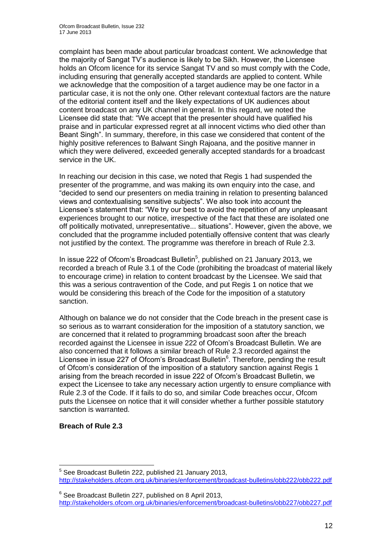complaint has been made about particular broadcast content. We acknowledge that the majority of Sangat TV's audience is likely to be Sikh. However, the Licensee holds an Ofcom licence for its service Sangat TV and so must comply with the Code, including ensuring that generally accepted standards are applied to content. While we acknowledge that the composition of a target audience may be one factor in a particular case, it is not the only one. Other relevant contextual factors are the nature of the editorial content itself and the likely expectations of UK audiences about content broadcast on any UK channel in general. In this regard, we noted the Licensee did state that: "We accept that the presenter should have qualified his praise and in particular expressed regret at all innocent victims who died other than Beant Singh". In summary, therefore, in this case we considered that content of the highly positive references to Balwant Singh Rajoana, and the positive manner in which they were delivered, exceeded generally accepted standards for a broadcast service in the UK.

In reaching our decision in this case, we noted that Regis 1 had suspended the presenter of the programme, and was making its own enquiry into the case, and "decided to send our presenters on media training in relation to presenting balanced views and contextualising sensitive subjects". We also took into account the Licensee's statement that: "We try our best to avoid the repetition of any unpleasant experiences brought to our notice, irrespective of the fact that these are isolated one off politically motivated, unrepresentative... situations". However, given the above, we concluded that the programme included potentially offensive content that was clearly not justified by the context. The programme was therefore in breach of Rule 2.3.

In issue 222 of Ofcom's Broadcast Bulletin<sup>5</sup>, published on 21 January 2013, we recorded a breach of Rule 3.1 of the Code (prohibiting the broadcast of material likely to encourage crime) in relation to content broadcast by the Licensee. We said that this was a serious contravention of the Code, and put Regis 1 on notice that we would be considering this breach of the Code for the imposition of a statutory sanction.

Although on balance we do not consider that the Code breach in the present case is so serious as to warrant consideration for the imposition of a statutory sanction, we are concerned that it related to programming broadcast soon after the breach recorded against the Licensee in issue 222 of Ofcom's Broadcast Bulletin. We are also concerned that it follows a similar breach of Rule 2.3 recorded against the Licensee in issue 227 of Ofcom's Broadcast Bulletin<sup>6</sup>. Therefore, pending the result of Ofcom's consideration of the imposition of a statutory sanction against Regis 1 arising from the breach recorded in issue 222 of Ofcom's Broadcast Bulletin, we expect the Licensee to take any necessary action urgently to ensure compliance with Rule 2.3 of the Code. If it fails to do so, and similar Code breaches occur, Ofcom puts the Licensee on notice that it will consider whether a further possible statutory sanction is warranted.

#### **Breach of Rule 2.3**

<sup>1</sup> <sup>5</sup> See Broadcast Bulletin 222, published 21 January 2013, <http://stakeholders.ofcom.org.uk/binaries/enforcement/broadcast-bulletins/obb222/obb222.pdf>

<sup>&</sup>lt;sup>6</sup> See Broadcast Bulletin 227, published on 8 April 2013, <http://stakeholders.ofcom.org.uk/binaries/enforcement/broadcast-bulletins/obb227/obb227.pdf>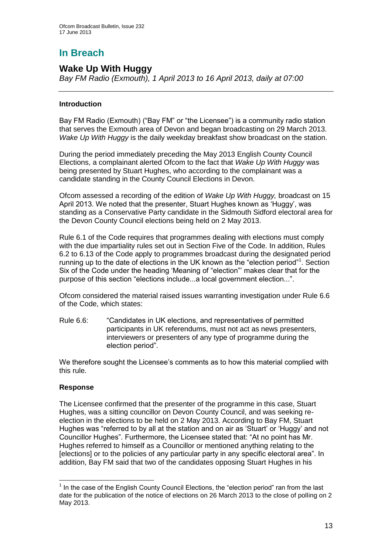# **In Breach**

### **Wake Up With Huggy**

*Bay FM Radio (Exmouth), 1 April 2013 to 16 April 2013, daily at 07:00*

#### **Introduction**

Bay FM Radio (Exmouth) ("Bay FM" or "the Licensee") is a community radio station that serves the Exmouth area of Devon and began broadcasting on 29 March 2013. *Wake Up With Huggy* is the daily weekday breakfast show broadcast on the station.

During the period immediately preceding the May 2013 English County Council Elections, a complainant alerted Ofcom to the fact that *Wake Up With Huggy* was being presented by Stuart Hughes, who according to the complainant was a candidate standing in the County Council Elections in Devon.

Ofcom assessed a recording of the edition of *Wake Up With Huggy,* broadcast on 15 April 2013. We noted that the presenter, Stuart Hughes known as 'Huggy', was standing as a Conservative Party candidate in the Sidmouth Sidford electoral area for the Devon County Council elections being held on 2 May 2013.

Rule 6.1 of the Code requires that programmes dealing with elections must comply with the due impartiality rules set out in Section Five of the Code. In addition, Rules 6.2 to 6.13 of the Code apply to programmes broadcast during the designated period running up to the date of elections in the UK known as the "election period"<sup>1</sup>. Section Six of the Code under the heading 'Meaning of "election"' makes clear that for the purpose of this section "elections include...a local government election...".

Ofcom considered the material raised issues warranting investigation under Rule 6.6 of the Code, which states:

Rule 6.6: "Candidates in UK elections, and representatives of permitted participants in UK referendums, must not act as news presenters, interviewers or presenters of any type of programme during the election period".

We therefore sought the Licensee's comments as to how this material complied with this rule.

#### **Response**

1

The Licensee confirmed that the presenter of the programme in this case, Stuart Hughes, was a sitting councillor on Devon County Council, and was seeking reelection in the elections to be held on 2 May 2013. According to Bay FM, Stuart Hughes was "referred to by all at the station and on air as 'Stuart' or 'Huggy' and not Councillor Hughes". Furthermore, the Licensee stated that: "At no point has Mr. Hughes referred to himself as a Councillor or mentioned anything relating to the [elections] or to the policies of any particular party in any specific electoral area". In addition, Bay FM said that two of the candidates opposing Stuart Hughes in his

 $<sup>1</sup>$  In the case of the English County Council Elections, the "election period" ran from the last</sup> date for the publication of the notice of elections on 26 March 2013 to the close of polling on 2 May 2013.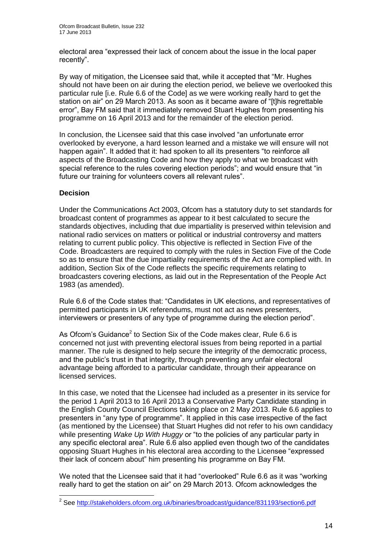electoral area "expressed their lack of concern about the issue in the local paper recently".

By way of mitigation, the Licensee said that, while it accepted that "Mr. Hughes should not have been on air during the election period, we believe we overlooked this particular rule [i.e. Rule 6.6 of the Code] as we were working really hard to get the station on air" on 29 March 2013. As soon as it became aware of "[t]his regrettable error", Bay FM said that it immediately removed Stuart Hughes from presenting his programme on 16 April 2013 and for the remainder of the election period.

In conclusion, the Licensee said that this case involved "an unfortunate error overlooked by everyone, a hard lesson learned and a mistake we will ensure will not happen again". It added that it: had spoken to all its presenters "to reinforce all aspects of the Broadcasting Code and how they apply to what we broadcast with special reference to the rules covering election periods"; and would ensure that "in future our training for volunteers covers all relevant rules".

#### **Decision**

Under the Communications Act 2003, Ofcom has a statutory duty to set standards for broadcast content of programmes as appear to it best calculated to secure the standards objectives, including that due impartiality is preserved within television and national radio services on matters or political or industrial controversy and matters relating to current public policy. This objective is reflected in Section Five of the Code. Broadcasters are required to comply with the rules in Section Five of the Code so as to ensure that the due impartiality requirements of the Act are complied with. In addition, Section Six of the Code reflects the specific requirements relating to broadcasters covering elections, as laid out in the Representation of the People Act 1983 (as amended).

Rule 6.6 of the Code states that: "Candidates in UK elections, and representatives of permitted participants in UK referendums, must not act as news presenters, interviewers or presenters of any type of programme during the election period".

As Ofcom's Guidance<sup>2</sup> to Section Six of the Code makes clear, Rule 6.6 is concerned not just with preventing electoral issues from being reported in a partial manner. The rule is designed to help secure the integrity of the democratic process, and the public's trust in that integrity, through preventing any unfair electoral advantage being afforded to a particular candidate, through their appearance on licensed services.

In this case, we noted that the Licensee had included as a presenter in its service for the period 1 April 2013 to 16 April 2013 a Conservative Party Candidate standing in the English County Council Elections taking place on 2 May 2013. Rule 6.6 applies to presenters in "any type of programme". It applied in this case irrespective of the fact (as mentioned by the Licensee) that Stuart Hughes did not refer to his own candidacy while presenting *Wake Up With Huggy* or "to the policies of any particular party in any specific electoral area". Rule 6.6 also applied even though two of the candidates opposing Stuart Hughes in his electoral area according to the Licensee "expressed their lack of concern about" him presenting his programme on Bay FM.

We noted that the Licensee said that it had "overlooked" Rule 6.6 as it was "working really hard to get the station on air" on 29 March 2013. Ofcom acknowledges the

 2 See<http://stakeholders.ofcom.org.uk/binaries/broadcast/guidance/831193/section6.pdf>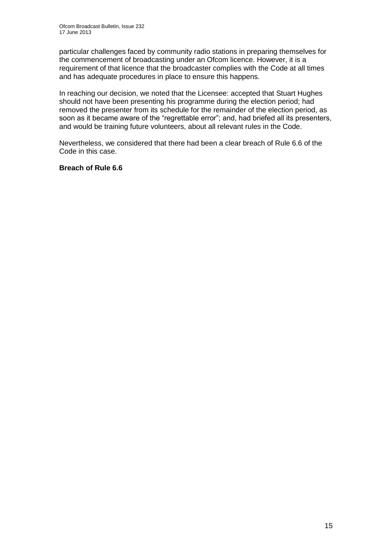particular challenges faced by community radio stations in preparing themselves for the commencement of broadcasting under an Ofcom licence. However, it is a requirement of that licence that the broadcaster complies with the Code at all times and has adequate procedures in place to ensure this happens.

In reaching our decision, we noted that the Licensee: accepted that Stuart Hughes should not have been presenting his programme during the election period; had removed the presenter from its schedule for the remainder of the election period, as soon as it became aware of the "regrettable error"; and, had briefed all its presenters, and would be training future volunteers, about all relevant rules in the Code.

Nevertheless, we considered that there had been a clear breach of Rule 6.6 of the Code in this case.

#### **Breach of Rule 6.6**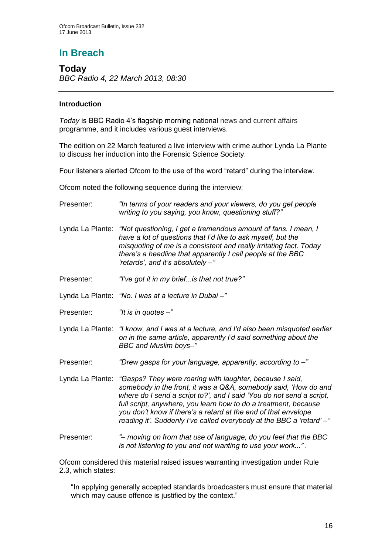# **In Breach**

**Today** *BBC Radio 4, 22 March 2013, 08:30*

#### **Introduction**

*Today* is BBC Radio 4's flagship morning national news and current affairs programme, and it includes various guest interviews.

The edition on 22 March featured a live interview with crime author Lynda La Plante to discuss her induction into the Forensic Science Society.

Four listeners alerted Ofcom to the use of the word "retard" during the interview.

Ofcom noted the following sequence during the interview:

| Presenter:       | "In terms of your readers and your viewers, do you get people<br>writing to you saying, you know, questioning stuff?"                                                                                                                                                                                                                                                                                                             |  |  |
|------------------|-----------------------------------------------------------------------------------------------------------------------------------------------------------------------------------------------------------------------------------------------------------------------------------------------------------------------------------------------------------------------------------------------------------------------------------|--|--|
| Lynda La Plante: | "Not questioning, I get a tremendous amount of fans. I mean, I<br>have a lot of questions that I'd like to ask myself, but the<br>misquoting of me is a consistent and really irritating fact. Today<br>there's a headline that apparently I call people at the BBC<br>'retards', and it's absolutely -"                                                                                                                          |  |  |
| Presenter:       | "I've got it in my brief is that not true?"                                                                                                                                                                                                                                                                                                                                                                                       |  |  |
|                  | Lynda La Plante: "No. I was at a lecture in Dubai -"                                                                                                                                                                                                                                                                                                                                                                              |  |  |
| Presenter:       | "It is in quotes $-$ "                                                                                                                                                                                                                                                                                                                                                                                                            |  |  |
|                  | Lynda La Plante: "I know, and I was at a lecture, and I'd also been misquoted earlier<br>on in the same article, apparently I'd said something about the<br>BBC and Muslim boys-"                                                                                                                                                                                                                                                 |  |  |
| Presenter:       | "Drew gasps for your language, apparently, according to -"                                                                                                                                                                                                                                                                                                                                                                        |  |  |
|                  | Lynda La Plante: "Gasps? They were roaring with laughter, because I said,<br>somebody in the front, it was a Q&A, somebody said, 'How do and<br>where do I send a script to?', and I said 'You do not send a script,<br>full script, anywhere, you learn how to do a treatment, because<br>you don't know if there's a retard at the end of that envelope<br>reading it'. Suddenly I've called everybody at the BBC a 'retard' -" |  |  |
| Presenter:       | "- moving on from that use of language, do you feel that the BBC<br>is not listening to you and not wanting to use your work".                                                                                                                                                                                                                                                                                                    |  |  |

Ofcom considered this material raised issues warranting investigation under Rule 2.3, which states:

"In applying generally accepted standards broadcasters must ensure that material which may cause offence is justified by the context."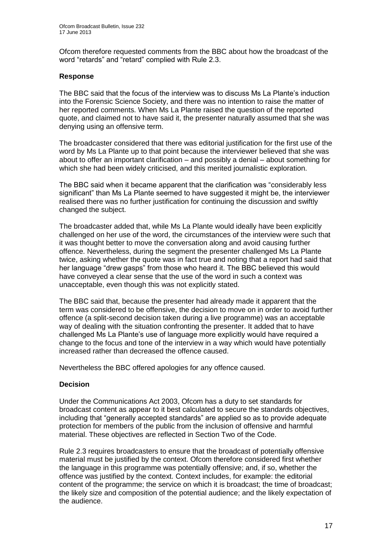Ofcom therefore requested comments from the BBC about how the broadcast of the word "retards" and "retard" complied with Rule 2.3.

#### **Response**

The BBC said that the focus of the interview was to discuss Ms La Plante's induction into the Forensic Science Society, and there was no intention to raise the matter of her reported comments. When Ms La Plante raised the question of the reported quote, and claimed not to have said it, the presenter naturally assumed that she was denying using an offensive term.

The broadcaster considered that there was editorial justification for the first use of the word by Ms La Plante up to that point because the interviewer believed that she was about to offer an important clarification – and possibly a denial – about something for which she had been widely criticised, and this merited journalistic exploration.

The BBC said when it became apparent that the clarification was "considerably less significant" than Ms La Plante seemed to have suggested it might be, the interviewer realised there was no further justification for continuing the discussion and swiftly changed the subject.

The broadcaster added that, while Ms La Plante would ideally have been explicitly challenged on her use of the word, the circumstances of the interview were such that it was thought better to move the conversation along and avoid causing further offence. Nevertheless, during the segment the presenter challenged Ms La Plante twice, asking whether the quote was in fact true and noting that a report had said that her language "drew gasps" from those who heard it. The BBC believed this would have conveyed a clear sense that the use of the word in such a context was unacceptable, even though this was not explicitly stated.

The BBC said that, because the presenter had already made it apparent that the term was considered to be offensive, the decision to move on in order to avoid further offence (a split-second decision taken during a live programme) was an acceptable way of dealing with the situation confronting the presenter. It added that to have challenged Ms La Plante's use of language more explicitly would have required a change to the focus and tone of the interview in a way which would have potentially increased rather than decreased the offence caused.

Nevertheless the BBC offered apologies for any offence caused.

#### **Decision**

Under the Communications Act 2003, Ofcom has a duty to set standards for broadcast content as appear to it best calculated to secure the standards objectives, including that "generally accepted standards" are applied so as to provide adequate protection for members of the public from the inclusion of offensive and harmful material. These objectives are reflected in Section Two of the Code.

Rule 2.3 requires broadcasters to ensure that the broadcast of potentially offensive material must be justified by the context. Ofcom therefore considered first whether the language in this programme was potentially offensive; and, if so, whether the offence was justified by the context. Context includes, for example: the editorial content of the programme; the service on which it is broadcast; the time of broadcast; the likely size and composition of the potential audience; and the likely expectation of the audience.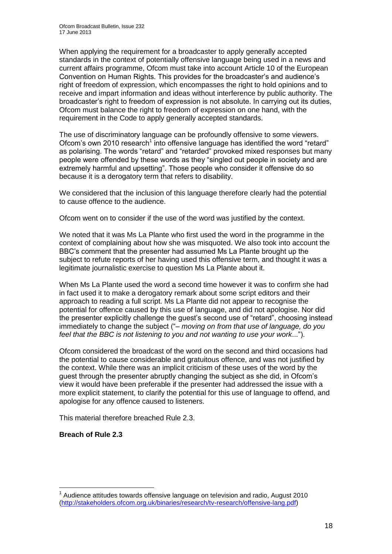When applying the requirement for a broadcaster to apply generally accepted standards in the context of potentially offensive language being used in a news and current affairs programme, Ofcom must take into account Article 10 of the European Convention on Human Rights. This provides for the broadcaster's and audience's right of freedom of expression, which encompasses the right to hold opinions and to receive and impart information and ideas without interference by public authority. The broadcaster's right to freedom of expression is not absolute. In carrying out its duties, Ofcom must balance the right to freedom of expression on one hand, with the requirement in the Code to apply generally accepted standards.

The use of discriminatory language can be profoundly offensive to some viewers. Ofcom's own 2010 research<sup>1</sup> into offensive language has identified the word "retard" as polarising. The words "retard" and "retarded" provoked mixed responses but many people were offended by these words as they "singled out people in society and are extremely harmful and upsetting". Those people who consider it offensive do so because it is a derogatory term that refers to disability.

We considered that the inclusion of this language therefore clearly had the potential to cause offence to the audience.

Ofcom went on to consider if the use of the word was justified by the context.

We noted that it was Ms La Plante who first used the word in the programme in the context of complaining about how she was misquoted. We also took into account the BBC's comment that the presenter had assumed Ms La Plante brought up the subject to refute reports of her having used this offensive term, and thought it was a legitimate journalistic exercise to question Ms La Plante about it.

When Ms La Plante used the word a second time however it was to confirm she had in fact used it to make a derogatory remark about some script editors and their approach to reading a full script. Ms La Plante did not appear to recognise the potential for offence caused by this use of language, and did not apologise. Nor did the presenter explicitly challenge the guest's second use of "retard", choosing instead immediately to change the subject ("– *moving on from that use of language, do you feel that the BBC is not listening to you and not wanting to use your work*...").

Ofcom considered the broadcast of the word on the second and third occasions had the potential to cause considerable and gratuitous offence, and was not justified by the context. While there was an implicit criticism of these uses of the word by the guest through the presenter abruptly changing the subject as she did, in Ofcom's view it would have been preferable if the presenter had addressed the issue with a more explicit statement, to clarify the potential for this use of language to offend, and apologise for any offence caused to listeners.

This material therefore breached Rule 2.3.

**Breach of Rule 2.3**

1

 $1$  Audience attitudes towards offensive language on television and radio, August 2010 [\(http://stakeholders.ofcom.org.uk/binaries/research/tv-research/offensive-lang.pdf\)](http://stakeholders.ofcom.org.uk/binaries/research/tv-research/offensive-lang.pdf)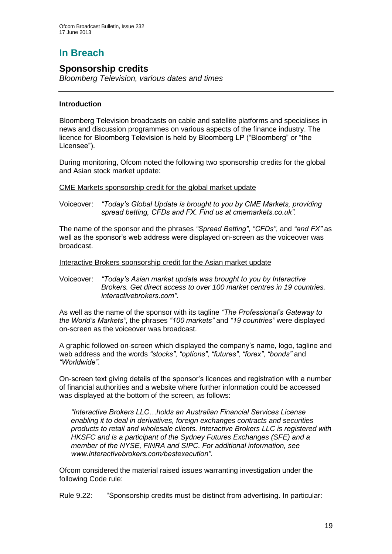# **In Breach**

## **Sponsorship credits**

*Bloomberg Television, various dates and times*

#### **Introduction**

Bloomberg Television broadcasts on cable and satellite platforms and specialises in news and discussion programmes on various aspects of the finance industry. The licence for Bloomberg Television is held by Bloomberg LP ("Bloomberg" or "the Licensee").

During monitoring, Ofcom noted the following two sponsorship credits for the global and Asian stock market update:

CME Markets sponsorship credit for the global market update

Voiceover: *"Today's Global Update is brought to you by CME Markets, providing spread betting, CFDs and FX. Find us at cmemarkets.co.uk".*

The name of the sponsor and the phrases *"Spread Betting"*, *"CFDs"*, and *"and FX"* as well as the sponsor's web address were displayed on-screen as the voiceover was broadcast.

Interactive Brokers sponsorship credit for the Asian market update

Voiceover: *"Today's Asian market update was brought to you by Interactive Brokers. Get direct access to over 100 market centres in 19 countries. interactivebrokers.com".*

As well as the name of the sponsor with its tagline *"The Professional's Gateway to the World's Markets"*, the phrases *"100 markets"* and *"19 countries"* were displayed on-screen as the voiceover was broadcast.

A graphic followed on-screen which displayed the company's name, logo, tagline and web address and the words *"stocks"*, *"options"*, *"futures"*, *"forex"*, *"bonds"* and *"Worldwide"*.

On-screen text giving details of the sponsor's licences and registration with a number of financial authorities and a website where further information could be accessed was displayed at the bottom of the screen, as follows:

*"Interactive Brokers LLC…holds an Australian Financial Services License enabling it to deal in derivatives, foreign exchanges contracts and securities products to retail and wholesale clients. Interactive Brokers LLC is registered with HKSFC and is a participant of the Sydney Futures Exchanges (SFE) and a member of the NYSE, FINRA and SIPC. For additional information, see www.interactivebrokers.com/bestexecution".*

Ofcom considered the material raised issues warranting investigation under the following Code rule:

Rule 9.22: "Sponsorship credits must be distinct from advertising. In particular: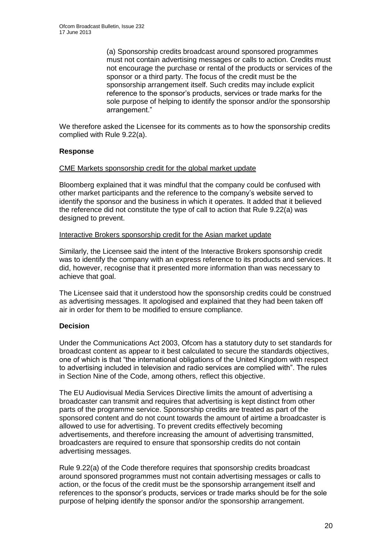(a) Sponsorship credits broadcast around sponsored programmes must not contain advertising messages or calls to action. Credits must not encourage the purchase or rental of the products or services of the sponsor or a third party. The focus of the credit must be the sponsorship arrangement itself. Such credits may include explicit reference to the sponsor's products, services or trade marks for the sole purpose of helping to identify the sponsor and/or the sponsorship arrangement."

We therefore asked the Licensee for its comments as to how the sponsorship credits complied with Rule 9.22(a).

#### **Response**

#### CME Markets sponsorship credit for the global market update

Bloomberg explained that it was mindful that the company could be confused with other market participants and the reference to the company's website served to identify the sponsor and the business in which it operates. It added that it believed the reference did not constitute the type of call to action that Rule 9.22(a) was designed to prevent.

#### Interactive Brokers sponsorship credit for the Asian market update

Similarly, the Licensee said the intent of the Interactive Brokers sponsorship credit was to identify the company with an express reference to its products and services. It did, however, recognise that it presented more information than was necessary to achieve that goal.

The Licensee said that it understood how the sponsorship credits could be construed as advertising messages. It apologised and explained that they had been taken off air in order for them to be modified to ensure compliance.

#### **Decision**

Under the Communications Act 2003, Ofcom has a statutory duty to set standards for broadcast content as appear to it best calculated to secure the standards objectives, one of which is that "the international obligations of the United Kingdom with respect to advertising included in television and radio services are complied with". The rules in Section Nine of the Code, among others, reflect this objective.

The EU Audiovisual Media Services Directive limits the amount of advertising a broadcaster can transmit and requires that advertising is kept distinct from other parts of the programme service. Sponsorship credits are treated as part of the sponsored content and do not count towards the amount of airtime a broadcaster is allowed to use for advertising. To prevent credits effectively becoming advertisements, and therefore increasing the amount of advertising transmitted, broadcasters are required to ensure that sponsorship credits do not contain advertising messages.

Rule 9.22(a) of the Code therefore requires that sponsorship credits broadcast around sponsored programmes must not contain advertising messages or calls to action, or the focus of the credit must be the sponsorship arrangement itself and references to the sponsor's products, services or trade marks should be for the sole purpose of helping identify the sponsor and/or the sponsorship arrangement.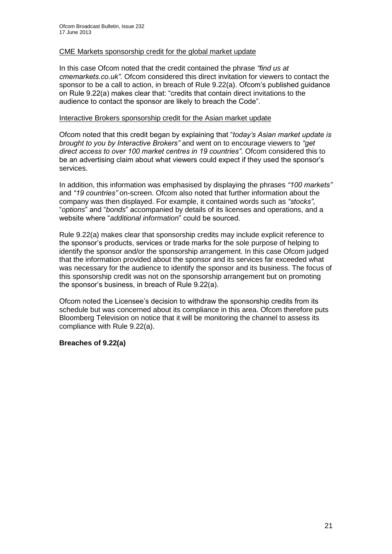#### CME Markets sponsorship credit for the global market update

In this case Ofcom noted that the credit contained the phrase *"find us at cmemarkets.co.uk"*. Ofcom considered this direct invitation for viewers to contact the sponsor to be a call to action, in breach of Rule 9.22(a). Ofcom's published guidance on Rule 9.22(a) makes clear that: "credits that contain direct invitations to the audience to contact the sponsor are likely to breach the Code".

#### Interactive Brokers sponsorship credit for the Asian market update

Ofcom noted that this credit began by explaining that "*today's Asian market update is brought to you by Interactive Brokers"* and went on to encourage viewers to *"get direct access to over 100 market centres in 19 countries"*. Ofcom considered this to be an advertising claim about what viewers could expect if they used the sponsor's services.

In addition, this information was emphasised by displaying the phrases *"100 markets"* and *"19 countries"* on-screen. Ofcom also noted that further information about the company was then displayed. For example, it contained words such as *"stocks"*, "*options*" and "*bonds*" accompanied by details of its licenses and operations, and a website where "*additional information*" could be sourced.

Rule 9.22(a) makes clear that sponsorship credits may include explicit reference to the sponsor's products, services or trade marks for the sole purpose of helping to identify the sponsor and/or the sponsorship arrangement. In this case Ofcom judged that the information provided about the sponsor and its services far exceeded what was necessary for the audience to identify the sponsor and its business. The focus of this sponsorship credit was not on the sponsorship arrangement but on promoting the sponsor's business, in breach of Rule 9.22(a).

Ofcom noted the Licensee's decision to withdraw the sponsorship credits from its schedule but was concerned about its compliance in this area. Ofcom therefore puts Bloomberg Television on notice that it will be monitoring the channel to assess its compliance with Rule 9.22(a).

#### **Breaches of 9.22(a)**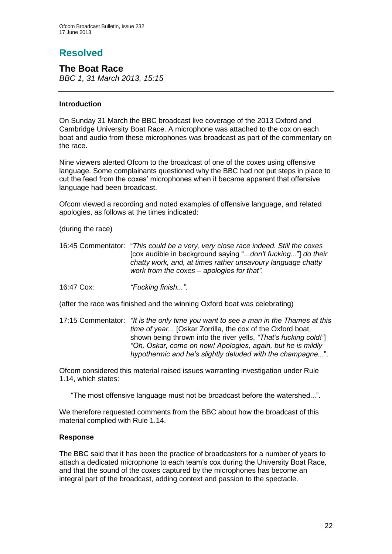# **Resolved**

**The Boat Race** *BBC 1, 31 March 2013, 15:15*

#### **Introduction**

On Sunday 31 March the BBC broadcast live coverage of the 2013 Oxford and Cambridge University Boat Race. A microphone was attached to the cox on each boat and audio from these microphones was broadcast as part of the commentary on the race.

Nine viewers alerted Ofcom to the broadcast of one of the coxes using offensive language. Some complainants questioned why the BBC had not put steps in place to cut the feed from the coxes' microphones when it became apparent that offensive language had been broadcast.

Ofcom viewed a recording and noted examples of offensive language, and related apologies, as follows at the times indicated:

(during the race)

16:45 Commentator: "*This could be a very, very close race indeed. Still the coxes* [cox audible in background saying "...*don't fucking*..."] *do their chatty work, and, at times rather unsavoury language chatty work from the coxes – apologies for that".* 

16:47 Cox: *"Fucking finish..."*.

(after the race was finished and the winning Oxford boat was celebrating)

17:15 Commentator: *"It is the only time you want to see a man in the Thames at this time of year...* [Oskar Zorrilla, the cox of the Oxford boat, shown being thrown into the river yells, *"That's fucking cold!"*] *"Oh, Oskar, come on now! Apologies, again, but he is mildly hypothermic and he's slightly deluded with the champagne...*".

Ofcom considered this material raised issues warranting investigation under Rule 1.14, which states:

"The most offensive language must not be broadcast before the watershed...".

We therefore requested comments from the BBC about how the broadcast of this material complied with Rule 1.14.

#### **Response**

The BBC said that it has been the practice of broadcasters for a number of years to attach a dedicated microphone to each team's cox during the University Boat Race, and that the sound of the coxes captured by the microphones has become an integral part of the broadcast, adding context and passion to the spectacle.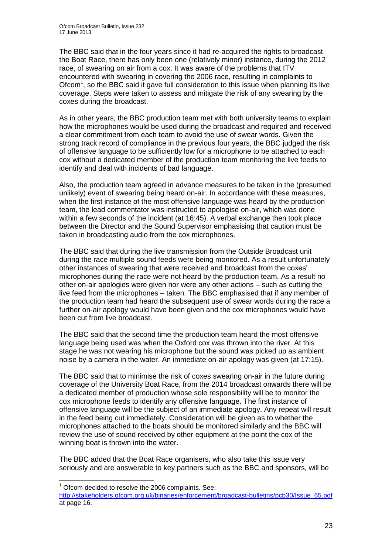The BBC said that in the four years since it had re-acquired the rights to broadcast the Boat Race, there has only been one (relatively minor) instance, during the 2012 race, of swearing on air from a cox. It was aware of the problems that ITV encountered with swearing in covering the 2006 race, resulting in complaints to Ofcom<sup>1</sup>, so the BBC said it gave full consideration to this issue when planning its live coverage. Steps were taken to assess and mitigate the risk of any swearing by the coxes during the broadcast.

As in other years, the BBC production team met with both university teams to explain how the microphones would be used during the broadcast and required and received a clear commitment from each team to avoid the use of swear words. Given the strong track record of compliance in the previous four years, the BBC judged the risk of offensive language to be sufficiently low for a microphone to be attached to each cox without a dedicated member of the production team monitoring the live feeds to identify and deal with incidents of bad language.

Also, the production team agreed in advance measures to be taken in the (presumed unlikely) event of swearing being heard on-air. In accordance with these measures, when the first instance of the most offensive language was heard by the production team, the lead commentator was instructed to apologise on-air, which was done within a few seconds of the incident (at 16:45). A verbal exchange then took place between the Director and the Sound Supervisor emphasising that caution must be taken in broadcasting audio from the cox microphones.

The BBC said that during the live transmission from the Outside Broadcast unit during the race multiple sound feeds were being monitored. As a result unfortunately other instances of swearing that were received and broadcast from the coxes' microphones during the race were not heard by the production team. As a result no other on-air apologies were given nor were any other actions – such as cutting the live feed from the microphones – taken. The BBC emphasised that if any member of the production team had heard the subsequent use of swear words during the race a further on-air apology would have been given and the cox microphones would have been cut from live broadcast.

The BBC said that the second time the production team heard the most offensive language being used was when the Oxford cox was thrown into the river. At this stage he was not wearing his microphone but the sound was picked up as ambient noise by a camera in the water. An immediate on-air apology was given (at 17:15).

The BBC said that to minimise the risk of coxes swearing on-air in the future during coverage of the University Boat Race, from the 2014 broadcast onwards there will be a dedicated member of production whose sole responsibility will be to monitor the cox microphone feeds to identify any offensive language. The first instance of offensive language will be the subject of an immediate apology. Any repeat will result in the feed being cut immediately. Consideration will be given as to whether the microphones attached to the boats should be monitored similarly and the BBC will review the use of sound received by other equipment at the point the cox of the winning boat is thrown into the water.

The BBC added that the Boat Race organisers, who also take this issue very seriously and are answerable to key partners such as the BBC and sponsors, will be

1

 $1$  Ofcom decided to resolve the 2006 complaints. See:

[http://stakeholders.ofcom.org.uk/binaries/enforcement/broadcast-bulletins/pcb30/Issue\\_65.pdf](http://stakeholders.ofcom.org.uk/binaries/enforcement/broadcast-bulletins/pcb30/Issue_65.pdf) at page 16.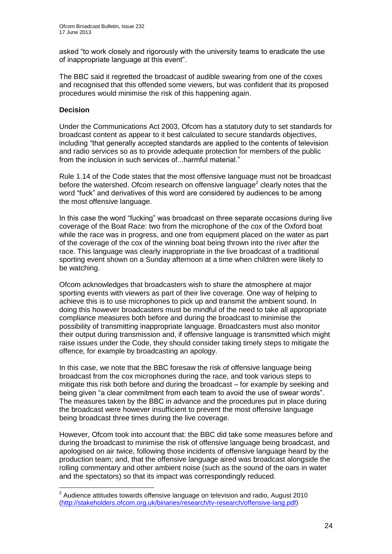asked "to work closely and rigorously with the university teams to eradicate the use of inappropriate language at this event".

The BBC said it regretted the broadcast of audible swearing from one of the coxes and recognised that this offended some viewers, but was confident that its proposed procedures would minimise the risk of this happening again.

#### **Decision**

Under the Communications Act 2003, Ofcom has a statutory duty to set standards for broadcast content as appear to it best calculated to secure standards objectives, including "that generally accepted standards are applied to the contents of television and radio services so as to provide adequate protection for members of the public from the inclusion in such services of...harmful material."

Rule 1.14 of the Code states that the most offensive language must not be broadcast before the watershed. Ofcom research on offensive language<sup>2</sup> clearly notes that the word "fuck" and derivatives of this word are considered by audiences to be among the most offensive language.

In this case the word "fucking" was broadcast on three separate occasions during live coverage of the Boat Race: two from the microphone of the cox of the Oxford boat while the race was in progress, and one from equipment placed on the water as part of the coverage of the cox of the winning boat being thrown into the river after the race. This language was clearly inappropriate in the live broadcast of a traditional sporting event shown on a Sunday afternoon at a time when children were likely to be watching.

Ofcom acknowledges that broadcasters wish to share the atmosphere at major sporting events with viewers as part of their live coverage. One way of helping to achieve this is to use microphones to pick up and transmit the ambient sound. In doing this however broadcasters must be mindful of the need to take all appropriate compliance measures both before and during the broadcast to minimise the possibility of transmitting inappropriate language. Broadcasters must also monitor their output during transmission and, if offensive language is transmitted which might raise issues under the Code, they should consider taking timely steps to mitigate the offence, for example by broadcasting an apology.

In this case, we note that the BBC foresaw the risk of offensive language being broadcast from the cox microphones during the race, and took various steps to mitigate this risk both before and during the broadcast – for example by seeking and being given "a clear commitment from each team to avoid the use of swear words". The measures taken by the BBC in advance and the procedures put in place during the broadcast were however insufficient to prevent the most offensive language being broadcast three times during the live coverage.

However, Ofcom took into account that: the BBC did take some measures before and during the broadcast to minimise the risk of offensive language being broadcast, and apologised on air twice, following those incidents of offensive language heard by the production team; and, that the offensive language aired was broadcast alongside the rolling commentary and other ambient noise (such as the sound of the oars in water and the spectators) so that its impact was correspondingly reduced.

 2 Audience attitudes towards offensive language on television and radio, August 2010 [\(http://stakeholders.ofcom.org.uk/binaries/research/tv-research/offensive-lang.pdf\)](http://stakeholders.ofcom.org.uk/binaries/research/tv-research/offensive-lang.pdf)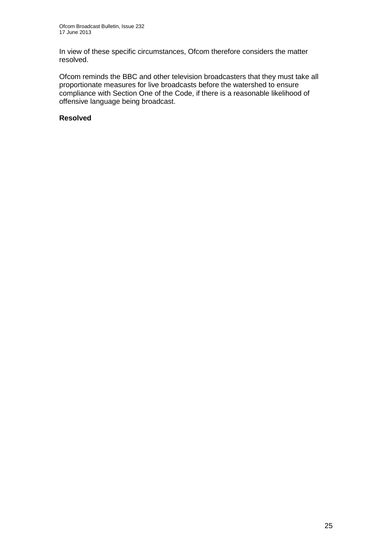In view of these specific circumstances, Ofcom therefore considers the matter resolved.

Ofcom reminds the BBC and other television broadcasters that they must take all proportionate measures for live broadcasts before the watershed to ensure compliance with Section One of the Code, if there is a reasonable likelihood of offensive language being broadcast.

#### **Resolved**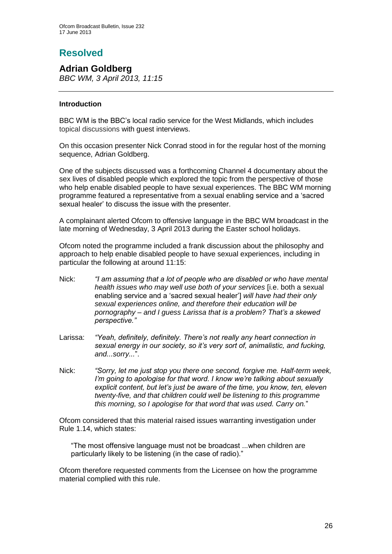# **Resolved**

**Adrian Goldberg** *BBC WM, 3 April 2013, 11:15*

#### **Introduction**

BBC WM is the BBC's local radio service for the West Midlands, which includes topical discussions with guest interviews.

On this occasion presenter Nick Conrad stood in for the regular host of the morning sequence, Adrian Goldberg.

One of the subjects discussed was a forthcoming Channel 4 documentary about the sex lives of disabled people which explored the topic from the perspective of those who help enable disabled people to have sexual experiences. The BBC WM morning programme featured a representative from a sexual enabling service and a 'sacred sexual healer' to discuss the issue with the presenter.

A complainant alerted Ofcom to offensive language in the BBC WM broadcast in the late morning of Wednesday, 3 April 2013 during the Easter school holidays.

Ofcom noted the programme included a frank discussion about the philosophy and approach to help enable disabled people to have sexual experiences, including in particular the following at around 11:15:

- Nick: *"I am assuming that a lot of people who are disabled or who have mental health issues who may well use both of your services* [i.e. both a sexual enabling service and a 'sacred sexual healer'] *will have had their only sexual experiences online, and therefore their education will be pornography – and I guess Larissa that is a problem? That's a skewed perspective."*
- Larissa: *"Yeah, definitely, definitely. There's not really any heart connection in sexual energy in our society, so it's very sort of, animalistic, and fucking, and...sorry...*".
- Nick: *"Sorry, let me just stop you there one second, forgive me. Half-term week, I'm going to apologise for that word. I know we're talking about sexually explicit content, but let's just be aware of the time, you know, ten, eleven twenty-five, and that children could well be listening to this programme this morning, so I apologise for that word that was used. Carry on.*"

Ofcom considered that this material raised issues warranting investigation under Rule 1.14, which states:

"The most offensive language must not be broadcast ...when children are particularly likely to be listening (in the case of radio)."

Ofcom therefore requested comments from the Licensee on how the programme material complied with this rule.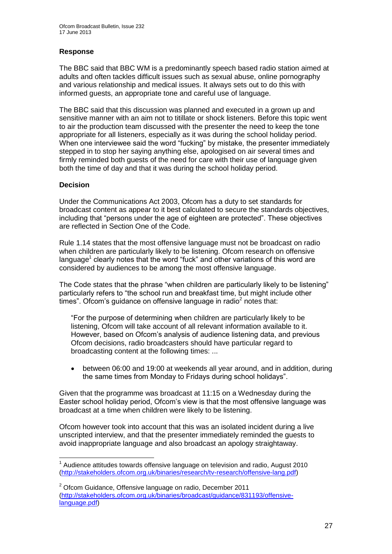#### **Response**

The BBC said that BBC WM is a predominantly speech based radio station aimed at adults and often tackles difficult issues such as sexual abuse, online pornography and various relationship and medical issues. It always sets out to do this with informed guests, an appropriate tone and careful use of language.

The BBC said that this discussion was planned and executed in a grown up and sensitive manner with an aim not to titillate or shock listeners. Before this topic went to air the production team discussed with the presenter the need to keep the tone appropriate for all listeners, especially as it was during the school holiday period. When one interviewee said the word "fucking" by mistake, the presenter immediately stepped in to stop her saying anything else, apologised on air several times and firmly reminded both guests of the need for care with their use of language given both the time of day and that it was during the school holiday period.

#### **Decision**

Under the Communications Act 2003, Ofcom has a duty to set standards for broadcast content as appear to it best calculated to secure the standards objectives, including that "persons under the age of eighteen are protected". These objectives are reflected in Section One of the Code.

Rule 1.14 states that the most offensive language must not be broadcast on radio when children are particularly likely to be listening. Ofcom research on offensive language<sup>1</sup> clearly notes that the word "fuck" and other variations of this word are considered by audiences to be among the most offensive language.

The Code states that the phrase "when children are particularly likely to be listening" particularly refers to "the school run and breakfast time, but might include other times". Ofcom's guidance on offensive language in radio<sup>2</sup> notes that:

"For the purpose of determining when children are particularly likely to be listening, Ofcom will take account of all relevant information available to it. However, based on Ofcom's analysis of audience listening data, and previous Ofcom decisions, radio broadcasters should have particular regard to broadcasting content at the following times: ...

 between 06:00 and 19:00 at weekends all year around, and in addition, during the same times from Monday to Fridays during school holidays".

Given that the programme was broadcast at 11:15 on a Wednesday during the Easter school holiday period, Ofcom's view is that the most offensive language was broadcast at a time when children were likely to be listening.

Ofcom however took into account that this was an isolated incident during a live unscripted interview, and that the presenter immediately reminded the guests to avoid inappropriate language and also broadcast an apology straightaway.

<sup>1</sup>  $1$  Audience attitudes towards offensive language on television and radio, August 2010 [\(http://stakeholders.ofcom.org.uk/binaries/research/tv-research/offensive-lang.pdf\)](http://stakeholders.ofcom.org.uk/binaries/research/tv-research/offensive-lang.pdf)

<sup>2</sup> Ofcom Guidance, Offensive language on radio, December 2011 [\(http://stakeholders.ofcom.org.uk/binaries/broadcast/guidance/831193/offensive](http://stakeholders.ofcom.org.uk/binaries/broadcast/guidance/831193/offensive-language.pdf)[language.pdf\)](http://stakeholders.ofcom.org.uk/binaries/broadcast/guidance/831193/offensive-language.pdf)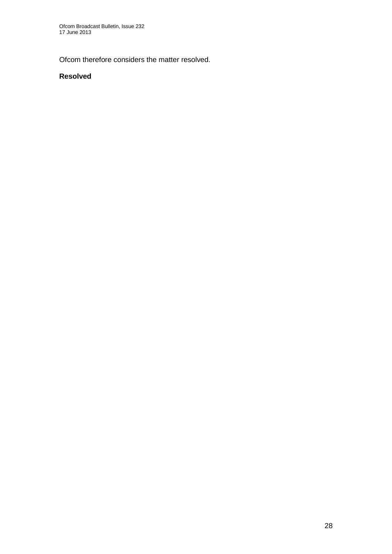Ofcom therefore considers the matter resolved.

#### **Resolved**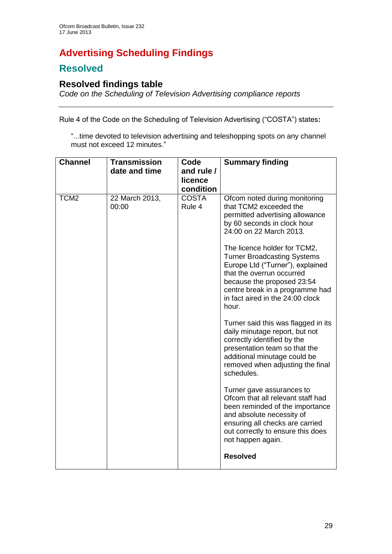# **Advertising Scheduling Findings**

## **Resolved**

## **Resolved findings table**

*Code on the Scheduling of Television Advertising compliance reports*

Rule 4 of the Code on the Scheduling of Television Advertising ("COSTA") states**:**

"...time devoted to television advertising and teleshopping spots on any channel must not exceed 12 minutes."

| <b>Channel</b>   | <b>Transmission</b><br>date and time | Code<br>and rule /<br>licence<br>condition | <b>Summary finding</b>                                                                                                                                                                                                                                                                                                                                                                                                                                                                                                                                                                                                                                                                                                                                                                                                                                                                 |
|------------------|--------------------------------------|--------------------------------------------|----------------------------------------------------------------------------------------------------------------------------------------------------------------------------------------------------------------------------------------------------------------------------------------------------------------------------------------------------------------------------------------------------------------------------------------------------------------------------------------------------------------------------------------------------------------------------------------------------------------------------------------------------------------------------------------------------------------------------------------------------------------------------------------------------------------------------------------------------------------------------------------|
| TCM <sub>2</sub> | 22 March 2013,<br>00:00              | <b>COSTA</b><br>Rule 4                     | Ofcom noted during monitoring<br>that TCM2 exceeded the<br>permitted advertising allowance<br>by 60 seconds in clock hour<br>24:00 on 22 March 2013.<br>The licence holder for TCM2,<br><b>Turner Broadcasting Systems</b><br>Europe Ltd ("Turner"), explained<br>that the overrun occurred<br>because the proposed 23:54<br>centre break in a programme had<br>in fact aired in the 24:00 clock<br>hour.<br>Turner said this was flagged in its<br>daily minutage report, but not<br>correctly identified by the<br>presentation team so that the<br>additional minutage could be<br>removed when adjusting the final<br>schedules.<br>Turner gave assurances to<br>Ofcom that all relevant staff had<br>been reminded of the importance<br>and absolute necessity of<br>ensuring all checks are carried<br>out correctly to ensure this does<br>not happen again.<br><b>Resolved</b> |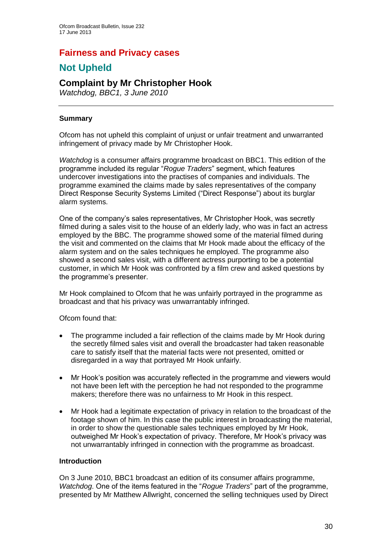## **Fairness and Privacy cases**

## **Not Upheld**

## **Complaint by Mr Christopher Hook**

*Watchdog, BBC1, 3 June 2010*

#### **Summary**

Ofcom has not upheld this complaint of unjust or unfair treatment and unwarranted infringement of privacy made by Mr Christopher Hook.

*Watchdog* is a consumer affairs programme broadcast on BBC1. This edition of the programme included its regular "*Rogue Traders*" segment, which features undercover investigations into the practises of companies and individuals. The programme examined the claims made by sales representatives of the company Direct Response Security Systems Limited ("Direct Response") about its burglar alarm systems.

One of the company's sales representatives, Mr Christopher Hook, was secretly filmed during a sales visit to the house of an elderly lady, who was in fact an actress employed by the BBC. The programme showed some of the material filmed during the visit and commented on the claims that Mr Hook made about the efficacy of the alarm system and on the sales techniques he employed. The programme also showed a second sales visit, with a different actress purporting to be a potential customer, in which Mr Hook was confronted by a film crew and asked questions by the programme's presenter.

Mr Hook complained to Ofcom that he was unfairly portrayed in the programme as broadcast and that his privacy was unwarrantably infringed.

Ofcom found that:

- The programme included a fair reflection of the claims made by Mr Hook during the secretly filmed sales visit and overall the broadcaster had taken reasonable care to satisfy itself that the material facts were not presented, omitted or disregarded in a way that portrayed Mr Hook unfairly.
- Mr Hook's position was accurately reflected in the programme and viewers would not have been left with the perception he had not responded to the programme makers; therefore there was no unfairness to Mr Hook in this respect.
- Mr Hook had a legitimate expectation of privacy in relation to the broadcast of the footage shown of him. In this case the public interest in broadcasting the material, in order to show the questionable sales techniques employed by Mr Hook, outweighed Mr Hook's expectation of privacy. Therefore, Mr Hook's privacy was not unwarrantably infringed in connection with the programme as broadcast.

#### **Introduction**

On 3 June 2010, BBC1 broadcast an edition of its consumer affairs programme, *Watchdog*. One of the items featured in the "*Rogue Traders*" part of the programme, presented by Mr Matthew Allwright, concerned the selling techniques used by Direct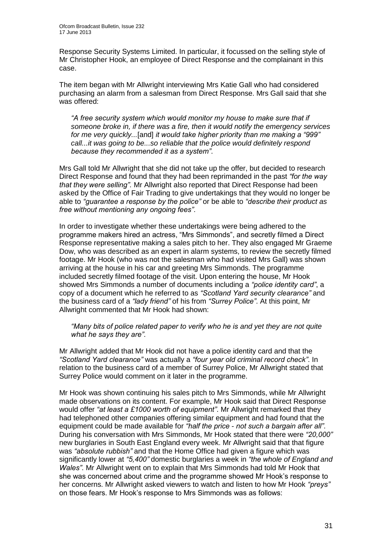Response Security Systems Limited. In particular, it focussed on the selling style of Mr Christopher Hook, an employee of Direct Response and the complainant in this case.

The item began with Mr Allwright interviewing Mrs Katie Gall who had considered purchasing an alarm from a salesman from Direct Response. Mrs Gall said that she was offered:

*"A free security system which would monitor my house to make sure that if someone broke in, if there was a fire, then it would notify the emergency services for me very quickly...*[and] *it would take higher priority than me making a "999" call...it was going to be...so reliable that the police would definitely respond because they recommended it as a system"*.

Mrs Gall told Mr Allwright that she did not take up the offer, but decided to research Direct Response and found that they had been reprimanded in the past *"for the way that they were selling"*. Mr Allwright also reported that Direct Response had been asked by the Office of Fair Trading to give undertakings that they would no longer be able to *"guarantee a response by the police"* or be able to *"describe their product as free without mentioning any ongoing fees"*.

In order to investigate whether these undertakings were being adhered to the programme makers hired an actress, "Mrs Simmonds", and secretly filmed a Direct Response representative making a sales pitch to her. They also engaged Mr Graeme Dow, who was described as an expert in alarm systems, to review the secretly filmed footage. Mr Hook (who was not the salesman who had visited Mrs Gall) was shown arriving at the house in his car and greeting Mrs Simmonds. The programme included secretly filmed footage of the visit. Upon entering the house, Mr Hook showed Mrs Simmonds a number of documents including a *"police identity card"*, a copy of a document which he referred to as *"Scotland Yard security clearance"* and the business card of a *"lady friend"* of his from *"Surrey Police"*. At this point, Mr Allwright commented that Mr Hook had shown:

*"Many bits of police related paper to verify who he is and yet they are not quite what he says they are"*.

Mr Allwright added that Mr Hook did not have a police identity card and that the *"Scotland Yard clearance"* was actually a *"four year old criminal record check"*. In relation to the business card of a member of Surrey Police, Mr Allwright stated that Surrey Police would comment on it later in the programme.

Mr Hook was shown continuing his sales pitch to Mrs Simmonds, while Mr Allwright made observations on its content. For example, Mr Hook said that Direct Response would offer *"at least a £1000 worth of equipment"*. Mr Allwright remarked that they had telephoned other companies offering similar equipment and had found that the equipment could be made available for *"half the price* - *not such a bargain after all"*. During his conversation with Mrs Simmonds, Mr Hook stated that there were *"20,000"* new burglaries in South East England every week. Mr Allwright said that that figure was *"absolute rubbish"* and that the Home Office had given a figure which was significantly lower at *"5,400"* domestic burglaries a week in *"the whole of England and Wales"*. Mr Allwright went on to explain that Mrs Simmonds had told Mr Hook that she was concerned about crime and the programme showed Mr Hook's response to her concerns. Mr Allwright asked viewers to watch and listen to how Mr Hook *"preys"* on those fears. Mr Hook's response to Mrs Simmonds was as follows: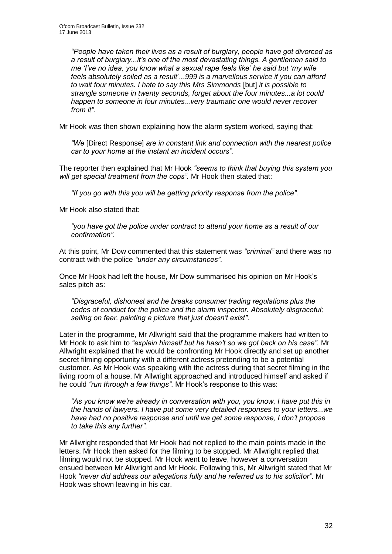*"People have taken their lives as a result of burglary, people have got divorced as a result of burglary...it's one of the most devastating things. A gentleman said to me 'I've no idea, you know what a sexual rape feels like' he said but 'my wife feels absolutely soiled as a result*'...*999 is a marvellous service if you can afford to wait four minutes. I hate to say this Mrs Simmonds* [but] *it is possible to strangle someone in twenty seconds, forget about the four minutes...a lot could happen to someone in four minutes...very traumatic one would never recover from it"*.

Mr Hook was then shown explaining how the alarm system worked, saying that:

*"We* [Direct Response] *are in constant link and connection with the nearest police car to your home at the instant an incident occurs".* 

The reporter then explained that Mr Hook *"seems to think that buying this system you will get special treatment from the cops".* Mr Hook then stated that:

*"If you go with this you will be getting priority response from the police".* 

Mr Hook also stated that:

*"you have got the police under contract to attend your home as a result of our confirmation"*.

At this point, Mr Dow commented that this statement was *"criminal"* and there was no contract with the police *"under any circumstances"*.

Once Mr Hook had left the house, Mr Dow summarised his opinion on Mr Hook's sales pitch as:

*"Disgraceful, dishonest and he breaks consumer trading regulations plus the codes of conduct for the police and the alarm inspector. Absolutely disgraceful; selling on fear, painting a picture that just doesn't exist"*.

Later in the programme, Mr Allwright said that the programme makers had written to Mr Hook to ask him to *"explain himself but he hasn't so we got back on his case"*. Mr Allwright explained that he would be confronting Mr Hook directly and set up another secret filming opportunity with a different actress pretending to be a potential customer. As Mr Hook was speaking with the actress during that secret filming in the living room of a house, Mr Allwright approached and introduced himself and asked if he could *"run through a few things"*. Mr Hook's response to this was:

*"As you know we're already in conversation with you, you know, I have put this in the hands of lawyers. I have put some very detailed responses to your letters...we have had no positive response and until we get some response, I don't propose to take this any further"*.

Mr Allwright responded that Mr Hook had not replied to the main points made in the letters. Mr Hook then asked for the filming to be stopped, Mr Allwright replied that filming would not be stopped. Mr Hook went to leave, however a conversation ensued between Mr Allwright and Mr Hook. Following this, Mr Allwright stated that Mr Hook *"never did address our allegations fully and he referred us to his solicitor"*. Mr Hook was shown leaving in his car.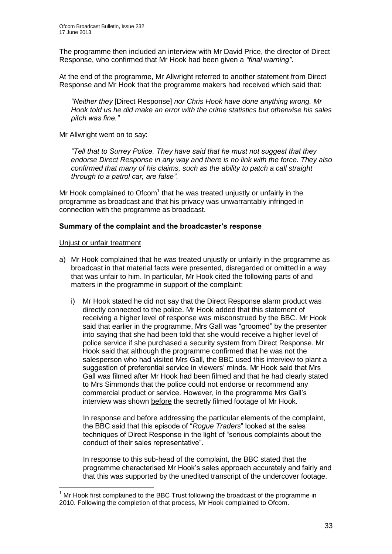The programme then included an interview with Mr David Price, the director of Direct Response, who confirmed that Mr Hook had been given a *"final warning"*.

At the end of the programme, Mr Allwright referred to another statement from Direct Response and Mr Hook that the programme makers had received which said that:

*"Neither they* [Direct Response] *nor Chris Hook have done anything wrong. Mr Hook told us he did make an error with the crime statistics but otherwise his sales pitch was fine."*

Mr Allwright went on to say:

*"Tell that to Surrey Police. They have said that he must not suggest that they endorse Direct Response in any way and there is no link with the force. They also confirmed that many of his claims, such as the ability to patch a call straight through to a patrol car, are false"*.

Mr Hook complained to Ofcom $1$  that he was treated unjustly or unfairly in the programme as broadcast and that his privacy was unwarrantably infringed in connection with the programme as broadcast.

#### **Summary of the complaint and the broadcaster's response**

#### Unjust or unfair treatment

1

- a) Mr Hook complained that he was treated unjustly or unfairly in the programme as broadcast in that material facts were presented, disregarded or omitted in a way that was unfair to him. In particular, Mr Hook cited the following parts of and matters in the programme in support of the complaint:
	- i) Mr Hook stated he did not say that the Direct Response alarm product was directly connected to the police. Mr Hook added that this statement of receiving a higher level of response was misconstrued by the BBC. Mr Hook said that earlier in the programme, Mrs Gall was "groomed" by the presenter into saying that she had been told that she would receive a higher level of police service if she purchased a security system from Direct Response. Mr Hook said that although the programme confirmed that he was not the salesperson who had visited Mrs Gall, the BBC used this interview to plant a suggestion of preferential service in viewers' minds. Mr Hook said that Mrs Gall was filmed after Mr Hook had been filmed and that he had clearly stated to Mrs Simmonds that the police could not endorse or recommend any commercial product or service. However, in the programme Mrs Gall's interview was shown before the secretly filmed footage of Mr Hook.

In response and before addressing the particular elements of the complaint, the BBC said that this episode of "*Rogue Traders*" looked at the sales techniques of Direct Response in the light of "serious complaints about the conduct of their sales representative".

In response to this sub-head of the complaint, the BBC stated that the programme characterised Mr Hook's sales approach accurately and fairly and that this was supported by the unedited transcript of the undercover footage.

 $<sup>1</sup>$  Mr Hook first complained to the BBC Trust following the broadcast of the programme in</sup> 2010. Following the completion of that process, Mr Hook complained to Ofcom.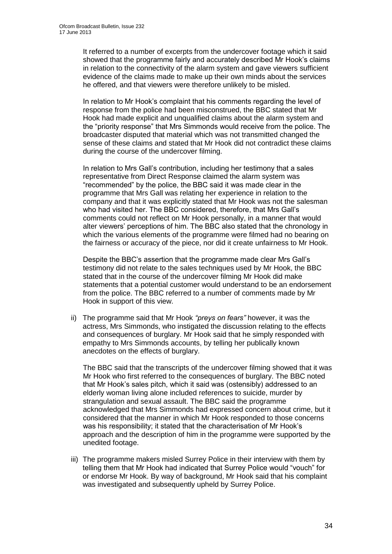It referred to a number of excerpts from the undercover footage which it said showed that the programme fairly and accurately described Mr Hook's claims in relation to the connectivity of the alarm system and gave viewers sufficient evidence of the claims made to make up their own minds about the services he offered, and that viewers were therefore unlikely to be misled.

In relation to Mr Hook's complaint that his comments regarding the level of response from the police had been misconstrued, the BBC stated that Mr Hook had made explicit and unqualified claims about the alarm system and the "priority response" that Mrs Simmonds would receive from the police. The broadcaster disputed that material which was not transmitted changed the sense of these claims and stated that Mr Hook did not contradict these claims during the course of the undercover filming.

In relation to Mrs Gall's contribution, including her testimony that a sales representative from Direct Response claimed the alarm system was "recommended" by the police, the BBC said it was made clear in the programme that Mrs Gall was relating her experience in relation to the company and that it was explicitly stated that Mr Hook was not the salesman who had visited her. The BBC considered, therefore, that Mrs Gall's comments could not reflect on Mr Hook personally, in a manner that would alter viewers' perceptions of him. The BBC also stated that the chronology in which the various elements of the programme were filmed had no bearing on the fairness or accuracy of the piece, nor did it create unfairness to Mr Hook.

Despite the BBC's assertion that the programme made clear Mrs Gall's testimony did not relate to the sales techniques used by Mr Hook, the BBC stated that in the course of the undercover filming Mr Hook did make statements that a potential customer would understand to be an endorsement from the police. The BBC referred to a number of comments made by Mr Hook in support of this view.

ii) The programme said that Mr Hook *"preys on fears"* however, it was the actress, Mrs Simmonds, who instigated the discussion relating to the effects and consequences of burglary. Mr Hook said that he simply responded with empathy to Mrs Simmonds accounts, by telling her publically known anecdotes on the effects of burglary.

The BBC said that the transcripts of the undercover filming showed that it was Mr Hook who first referred to the consequences of burglary. The BBC noted that Mr Hook's sales pitch, which it said was (ostensibly) addressed to an elderly woman living alone included references to suicide, murder by strangulation and sexual assault. The BBC said the programme acknowledged that Mrs Simmonds had expressed concern about crime, but it considered that the manner in which Mr Hook responded to those concerns was his responsibility; it stated that the characterisation of Mr Hook's approach and the description of him in the programme were supported by the unedited footage.

iii) The programme makers misled Surrey Police in their interview with them by telling them that Mr Hook had indicated that Surrey Police would "vouch" for or endorse Mr Hook. By way of background, Mr Hook said that his complaint was investigated and subsequently upheld by Surrey Police.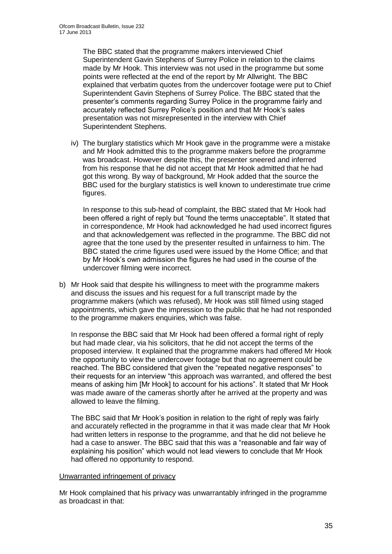The BBC stated that the programme makers interviewed Chief Superintendent Gavin Stephens of Surrey Police in relation to the claims made by Mr Hook. This interview was not used in the programme but some points were reflected at the end of the report by Mr Allwright. The BBC explained that verbatim quotes from the undercover footage were put to Chief Superintendent Gavin Stephens of Surrey Police. The BBC stated that the presenter's comments regarding Surrey Police in the programme fairly and accurately reflected Surrey Police's position and that Mr Hook's sales presentation was not misrepresented in the interview with Chief Superintendent Stephens.

iv) The burglary statistics which Mr Hook gave in the programme were a mistake and Mr Hook admitted this to the programme makers before the programme was broadcast. However despite this, the presenter sneered and inferred from his response that he did not accept that Mr Hook admitted that he had got this wrong. By way of background, Mr Hook added that the source the BBC used for the burglary statistics is well known to underestimate true crime figures.

In response to this sub-head of complaint, the BBC stated that Mr Hook had been offered a right of reply but "found the terms unacceptable". It stated that in correspondence, Mr Hook had acknowledged he had used incorrect figures and that acknowledgement was reflected in the programme. The BBC did not agree that the tone used by the presenter resulted in unfairness to him. The BBC stated the crime figures used were issued by the Home Office; and that by Mr Hook's own admission the figures he had used in the course of the undercover filming were incorrect.

b) Mr Hook said that despite his willingness to meet with the programme makers and discuss the issues and his request for a full transcript made by the programme makers (which was refused), Mr Hook was still filmed using staged appointments, which gave the impression to the public that he had not responded to the programme makers enquiries, which was false.

In response the BBC said that Mr Hook had been offered a formal right of reply but had made clear, via his solicitors, that he did not accept the terms of the proposed interview. It explained that the programme makers had offered Mr Hook the opportunity to view the undercover footage but that no agreement could be reached. The BBC considered that given the "repeated negative responses" to their requests for an interview "this approach was warranted, and offered the best means of asking him [Mr Hook] to account for his actions". It stated that Mr Hook was made aware of the cameras shortly after he arrived at the property and was allowed to leave the filming.

The BBC said that Mr Hook's position in relation to the right of reply was fairly and accurately reflected in the programme in that it was made clear that Mr Hook had written letters in response to the programme, and that he did not believe he had a case to answer. The BBC said that this was a "reasonable and fair way of explaining his position" which would not lead viewers to conclude that Mr Hook had offered no opportunity to respond.

#### Unwarranted infringement of privacy

Mr Hook complained that his privacy was unwarrantably infringed in the programme as broadcast in that: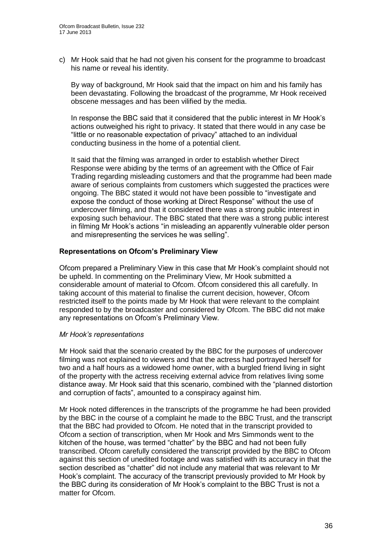c) Mr Hook said that he had not given his consent for the programme to broadcast his name or reveal his identity.

By way of background, Mr Hook said that the impact on him and his family has been devastating. Following the broadcast of the programme, Mr Hook received obscene messages and has been vilified by the media.

In response the BBC said that it considered that the public interest in Mr Hook's actions outweighed his right to privacy. It stated that there would in any case be "little or no reasonable expectation of privacy" attached to an individual conducting business in the home of a potential client.

It said that the filming was arranged in order to establish whether Direct Response were abiding by the terms of an agreement with the Office of Fair Trading regarding misleading customers and that the programme had been made aware of serious complaints from customers which suggested the practices were ongoing. The BBC stated it would not have been possible to "investigate and expose the conduct of those working at Direct Response" without the use of undercover filming, and that it considered there was a strong public interest in exposing such behaviour. The BBC stated that there was a strong public interest in filming Mr Hook's actions "in misleading an apparently vulnerable older person and misrepresenting the services he was selling".

#### **Representations on Ofcom's Preliminary View**

Ofcom prepared a Preliminary View in this case that Mr Hook's complaint should not be upheld. In commenting on the Preliminary View, Mr Hook submitted a considerable amount of material to Ofcom. Ofcom considered this all carefully. In taking account of this material to finalise the current decision, however, Ofcom restricted itself to the points made by Mr Hook that were relevant to the complaint responded to by the broadcaster and considered by Ofcom. The BBC did not make any representations on Ofcom's Preliminary View.

#### *Mr Hook's representations*

Mr Hook said that the scenario created by the BBC for the purposes of undercover filming was not explained to viewers and that the actress had portrayed herself for two and a half hours as a widowed home owner, with a burgled friend living in sight of the property with the actress receiving external advice from relatives living some distance away. Mr Hook said that this scenario, combined with the "planned distortion and corruption of facts", amounted to a conspiracy against him.

Mr Hook noted differences in the transcripts of the programme he had been provided by the BBC in the course of a complaint he made to the BBC Trust, and the transcript that the BBC had provided to Ofcom. He noted that in the transcript provided to Ofcom a section of transcription, when Mr Hook and Mrs Simmonds went to the kitchen of the house, was termed "chatter" by the BBC and had not been fully transcribed. Ofcom carefully considered the transcript provided by the BBC to Ofcom against this section of unedited footage and was satisfied with its accuracy in that the section described as "chatter" did not include any material that was relevant to Mr Hook's complaint. The accuracy of the transcript previously provided to Mr Hook by the BBC during its consideration of Mr Hook's complaint to the BBC Trust is not a matter for Ofcom.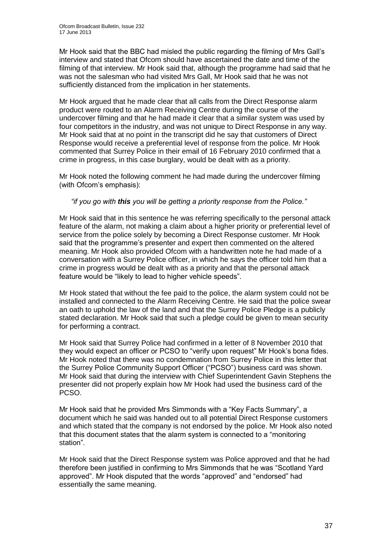Mr Hook said that the BBC had misled the public regarding the filming of Mrs Gall's interview and stated that Ofcom should have ascertained the date and time of the filming of that interview. Mr Hook said that, although the programme had said that he was not the salesman who had visited Mrs Gall, Mr Hook said that he was not sufficiently distanced from the implication in her statements.

Mr Hook argued that he made clear that all calls from the Direct Response alarm product were routed to an Alarm Receiving Centre during the course of the undercover filming and that he had made it clear that a similar system was used by four competitors in the industry, and was not unique to Direct Response in any way. Mr Hook said that at no point in the transcript did he say that customers of Direct Response would receive a preferential level of response from the police. Mr Hook commented that Surrey Police in their email of 16 February 2010 confirmed that a crime in progress, in this case burglary, would be dealt with as a priority.

Mr Hook noted the following comment he had made during the undercover filming (with Ofcom's emphasis):

#### *"if you go with this you will be getting a priority response from the Police."*

Mr Hook said that in this sentence he was referring specifically to the personal attack feature of the alarm, not making a claim about a higher priority or preferential level of service from the police solely by becoming a Direct Response customer. Mr Hook said that the programme's presenter and expert then commented on the altered meaning. Mr Hook also provided Ofcom with a handwritten note he had made of a conversation with a Surrey Police officer, in which he says the officer told him that a crime in progress would be dealt with as a priority and that the personal attack feature would be "likely to lead to higher vehicle speeds".

Mr Hook stated that without the fee paid to the police, the alarm system could not be installed and connected to the Alarm Receiving Centre. He said that the police swear an oath to uphold the law of the land and that the Surrey Police Pledge is a publicly stated declaration. Mr Hook said that such a pledge could be given to mean security for performing a contract.

Mr Hook said that Surrey Police had confirmed in a letter of 8 November 2010 that they would expect an officer or PCSO to "verify upon request" Mr Hook's bona fides. Mr Hook noted that there was no condemnation from Surrey Police in this letter that the Surrey Police Community Support Officer ("PCSO") business card was shown. Mr Hook said that during the interview with Chief Superintendent Gavin Stephens the presenter did not properly explain how Mr Hook had used the business card of the PCSO.

Mr Hook said that he provided Mrs Simmonds with a "Key Facts Summary", a document which he said was handed out to all potential Direct Response customers and which stated that the company is not endorsed by the police. Mr Hook also noted that this document states that the alarm system is connected to a "monitoring station".

Mr Hook said that the Direct Response system was Police approved and that he had therefore been justified in confirming to Mrs Simmonds that he was "Scotland Yard approved". Mr Hook disputed that the words "approved" and "endorsed" had essentially the same meaning.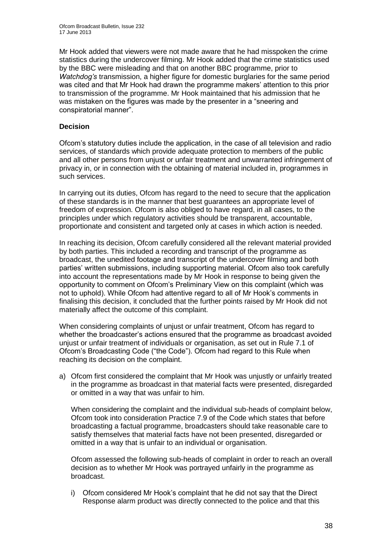Mr Hook added that viewers were not made aware that he had misspoken the crime statistics during the undercover filming. Mr Hook added that the crime statistics used by the BBC were misleading and that on another BBC programme, prior to *Watchdog's* transmission, a higher figure for domestic burglaries for the same period was cited and that Mr Hook had drawn the programme makers' attention to this prior to transmission of the programme. Mr Hook maintained that his admission that he was mistaken on the figures was made by the presenter in a "sneering and conspiratorial manner".

#### **Decision**

Ofcom's statutory duties include the application, in the case of all television and radio services, of standards which provide adequate protection to members of the public and all other persons from unjust or unfair treatment and unwarranted infringement of privacy in, or in connection with the obtaining of material included in, programmes in such services.

In carrying out its duties, Ofcom has regard to the need to secure that the application of these standards is in the manner that best guarantees an appropriate level of freedom of expression. Ofcom is also obliged to have regard, in all cases, to the principles under which regulatory activities should be transparent, accountable, proportionate and consistent and targeted only at cases in which action is needed.

In reaching its decision, Ofcom carefully considered all the relevant material provided by both parties. This included a recording and transcript of the programme as broadcast, the unedited footage and transcript of the undercover filming and both parties' written submissions, including supporting material. Ofcom also took carefully into account the representations made by Mr Hook in response to being given the opportunity to comment on Ofcom's Preliminary View on this complaint (which was not to uphold). While Ofcom had attentive regard to all of Mr Hook's comments in finalising this decision, it concluded that the further points raised by Mr Hook did not materially affect the outcome of this complaint.

When considering complaints of unjust or unfair treatment, Ofcom has regard to whether the broadcaster's actions ensured that the programme as broadcast avoided unjust or unfair treatment of individuals or organisation, as set out in Rule 7.1 of Ofcom's Broadcasting Code ("the Code"). Ofcom had regard to this Rule when reaching its decision on the complaint.

a) Ofcom first considered the complaint that Mr Hook was unjustly or unfairly treated in the programme as broadcast in that material facts were presented, disregarded or omitted in a way that was unfair to him.

When considering the complaint and the individual sub-heads of complaint below, Ofcom took into consideration Practice 7.9 of the Code which states that before broadcasting a factual programme, broadcasters should take reasonable care to satisfy themselves that material facts have not been presented, disregarded or omitted in a way that is unfair to an individual or organisation.

Ofcom assessed the following sub-heads of complaint in order to reach an overall decision as to whether Mr Hook was portrayed unfairly in the programme as broadcast.

i) Ofcom considered Mr Hook's complaint that he did not say that the Direct Response alarm product was directly connected to the police and that this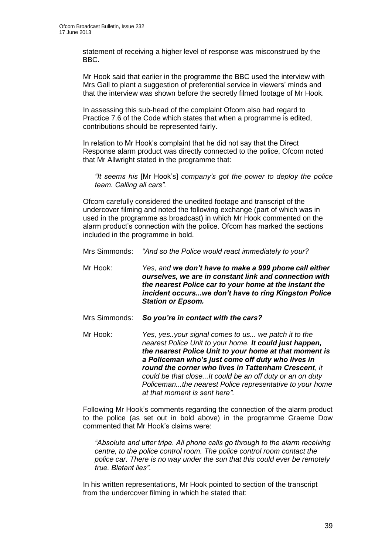statement of receiving a higher level of response was misconstrued by the BBC.

Mr Hook said that earlier in the programme the BBC used the interview with Mrs Gall to plant a suggestion of preferential service in viewers' minds and that the interview was shown before the secretly filmed footage of Mr Hook.

In assessing this sub-head of the complaint Ofcom also had regard to Practice 7.6 of the Code which states that when a programme is edited, contributions should be represented fairly.

In relation to Mr Hook's complaint that he did not say that the Direct Response alarm product was directly connected to the police, Ofcom noted that Mr Allwright stated in the programme that:

*"It seems his* [Mr Hook's] *company's got the power to deploy the police team. Calling all cars".* 

Ofcom carefully considered the unedited footage and transcript of the undercover filming and noted the following exchange (part of which was in used in the programme as broadcast) in which Mr Hook commented on the alarm product's connection with the police. Ofcom has marked the sections included in the programme in bold.

- Mrs Simmonds: *"And so the Police would react immediately to your?*
- Mr Hook: *Yes, and we don't have to make a 999 phone call either ourselves, we are in constant link and connection with the nearest Police car to your home at the instant the incident occurs...we don't have to ring Kingston Police Station or Epsom.*
- Mrs Simmonds: *So you're in contact with the cars?*
- Mr Hook: *Yes, yes..your signal comes to us... we patch it to the nearest Police Unit to your home. It could just happen, the nearest Police Unit to your home at that moment is a Policeman who's just come off duty who lives in round the corner who lives in Tattenham Crescent*, *it could be that close...It could be an off duty or an on duty Policeman...the nearest Police representative to your home at that moment is sent here".*

Following Mr Hook's comments regarding the connection of the alarm product to the police (as set out in bold above) in the programme Graeme Dow commented that Mr Hook's claims were:

*"Absolute and utter tripe. All phone calls go through to the alarm receiving centre, to the police control room. The police control room contact the police car. There is no way under the sun that this could ever be remotely true. Blatant lies".*

In his written representations, Mr Hook pointed to section of the transcript from the undercover filming in which he stated that: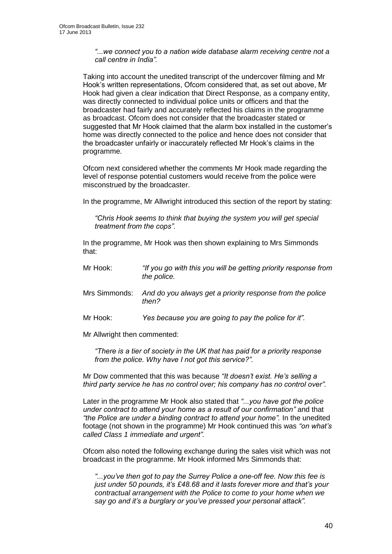*"...we connect you to a nation wide database alarm receiving centre not a call centre in India".*

Taking into account the unedited transcript of the undercover filming and Mr Hook's written representations, Ofcom considered that, as set out above, Mr Hook had given a clear indication that Direct Response, as a company entity, was directly connected to individual police units or officers and that the broadcaster had fairly and accurately reflected his claims in the programme as broadcast. Ofcom does not consider that the broadcaster stated or suggested that Mr Hook claimed that the alarm box installed in the customer's home was directly connected to the police and hence does not consider that the broadcaster unfairly or inaccurately reflected Mr Hook's claims in the programme.

Ofcom next considered whether the comments Mr Hook made regarding the level of response potential customers would receive from the police were misconstrued by the broadcaster.

In the programme, Mr Allwright introduced this section of the report by stating:

*"Chris Hook seems to think that buying the system you will get special treatment from the cops".*

In the programme, Mr Hook was then shown explaining to Mrs Simmonds that:

| Mr Hook:      | "If you go with this you will be getting priority response from<br>the police. |
|---------------|--------------------------------------------------------------------------------|
| Mrs Simmonds: | And do you always get a priority response from the police<br>then?             |
| Mr Hook:      | Yes because you are going to pay the police for it".                           |

Mr Allwright then commented:

*"There is a tier of society in the UK that has paid for a priority response from the police. Why have I not got this service?".*

Mr Dow commented that this was because *"It doesn't exist. He's selling a third party service he has no control over; his company has no control over".*

Later in the programme Mr Hook also stated that *"...you have got the police under contract to attend your home as a result of our confirmation"* and that *"the Police are under a binding contract to attend your home".* In the unedited footage (not shown in the programme) Mr Hook continued this was *"on what's called Class 1 immediate and urgent".*

Ofcom also noted the following exchange during the sales visit which was not broadcast in the programme. Mr Hook informed Mrs Simmonds that:

*"...you've then got to pay the Surrey Police a one-off fee. Now this fee is just under 50 pounds, it's £48.68 and it lasts forever more and that's your contractual arrangement with the Police to come to your home when we say go and it's a burglary or you've pressed your personal attack".*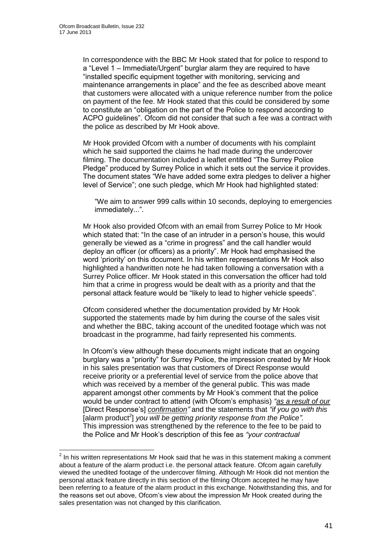In correspondence with the BBC Mr Hook stated that for police to respond to a "Level 1 – Immediate/Urgent" burglar alarm they are required to have "installed specific equipment together with monitoring, servicing and maintenance arrangements in place" and the fee as described above meant that customers were allocated with a unique reference number from the police on payment of the fee. Mr Hook stated that this could be considered by some to constitute an "obligation on the part of the Police to respond according to ACPO guidelines". Ofcom did not consider that such a fee was a contract with the police as described by Mr Hook above.

Mr Hook provided Ofcom with a number of documents with his complaint which he said supported the claims he had made during the undercover filming. The documentation included a leaflet entitled "The Surrey Police Pledge" produced by Surrey Police in which it sets out the service it provides. The document states "We have added some extra pledges to deliver a higher level of Service"; one such pledge, which Mr Hook had highlighted stated:

"We aim to answer 999 calls within 10 seconds, deploying to emergencies immediately...".

Mr Hook also provided Ofcom with an email from Surrey Police to Mr Hook which stated that: "In the case of an intruder in a person's house, this would generally be viewed as a "crime in progress" and the call handler would deploy an officer (or officers) as a priority". Mr Hook had emphasised the word 'priority' on this document. In his written representations Mr Hook also highlighted a handwritten note he had taken following a conversation with a Surrey Police officer. Mr Hook stated in this conversation the officer had told him that a crime in progress would be dealt with as a priority and that the personal attack feature would be "likely to lead to higher vehicle speeds".

Ofcom considered whether the documentation provided by Mr Hook supported the statements made by him during the course of the sales visit and whether the BBC, taking account of the unedited footage which was not broadcast in the programme, had fairly represented his comments.

In Ofcom's view although these documents might indicate that an ongoing burglary was a "priority" for Surrey Police, the impression created by Mr Hook in his sales presentation was that customers of Direct Response would receive priority or a preferential level of service from the police above that which was received by a member of the general public. This was made apparent amongst other comments by Mr Hook's comment that the police would be under contract to attend (with Ofcom's emphasis) *"as a result of our* [Direct Response's] *confirmation"* and the statements that *"if you go with this*  [alarm product<sup>2</sup>] you will be getting priority response from the Police". This impression was strengthened by the reference to the fee to be paid to the Police and Mr Hook's description of this fee as *"your contractual* 

 2 In his written representations Mr Hook said that he was in this statement making a comment about a feature of the alarm product i.e. the personal attack feature. Ofcom again carefully viewed the unedited footage of the undercover filming. Although Mr Hook did not mention the personal attack feature directly in this section of the filming Ofcom accepted he may have been referring to a feature of the alarm product in this exchange. Notwithstanding this, and for the reasons set out above, Ofcom's view about the impression Mr Hook created during the sales presentation was not changed by this clarification.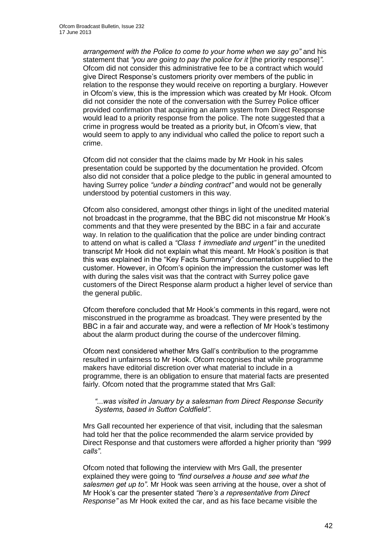*arrangement with the Police to come to your home when we say go"* and his statement that *"you are going to pay the police for it* [the priority response]*".* Ofcom did not consider this administrative fee to be a contract which would give Direct Response's customers priority over members of the public in relation to the response they would receive on reporting a burglary. However in Ofcom's view, this is the impression which was created by Mr Hook. Ofcom did not consider the note of the conversation with the Surrey Police officer provided confirmation that acquiring an alarm system from Direct Response would lead to a priority response from the police. The note suggested that a crime in progress would be treated as a priority but, in Ofcom's view, that would seem to apply to any individual who called the police to report such a crime.

Ofcom did not consider that the claims made by Mr Hook in his sales presentation could be supported by the documentation he provided. Ofcom also did not consider that a police pledge to the public in general amounted to having Surrey police *"under a binding contract"* and would not be generally understood by potential customers in this way.

Ofcom also considered, amongst other things in light of the unedited material not broadcast in the programme, that the BBC did not misconstrue Mr Hook's comments and that they were presented by the BBC in a fair and accurate way. In relation to the qualification that the police are under binding contract to attend on what is called a *"Class 1 immediate and urgent"* in the unedited transcript Mr Hook did not explain what this meant. Mr Hook's position is that this was explained in the "Key Facts Summary" documentation supplied to the customer. However, in Ofcom's opinion the impression the customer was left with during the sales visit was that the contract with Surrey police gave customers of the Direct Response alarm product a higher level of service than the general public.

Ofcom therefore concluded that Mr Hook's comments in this regard, were not misconstrued in the programme as broadcast. They were presented by the BBC in a fair and accurate way, and were a reflection of Mr Hook's testimony about the alarm product during the course of the undercover filming.

Ofcom next considered whether Mrs Gall's contribution to the programme resulted in unfairness to Mr Hook. Ofcom recognises that while programme makers have editorial discretion over what material to include in a programme, there is an obligation to ensure that material facts are presented fairly. Ofcom noted that the programme stated that Mrs Gall:

#### *"...was visited in January by a salesman from Direct Response Security Systems, based in Sutton Coldfield".*

Mrs Gall recounted her experience of that visit, including that the salesman had told her that the police recommended the alarm service provided by Direct Response and that customers were afforded a higher priority than *"999 calls"*.

Ofcom noted that following the interview with Mrs Gall, the presenter explained they were going to *"find ourselves a house and see what the salesmen get up to"*. Mr Hook was seen arriving at the house, over a shot of Mr Hook's car the presenter stated *"here's a representative from Direct Response"* as Mr Hook exited the car, and as his face became visible the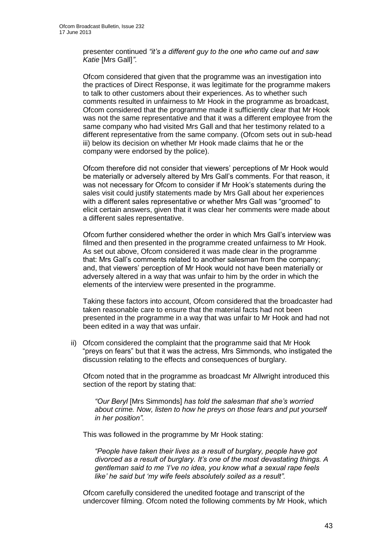presenter continued *"it's a different guy to the one who came out and saw Katie* [Mrs Gall]*"*.

Ofcom considered that given that the programme was an investigation into the practices of Direct Response, it was legitimate for the programme makers to talk to other customers about their experiences. As to whether such comments resulted in unfairness to Mr Hook in the programme as broadcast, Ofcom considered that the programme made it sufficiently clear that Mr Hook was not the same representative and that it was a different employee from the same company who had visited Mrs Gall and that her testimony related to a different representative from the same company. (Ofcom sets out in sub-head iii) below its decision on whether Mr Hook made claims that he or the company were endorsed by the police).

Ofcom therefore did not consider that viewers' perceptions of Mr Hook would be materially or adversely altered by Mrs Gall's comments. For that reason, it was not necessary for Ofcom to consider if Mr Hook's statements during the sales visit could justify statements made by Mrs Gall about her experiences with a different sales representative or whether Mrs Gall was "groomed" to elicit certain answers, given that it was clear her comments were made about a different sales representative.

Ofcom further considered whether the order in which Mrs Gall's interview was filmed and then presented in the programme created unfairness to Mr Hook. As set out above, Ofcom considered it was made clear in the programme that: Mrs Gall's comments related to another salesman from the company; and, that viewers' perception of Mr Hook would not have been materially or adversely altered in a way that was unfair to him by the order in which the elements of the interview were presented in the programme.

Taking these factors into account, Ofcom considered that the broadcaster had taken reasonable care to ensure that the material facts had not been presented in the programme in a way that was unfair to Mr Hook and had not been edited in a way that was unfair.

ii) Ofcom considered the complaint that the programme said that Mr Hook "preys on fears" but that it was the actress, Mrs Simmonds, who instigated the discussion relating to the effects and consequences of burglary.

Ofcom noted that in the programme as broadcast Mr Allwright introduced this section of the report by stating that:

*"Our Beryl* [Mrs Simmonds] *has told the salesman that she's worried about crime. Now, listen to how he preys on those fears and put yourself in her position".* 

This was followed in the programme by Mr Hook stating:

*"People have taken their lives as a result of burglary, people have got divorced as a result of burglary. It's one of the most devastating things. A gentleman said to me 'I've no idea, you know what a sexual rape feels like' he said but 'my wife feels absolutely soiled as a result".* 

Ofcom carefully considered the unedited footage and transcript of the undercover filming. Ofcom noted the following comments by Mr Hook, which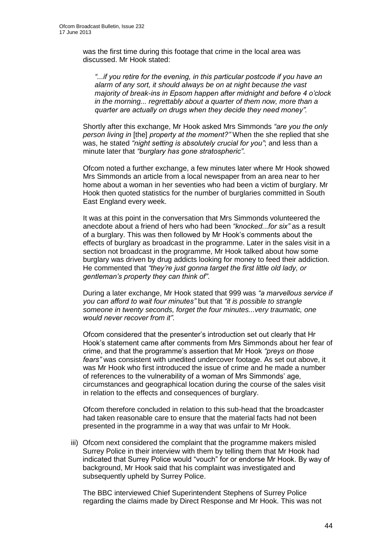was the first time during this footage that crime in the local area was discussed. Mr Hook stated:

*"...if you retire for the evening, in this particular postcode if you have an alarm of any sort, it should always be on at night because the vast majority of break-ins in Epsom happen after midnight and before 4 o'clock in the morning... regrettably about a quarter of them now, more than a quarter are actually on drugs when they decide they need money".*

Shortly after this exchange, Mr Hook asked Mrs Simmonds *"are you the only person living in* [the] *property at the moment?"* When the she replied that she was, he stated *"night setting is absolutely crucial for you"*; and less than a minute later that *"burglary has gone stratospheric"*.

Ofcom noted a further exchange, a few minutes later where Mr Hook showed Mrs Simmonds an article from a local newspaper from an area near to her home about a woman in her seventies who had been a victim of burglary. Mr Hook then quoted statistics for the number of burglaries committed in South East England every week.

It was at this point in the conversation that Mrs Simmonds volunteered the anecdote about a friend of hers who had been *"knocked...for six"* as a result of a burglary. This was then followed by Mr Hook's comments about the effects of burglary as broadcast in the programme. Later in the sales visit in a section not broadcast in the programme, Mr Hook talked about how some burglary was driven by drug addicts looking for money to feed their addiction. He commented that *"they're just gonna target the first little old lady, or gentleman's property they can think of"*.

During a later exchange, Mr Hook stated that 999 was *"a marvellous service if you can afford to wait four minutes"* but that *"it is possible to strangle someone in twenty seconds, forget the four minutes...very traumatic, one would never recover from it"*.

Ofcom considered that the presenter's introduction set out clearly that Hr Hook's statement came after comments from Mrs Simmonds about her fear of crime, and that the programme's assertion that Mr Hook *"preys on those fears"* was consistent with unedited undercover footage. As set out above, it was Mr Hook who first introduced the issue of crime and he made a number of references to the vulnerability of a woman of Mrs Simmonds' age, circumstances and geographical location during the course of the sales visit in relation to the effects and consequences of burglary.

Ofcom therefore concluded in relation to this sub-head that the broadcaster had taken reasonable care to ensure that the material facts had not been presented in the programme in a way that was unfair to Mr Hook.

iii) Ofcom next considered the complaint that the programme makers misled Surrey Police in their interview with them by telling them that Mr Hook had indicated that Surrey Police would "vouch" for or endorse Mr Hook. By way of background, Mr Hook said that his complaint was investigated and subsequently upheld by Surrey Police.

The BBC interviewed Chief Superintendent Stephens of Surrey Police regarding the claims made by Direct Response and Mr Hook. This was not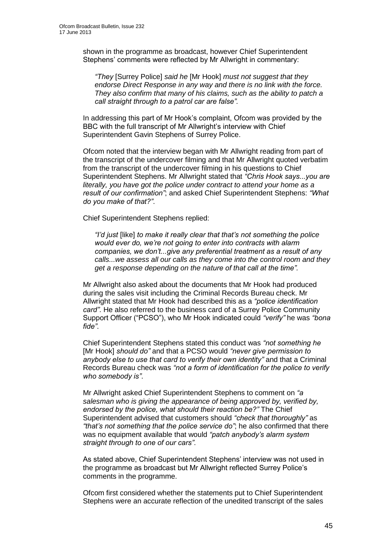shown in the programme as broadcast, however Chief Superintendent Stephens' comments were reflected by Mr Allwright in commentary:

*"They* [Surrey Police] *said he* [Mr Hook] *must not suggest that they endorse Direct Response in any way and there is no link with the force. They also confirm that many of his claims, such as the ability to patch a call straight through to a patrol car are false".*

In addressing this part of Mr Hook's complaint, Ofcom was provided by the BBC with the full transcript of Mr Allwright's interview with Chief Superintendent Gavin Stephens of Surrey Police.

Ofcom noted that the interview began with Mr Allwright reading from part of the transcript of the undercover filming and that Mr Allwright quoted verbatim from the transcript of the undercover filming in his questions to Chief Superintendent Stephens. Mr Allwright stated that *"Chris Hook says...you are literally, you have got the police under contract to attend your home as a result of our confirmation"*; and asked Chief Superintendent Stephens: *"What do you make of that?"*.

Chief Superintendent Stephens replied:

*"I'd just* [like] *to make it really clear that that's not something the police would ever do, we're not going to enter into contracts with alarm companies, we don't...give any preferential treatment as a result of any calls...we assess all our calls as they come into the control room and they get a response depending on the nature of that call at the time".*

Mr Allwright also asked about the documents that Mr Hook had produced during the sales visit including the Criminal Records Bureau check. Mr Allwright stated that Mr Hook had described this as a *"police identification card"*. He also referred to the business card of a Surrey Police Community Support Officer ("PCSO"), who Mr Hook indicated could *"verify"* he was *"bona fide"*.

Chief Superintendent Stephens stated this conduct was *"not something he* [Mr Hook] *should do"* and that a PCSO would *"never give permission to anybody else to use that card to verify their own identity"* and that a Criminal Records Bureau check was *"not a form of identification for the police to verify who somebody is"*.

Mr Allwright asked Chief Superintendent Stephens to comment on *"a salesman who is giving the appearance of being approved by, verified by, endorsed by the police, what should their reaction be?"* The Chief Superintendent advised that customers should *"check that thoroughly"* as *"that's not something that the police service do"*; he also confirmed that there was no equipment available that would *"patch anybody's alarm system straight through to one of our cars"*.

As stated above, Chief Superintendent Stephens' interview was not used in the programme as broadcast but Mr Allwright reflected Surrey Police's comments in the programme.

Ofcom first considered whether the statements put to Chief Superintendent Stephens were an accurate reflection of the unedited transcript of the sales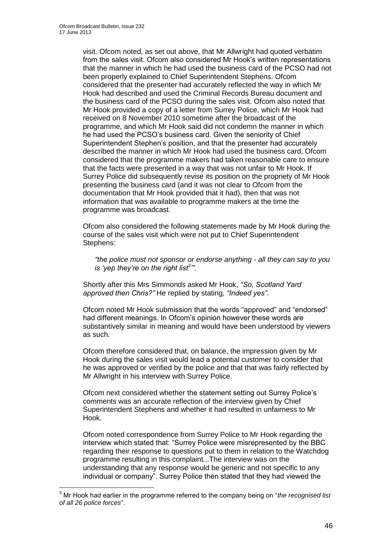1

visit. Ofcom noted, as set out above, that Mr Allwright had quoted verbatim from the sales visit. Ofcom also considered Mr Hook's written representations that the manner in which he had used the business card of the PCSO had not been properly explained to Chief Superintendent Stephens. Ofcom considered that the presenter had accurately reflected the way in which Mr Hook had described and used the Criminal Records Bureau document and the business card of the PCSO during the sales visit. Ofcom also noted that Mr Hook provided a copy of a letter from Surrey Police, which Mr Hook had received on 8 November 2010 sometime after the broadcast of the programme, and which Mr Hook said did not condemn the manner in which he had used the PCSO's business card. Given the seniority of Chief Superintendent Stephen's position, and that the presenter had accurately described the manner in which Mr Hook had used the business card, Ofcom considered that the programme makers had taken reasonable care to ensure that the facts were presented in a way that was not unfair to Mr Hook. If Surrey Police did subsequently revise its position on the propriety of Mr Hook presenting the business card (and it was not clear to Ofcom from the documentation that Mr Hook provided that it had), then that was not information that was available to programme makers at the time the programme was broadcast.

Ofcom also considered the following statements made by Mr Hook during the course of the sales visit which were not put to Chief Superintendent Stephens:

*"the police must not sponsor or endorse anything - all they can say to you is 'yep they're on the right list<sup>3</sup> '".* 

Shortly after this Mrs Simmonds asked Mr Hook, *"So, Scotland Yard approved then Chris?"* He replied by stating, *"Indeed yes"*.

Ofcom noted Mr Hook submission that the words "approved" and "endorsed" had different meanings. In Ofcom's opinion however these words are substantively similar in meaning and would have been understood by viewers as such.

Ofcom therefore considered that, on balance, the impression given by Mr Hook during the sales visit would lead a potential customer to consider that he was approved or verified by the police and that that was fairly reflected by Mr Allwright in his interview with Surrey Police.

Ofcom next considered whether the statement setting out Surrey Police's comments was an accurate reflection of the interview given by Chief Superintendent Stephens and whether it had resulted in unfairness to Mr Hook.

Ofcom noted correspondence from Surrey Police to Mr Hook regarding the interview which stated that: "Surrey Police were misrepresented by the BBC regarding their response to questions put to them in relation to the Watchdog programme resulting in this complaint...The interview was on the understanding that any response would be generic and not specific to any individual or company". Surrey Police then stated that they had viewed the

<sup>3</sup> Mr Hook had earlier in the programme referred to the company being on "*the recognised list of all 26 police forces*".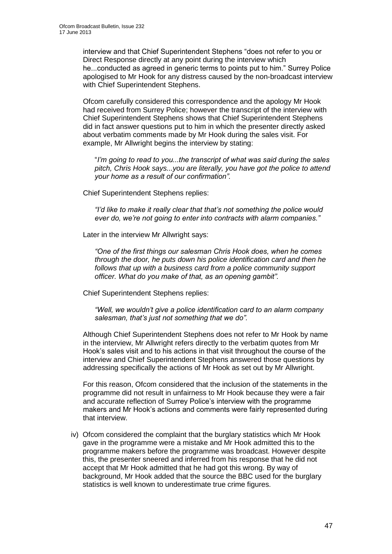interview and that Chief Superintendent Stephens "does not refer to you or Direct Response directly at any point during the interview which he...conducted as agreed in generic terms to points put to him." Surrey Police apologised to Mr Hook for any distress caused by the non-broadcast interview with Chief Superintendent Stephens.

Ofcom carefully considered this correspondence and the apology Mr Hook had received from Surrey Police; however the transcript of the interview with Chief Superintendent Stephens shows that Chief Superintendent Stephens did in fact answer questions put to him in which the presenter directly asked about verbatim comments made by Mr Hook during the sales visit. For example, Mr Allwright begins the interview by stating:

"*I'm going to read to you...the transcript of what was said during the sales pitch, Chris Hook says...you are literally, you have got the police to attend your home as a result of our confirmation".* 

Chief Superintendent Stephens replies:

*"I'd like to make it really clear that that's not something the police would ever do, we're not going to enter into contracts with alarm companies."* 

Later in the interview Mr Allwright says:

*"One of the first things our salesman Chris Hook does, when he comes through the door, he puts down his police identification card and then he follows that up with a business card from a police community support officer. What do you make of that, as an opening gambit".*

Chief Superintendent Stephens replies:

*"Well, we wouldn't give a police identification card to an alarm company salesman, that's just not something that we do".* 

Although Chief Superintendent Stephens does not refer to Mr Hook by name in the interview, Mr Allwright refers directly to the verbatim quotes from Mr Hook's sales visit and to his actions in that visit throughout the course of the interview and Chief Superintendent Stephens answered those questions by addressing specifically the actions of Mr Hook as set out by Mr Allwright.

For this reason, Ofcom considered that the inclusion of the statements in the programme did not result in unfairness to Mr Hook because they were a fair and accurate reflection of Surrey Police's interview with the programme makers and Mr Hook's actions and comments were fairly represented during that interview.

iv) Ofcom considered the complaint that the burglary statistics which Mr Hook gave in the programme were a mistake and Mr Hook admitted this to the programme makers before the programme was broadcast. However despite this, the presenter sneered and inferred from his response that he did not accept that Mr Hook admitted that he had got this wrong. By way of background, Mr Hook added that the source the BBC used for the burglary statistics is well known to underestimate true crime figures.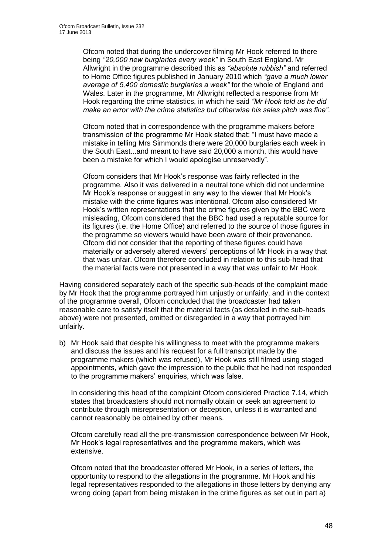Ofcom noted that during the undercover filming Mr Hook referred to there being *"20,000 new burglaries every week"* in South East England. Mr Allwright in the programme described this as *"absolute rubbish"* and referred to Home Office figures published in January 2010 which *"gave a much lower average of 5,400 domestic burglaries a week"* for the whole of England and Wales. Later in the programme, Mr Allwright reflected a response from Mr Hook regarding the crime statistics, in which he said *"Mr Hook told us he did make an error with the crime statistics but otherwise his sales pitch was fine"*.

Ofcom noted that in correspondence with the programme makers before transmission of the programme Mr Hook stated that: "I must have made a mistake in telling Mrs Simmonds there were 20,000 burglaries each week in the South East...and meant to have said 20,000 a month, this would have been a mistake for which I would apologise unreservedly".

Ofcom considers that Mr Hook's response was fairly reflected in the programme. Also it was delivered in a neutral tone which did not undermine Mr Hook's response or suggest in any way to the viewer that Mr Hook's mistake with the crime figures was intentional. Ofcom also considered Mr Hook's written representations that the crime figures given by the BBC were misleading, Ofcom considered that the BBC had used a reputable source for its figures (i.e. the Home Office) and referred to the source of those figures in the programme so viewers would have been aware of their provenance. Ofcom did not consider that the reporting of these figures could have materially or adversely altered viewers' perceptions of Mr Hook in a way that that was unfair. Ofcom therefore concluded in relation to this sub-head that the material facts were not presented in a way that was unfair to Mr Hook.

Having considered separately each of the specific sub-heads of the complaint made by Mr Hook that the programme portrayed him unjustly or unfairly, and in the context of the programme overall, Ofcom concluded that the broadcaster had taken reasonable care to satisfy itself that the material facts (as detailed in the sub-heads above) were not presented, omitted or disregarded in a way that portrayed him unfairly.

b) Mr Hook said that despite his willingness to meet with the programme makers and discuss the issues and his request for a full transcript made by the programme makers (which was refused), Mr Hook was still filmed using staged appointments, which gave the impression to the public that he had not responded to the programme makers' enquiries, which was false.

In considering this head of the complaint Ofcom considered Practice 7.14, which states that broadcasters should not normally obtain or seek an agreement to contribute through misrepresentation or deception, unless it is warranted and cannot reasonably be obtained by other means.

Ofcom carefully read all the pre-transmission correspondence between Mr Hook, Mr Hook's legal representatives and the programme makers, which was extensive.

Ofcom noted that the broadcaster offered Mr Hook, in a series of letters, the opportunity to respond to the allegations in the programme. Mr Hook and his legal representatives responded to the allegations in those letters by denying any wrong doing (apart from being mistaken in the crime figures as set out in part a)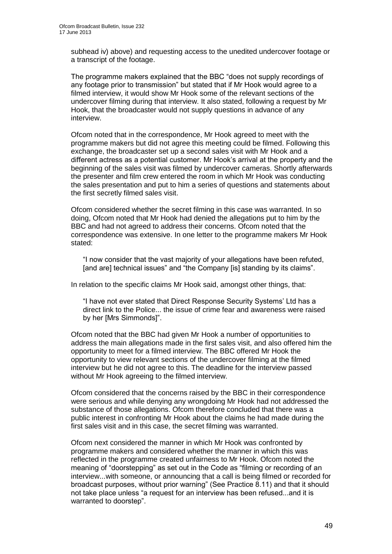subhead iv) above) and requesting access to the unedited undercover footage or a transcript of the footage.

The programme makers explained that the BBC "does not supply recordings of any footage prior to transmission" but stated that if Mr Hook would agree to a filmed interview, it would show Mr Hook some of the relevant sections of the undercover filming during that interview. It also stated, following a request by Mr Hook, that the broadcaster would not supply questions in advance of any interview.

Ofcom noted that in the correspondence, Mr Hook agreed to meet with the programme makers but did not agree this meeting could be filmed. Following this exchange, the broadcaster set up a second sales visit with Mr Hook and a different actress as a potential customer. Mr Hook's arrival at the property and the beginning of the sales visit was filmed by undercover cameras. Shortly afterwards the presenter and film crew entered the room in which Mr Hook was conducting the sales presentation and put to him a series of questions and statements about the first secretly filmed sales visit.

Ofcom considered whether the secret filming in this case was warranted. In so doing, Ofcom noted that Mr Hook had denied the allegations put to him by the BBC and had not agreed to address their concerns. Ofcom noted that the correspondence was extensive. In one letter to the programme makers Mr Hook stated:

"I now consider that the vast majority of your allegations have been refuted, [and are] technical issues" and "the Company [is] standing by its claims".

In relation to the specific claims Mr Hook said, amongst other things, that:

"I have not ever stated that Direct Response Security Systems' Ltd has a direct link to the Police... the issue of crime fear and awareness were raised by her [Mrs Simmonds]".

Ofcom noted that the BBC had given Mr Hook a number of opportunities to address the main allegations made in the first sales visit, and also offered him the opportunity to meet for a filmed interview. The BBC offered Mr Hook the opportunity to view relevant sections of the undercover filming at the filmed interview but he did not agree to this. The deadline for the interview passed without Mr Hook agreeing to the filmed interview.

Ofcom considered that the concerns raised by the BBC in their correspondence were serious and while denying any wrongdoing Mr Hook had not addressed the substance of those allegations. Ofcom therefore concluded that there was a public interest in confronting Mr Hook about the claims he had made during the first sales visit and in this case, the secret filming was warranted.

Ofcom next considered the manner in which Mr Hook was confronted by programme makers and considered whether the manner in which this was reflected in the programme created unfairness to Mr Hook. Ofcom noted the meaning of "doorstepping" as set out in the Code as "filming or recording of an interview...with someone, or announcing that a call is being filmed or recorded for broadcast purposes, without prior warning" (See Practice 8.11) and that it should not take place unless "a request for an interview has been refused...and it is warranted to doorstep".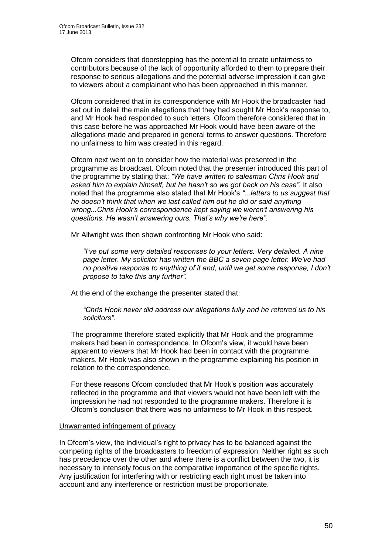Ofcom considers that doorstepping has the potential to create unfairness to contributors because of the lack of opportunity afforded to them to prepare their response to serious allegations and the potential adverse impression it can give to viewers about a complainant who has been approached in this manner.

Ofcom considered that in its correspondence with Mr Hook the broadcaster had set out in detail the main allegations that they had sought Mr Hook's response to, and Mr Hook had responded to such letters. Ofcom therefore considered that in this case before he was approached Mr Hook would have been aware of the allegations made and prepared in general terms to answer questions. Therefore no unfairness to him was created in this regard.

Ofcom next went on to consider how the material was presented in the programme as broadcast. Ofcom noted that the presenter introduced this part of the programme by stating that: *"We have written to salesman Chris Hook and asked him to explain himself, but he hasn't so we got back on his case"*. It also noted that the programme also stated that Mr Hook's *"...letters to us suggest that he doesn't think that when we last called him out he did or said anything wrong...Chris Hook's correspondence kept saying we weren't answering his questions. He wasn't answering ours. That's why we're here".*

Mr Allwright was then shown confronting Mr Hook who said:

*"I've put some very detailed responses to your letters. Very detailed. A nine page letter. My solicitor has written the BBC a seven page letter. We've had no positive response to anything of it and, until we get some response, I don't propose to take this any further".*

At the end of the exchange the presenter stated that:

*"Chris Hook never did address our allegations fully and he referred us to his solicitors".*

The programme therefore stated explicitly that Mr Hook and the programme makers had been in correspondence. In Ofcom's view, it would have been apparent to viewers that Mr Hook had been in contact with the programme makers. Mr Hook was also shown in the programme explaining his position in relation to the correspondence.

For these reasons Ofcom concluded that Mr Hook's position was accurately reflected in the programme and that viewers would not have been left with the impression he had not responded to the programme makers. Therefore it is Ofcom's conclusion that there was no unfairness to Mr Hook in this respect.

#### Unwarranted infringement of privacy

In Ofcom's view, the individual's right to privacy has to be balanced against the competing rights of the broadcasters to freedom of expression. Neither right as such has precedence over the other and where there is a conflict between the two, it is necessary to intensely focus on the comparative importance of the specific rights. Any justification for interfering with or restricting each right must be taken into account and any interference or restriction must be proportionate.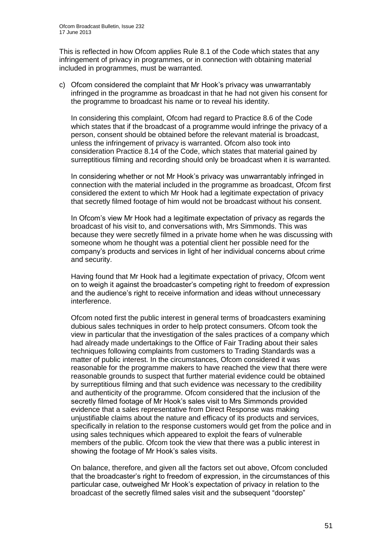This is reflected in how Ofcom applies Rule 8.1 of the Code which states that any infringement of privacy in programmes, or in connection with obtaining material included in programmes, must be warranted.

c) Ofcom considered the complaint that Mr Hook's privacy was unwarrantably infringed in the programme as broadcast in that he had not given his consent for the programme to broadcast his name or to reveal his identity.

In considering this complaint, Ofcom had regard to Practice 8.6 of the Code which states that if the broadcast of a programme would infringe the privacy of a person, consent should be obtained before the relevant material is broadcast, unless the infringement of privacy is warranted. Ofcom also took into consideration Practice 8.14 of the Code, which states that material gained by surreptitious filming and recording should only be broadcast when it is warranted.

In considering whether or not Mr Hook's privacy was unwarrantably infringed in connection with the material included in the programme as broadcast, Ofcom first considered the extent to which Mr Hook had a legitimate expectation of privacy that secretly filmed footage of him would not be broadcast without his consent.

In Ofcom's view Mr Hook had a legitimate expectation of privacy as regards the broadcast of his visit to, and conversations with, Mrs Simmonds. This was because they were secretly filmed in a private home when he was discussing with someone whom he thought was a potential client her possible need for the company's products and services in light of her individual concerns about crime and security.

Having found that Mr Hook had a legitimate expectation of privacy, Ofcom went on to weigh it against the broadcaster's competing right to freedom of expression and the audience's right to receive information and ideas without unnecessary interference.

Ofcom noted first the public interest in general terms of broadcasters examining dubious sales techniques in order to help protect consumers. Ofcom took the view in particular that the investigation of the sales practices of a company which had already made undertakings to the Office of Fair Trading about their sales techniques following complaints from customers to Trading Standards was a matter of public interest. In the circumstances, Ofcom considered it was reasonable for the programme makers to have reached the view that there were reasonable grounds to suspect that further material evidence could be obtained by surreptitious filming and that such evidence was necessary to the credibility and authenticity of the programme. Ofcom considered that the inclusion of the secretly filmed footage of Mr Hook's sales visit to Mrs Simmonds provided evidence that a sales representative from Direct Response was making unjustifiable claims about the nature and efficacy of its products and services, specifically in relation to the response customers would get from the police and in using sales techniques which appeared to exploit the fears of vulnerable members of the public. Ofcom took the view that there was a public interest in showing the footage of Mr Hook's sales visits.

On balance, therefore, and given all the factors set out above, Ofcom concluded that the broadcaster's right to freedom of expression, in the circumstances of this particular case, outweighed Mr Hook's expectation of privacy in relation to the broadcast of the secretly filmed sales visit and the subsequent "doorstep"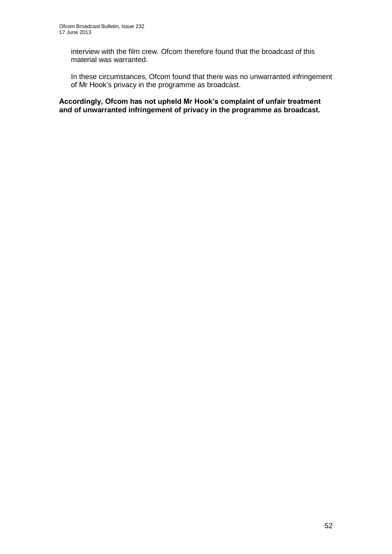interview with the film crew. Ofcom therefore found that the broadcast of this material was warranted.

In these circumstances, Ofcom found that there was no unwarranted infringement of Mr Hook's privacy in the programme as broadcast.

**Accordingly, Ofcom has not upheld Mr Hook's complaint of unfair treatment and of unwarranted infringement of privacy in the programme as broadcast.**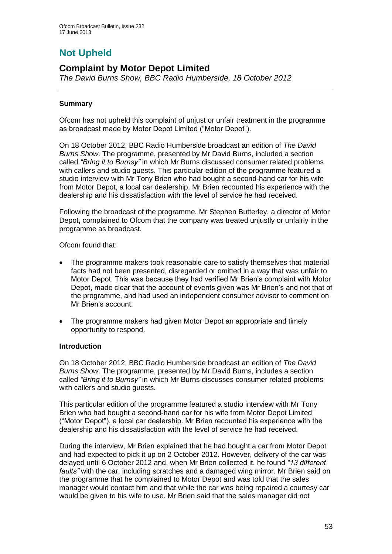# **Not Upheld**

### **Complaint by Motor Depot Limited**

*The David Burns Show, BBC Radio Humberside, 18 October 2012*

#### **Summary**

Ofcom has not upheld this complaint of unjust or unfair treatment in the programme as broadcast made by Motor Depot Limited ("Motor Depot").

On 18 October 2012, BBC Radio Humberside broadcast an edition of *The David Burns Show*. The programme, presented by Mr David Burns, included a section called *"Bring it to Burnsy"* in which Mr Burns discussed consumer related problems with callers and studio guests. This particular edition of the programme featured a studio interview with Mr Tony Brien who had bought a second-hand car for his wife from Motor Depot, a local car dealership. Mr Brien recounted his experience with the dealership and his dissatisfaction with the level of service he had received.

Following the broadcast of the programme, Mr Stephen Butterley, a director of Motor Depot**,** complained to Ofcom that the company was treated unjustly or unfairly in the programme as broadcast.

Ofcom found that:

- The programme makers took reasonable care to satisfy themselves that material facts had not been presented, disregarded or omitted in a way that was unfair to Motor Depot. This was because they had verified Mr Brien's complaint with Motor Depot, made clear that the account of events given was Mr Brien's and not that of the programme, and had used an independent consumer advisor to comment on Mr Brien's account.
- The programme makers had given Motor Depot an appropriate and timely opportunity to respond.

#### **Introduction**

On 18 October 2012, BBC Radio Humberside broadcast an edition of *The David Burns Show*. The programme, presented by Mr David Burns, includes a section called *"Bring it to Burnsy"* in which Mr Burns discusses consumer related problems with callers and studio quests.

This particular edition of the programme featured a studio interview with Mr Tony Brien who had bought a second-hand car for his wife from Motor Depot Limited ("Motor Depot"), a local car dealership. Mr Brien recounted his experience with the dealership and his dissatisfaction with the level of service he had received.

During the interview, Mr Brien explained that he had bought a car from Motor Depot and had expected to pick it up on 2 October 2012. However, delivery of the car was delayed until 6 October 2012 and, when Mr Brien collected it, he found *"13 different faults"* with the car, including scratches and a damaged wing mirror. Mr Brien said on the programme that he complained to Motor Depot and was told that the sales manager would contact him and that while the car was being repaired a courtesy car would be given to his wife to use. Mr Brien said that the sales manager did not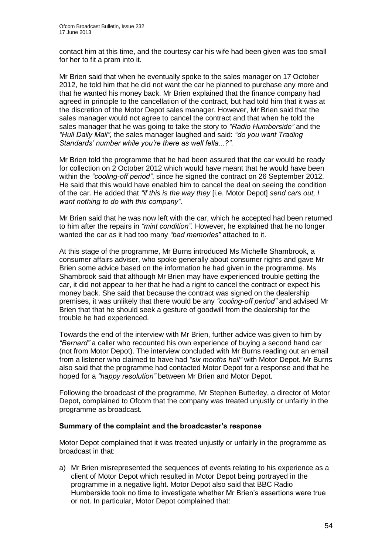contact him at this time, and the courtesy car his wife had been given was too small for her to fit a pram into it.

Mr Brien said that when he eventually spoke to the sales manager on 17 October 2012, he told him that he did not want the car he planned to purchase any more and that he wanted his money back. Mr Brien explained that the finance company had agreed in principle to the cancellation of the contract, but had told him that it was at the discretion of the Motor Depot sales manager. However, Mr Brien said that the sales manager would not agree to cancel the contract and that when he told the sales manager that he was going to take the story to *"Radio Humberside"* and the *"Hull Daily Mail",* the sales manager laughed and said: *"do you want Trading Standards' number while you're there as well fella...?"*.

Mr Brien told the programme that he had been assured that the car would be ready for collection on 2 October 2012 which would have meant that he would have been within the *"cooling-off period"*, since he signed the contract on 26 September 2012. He said that this would have enabled him to cancel the deal on seeing the condition of the car. He added that *"if this is the way they* [i.e. Motor Depot] *send cars out, I want nothing to do with this company"*.

Mr Brien said that he was now left with the car, which he accepted had been returned to him after the repairs in *"mint condition"*. However, he explained that he no longer wanted the car as it had too many *"bad memories"* attached to it.

At this stage of the programme, Mr Burns introduced Ms Michelle Shambrook, a consumer affairs adviser, who spoke generally about consumer rights and gave Mr Brien some advice based on the information he had given in the programme. Ms Shambrook said that although Mr Brien may have experienced trouble getting the car, it did not appear to her that he had a right to cancel the contract or expect his money back. She said that because the contract was signed on the dealership premises, it was unlikely that there would be any *"cooling-off period"* and advised Mr Brien that that he should seek a gesture of goodwill from the dealership for the trouble he had experienced.

Towards the end of the interview with Mr Brien, further advice was given to him by *"Bernard"* a caller who recounted his own experience of buying a second hand car (not from Motor Depot). The interview concluded with Mr Burns reading out an email from a listener who claimed to have had *"six months hell"* with Motor Depot. Mr Burns also said that the programme had contacted Motor Depot for a response and that he hoped for a *"happy resolution"* between Mr Brien and Motor Depot.

Following the broadcast of the programme, Mr Stephen Butterley, a director of Motor Depot**,** complained to Ofcom that the company was treated unjustly or unfairly in the programme as broadcast.

#### **Summary of the complaint and the broadcaster's response**

Motor Depot complained that it was treated unjustly or unfairly in the programme as broadcast in that:

a) Mr Brien misrepresented the sequences of events relating to his experience as a client of Motor Depot which resulted in Motor Depot being portrayed in the programme in a negative light. Motor Depot also said that BBC Radio Humberside took no time to investigate whether Mr Brien's assertions were true or not. In particular, Motor Depot complained that: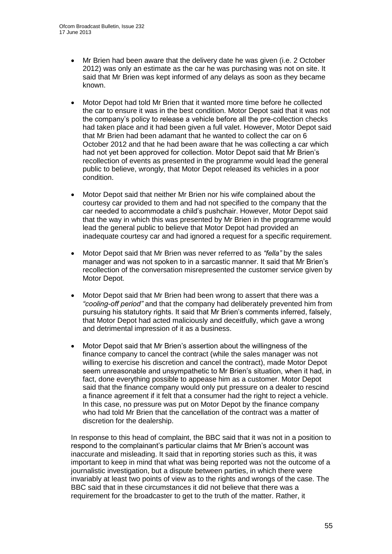- Mr Brien had been aware that the delivery date he was given (i.e. 2 October 2012) was only an estimate as the car he was purchasing was not on site. It said that Mr Brien was kept informed of any delays as soon as they became known.
- Motor Depot had told Mr Brien that it wanted more time before he collected the car to ensure it was in the best condition. Motor Depot said that it was not the company's policy to release a vehicle before all the pre-collection checks had taken place and it had been given a full valet. However, Motor Depot said that Mr Brien had been adamant that he wanted to collect the car on 6 October 2012 and that he had been aware that he was collecting a car which had not yet been approved for collection. Motor Depot said that Mr Brien's recollection of events as presented in the programme would lead the general public to believe, wrongly, that Motor Depot released its vehicles in a poor condition.
- Motor Depot said that neither Mr Brien nor his wife complained about the courtesy car provided to them and had not specified to the company that the car needed to accommodate a child's pushchair. However, Motor Depot said that the way in which this was presented by Mr Brien in the programme would lead the general public to believe that Motor Depot had provided an inadequate courtesy car and had ignored a request for a specific requirement.
- Motor Depot said that Mr Brien was never referred to as *"fella"* by the sales manager and was not spoken to in a sarcastic manner. It said that Mr Brien's recollection of the conversation misrepresented the customer service given by Motor Depot.
- Motor Depot said that Mr Brien had been wrong to assert that there was a *"cooling-off period"* and that the company had deliberately prevented him from pursuing his statutory rights. It said that Mr Brien's comments inferred, falsely, that Motor Depot had acted maliciously and deceitfully, which gave a wrong and detrimental impression of it as a business.
- Motor Depot said that Mr Brien's assertion about the willingness of the finance company to cancel the contract (while the sales manager was not willing to exercise his discretion and cancel the contract), made Motor Depot seem unreasonable and unsympathetic to Mr Brien's situation, when it had, in fact, done everything possible to appease him as a customer. Motor Depot said that the finance company would only put pressure on a dealer to rescind a finance agreement if it felt that a consumer had the right to reject a vehicle. In this case, no pressure was put on Motor Depot by the finance company who had told Mr Brien that the cancellation of the contract was a matter of discretion for the dealership.

In response to this head of complaint, the BBC said that it was not in a position to respond to the complainant's particular claims that Mr Brien's account was inaccurate and misleading. It said that in reporting stories such as this, it was important to keep in mind that what was being reported was not the outcome of a journalistic investigation, but a dispute between parties, in which there were invariably at least two points of view as to the rights and wrongs of the case. The BBC said that in these circumstances it did not believe that there was a requirement for the broadcaster to get to the truth of the matter. Rather, it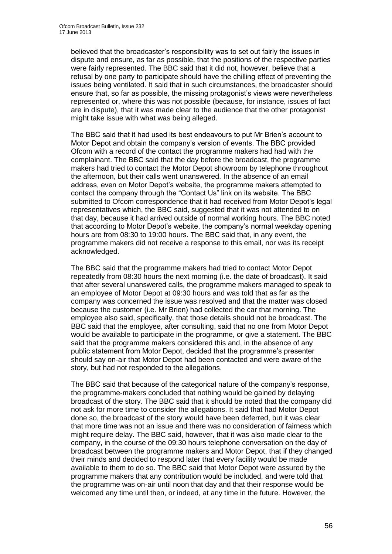believed that the broadcaster's responsibility was to set out fairly the issues in dispute and ensure, as far as possible, that the positions of the respective parties were fairly represented. The BBC said that it did not, however, believe that a refusal by one party to participate should have the chilling effect of preventing the issues being ventilated. It said that in such circumstances, the broadcaster should ensure that, so far as possible, the missing protagonist's views were nevertheless represented or, where this was not possible (because, for instance, issues of fact are in dispute), that it was made clear to the audience that the other protagonist might take issue with what was being alleged.

The BBC said that it had used its best endeavours to put Mr Brien's account to Motor Depot and obtain the company's version of events. The BBC provided Ofcom with a record of the contact the programme makers had had with the complainant. The BBC said that the day before the broadcast, the programme makers had tried to contact the Motor Depot showroom by telephone throughout the afternoon, but their calls went unanswered. In the absence of an email address, even on Motor Depot's website, the programme makers attempted to contact the company through the "Contact Us" link on its website. The BBC submitted to Ofcom correspondence that it had received from Motor Depot's legal representatives which, the BBC said, suggested that it was not attended to on that day, because it had arrived outside of normal working hours. The BBC noted that according to Motor Depot's website, the company's normal weekday opening hours are from 08:30 to 19:00 hours. The BBC said that, in any event, the programme makers did not receive a response to this email, nor was its receipt acknowledged.

The BBC said that the programme makers had tried to contact Motor Depot repeatedly from 08:30 hours the next morning (i.e. the date of broadcast). It said that after several unanswered calls, the programme makers managed to speak to an employee of Motor Depot at 09:30 hours and was told that as far as the company was concerned the issue was resolved and that the matter was closed because the customer (i.e. Mr Brien) had collected the car that morning. The employee also said, specifically, that those details should not be broadcast. The BBC said that the employee, after consulting, said that no one from Motor Depot would be available to participate in the programme, or give a statement. The BBC said that the programme makers considered this and, in the absence of any public statement from Motor Depot, decided that the programme's presenter should say on-air that Motor Depot had been contacted and were aware of the story, but had not responded to the allegations.

The BBC said that because of the categorical nature of the company's response, the programme-makers concluded that nothing would be gained by delaying broadcast of the story. The BBC said that it should be noted that the company did not ask for more time to consider the allegations. It said that had Motor Depot done so, the broadcast of the story would have been deferred, but it was clear that more time was not an issue and there was no consideration of fairness which might require delay. The BBC said, however, that it was also made clear to the company, in the course of the 09:30 hours telephone conversation on the day of broadcast between the programme makers and Motor Depot, that if they changed their minds and decided to respond later that every facility would be made available to them to do so. The BBC said that Motor Depot were assured by the programme makers that any contribution would be included, and were told that the programme was on-air until noon that day and that their response would be welcomed any time until then, or indeed, at any time in the future. However, the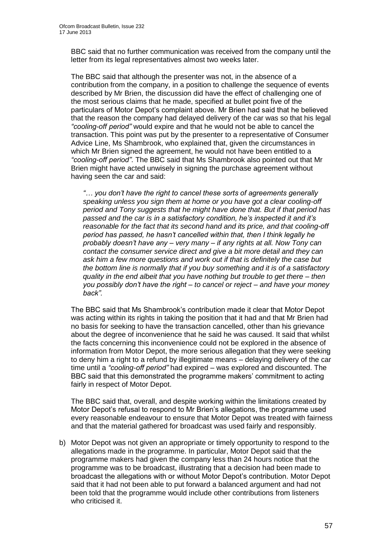BBC said that no further communication was received from the company until the letter from its legal representatives almost two weeks later.

The BBC said that although the presenter was not, in the absence of a contribution from the company, in a position to challenge the sequence of events described by Mr Brien, the discussion did have the effect of challenging one of the most serious claims that he made, specified at bullet point five of the particulars of Motor Depot's complaint above. Mr Brien had said that he believed that the reason the company had delayed delivery of the car was so that his legal *"cooling-off period"* would expire and that he would not be able to cancel the transaction. This point was put by the presenter to a representative of Consumer Advice Line, Ms Shambrook, who explained that, given the circumstances in which Mr Brien signed the agreement, he would not have been entitled to a *"cooling-off period"*. The BBC said that Ms Shambrook also pointed out that Mr Brien might have acted unwisely in signing the purchase agreement without having seen the car and said:

*"… you don't have the right to cancel these sorts of agreements generally speaking unless you sign them at home or you have got a clear cooling-off period and Tony suggests that he might have done that. But if that period has passed and the car is in a satisfactory condition, he's inspected it and it's reasonable for the fact that its second hand and its price, and that cooling-off period has passed, he hasn't cancelled within that, then I think legally he probably doesn't have any – very many – if any rights at all. Now Tony can contact the consumer service direct and give a bit more detail and they can ask him a few more questions and work out if that is definitely the case but the bottom line is normally that if you buy something and it is of a satisfactory quality in the end albeit that you have nothing but trouble to get there – then you possibly don't have the right – to cancel or reject – and have your money back".*

The BBC said that Ms Shambrook's contribution made it clear that Motor Depot was acting within its rights in taking the position that it had and that Mr Brien had no basis for seeking to have the transaction cancelled, other than his grievance about the degree of inconvenience that he said he was caused. It said that whilst the facts concerning this inconvenience could not be explored in the absence of information from Motor Depot, the more serious allegation that they were seeking to deny him a right to a refund by illegitimate means – delaying delivery of the car time until a *"cooling-off period"* had expired – was explored and discounted. The BBC said that this demonstrated the programme makers' commitment to acting fairly in respect of Motor Depot.

The BBC said that, overall, and despite working within the limitations created by Motor Depot's refusal to respond to Mr Brien's allegations, the programme used every reasonable endeavour to ensure that Motor Depot was treated with fairness and that the material gathered for broadcast was used fairly and responsibly.

b) Motor Depot was not given an appropriate or timely opportunity to respond to the allegations made in the programme. In particular, Motor Depot said that the programme makers had given the company less than 24 hours notice that the programme was to be broadcast, illustrating that a decision had been made to broadcast the allegations with or without Motor Depot's contribution. Motor Depot said that it had not been able to put forward a balanced argument and had not been told that the programme would include other contributions from listeners who criticised it.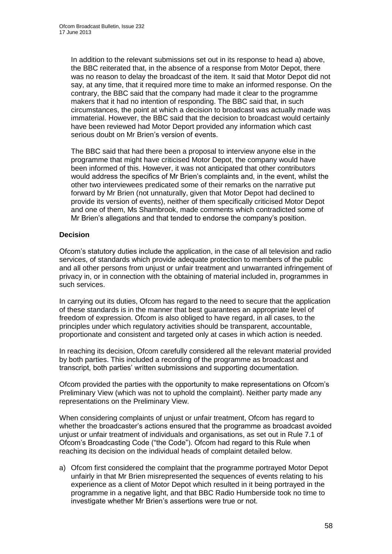In addition to the relevant submissions set out in its response to head a) above, the BBC reiterated that, in the absence of a response from Motor Depot, there was no reason to delay the broadcast of the item. It said that Motor Depot did not say, at any time, that it required more time to make an informed response. On the contrary, the BBC said that the company had made it clear to the programme makers that it had no intention of responding. The BBC said that, in such circumstances, the point at which a decision to broadcast was actually made was immaterial. However, the BBC said that the decision to broadcast would certainly have been reviewed had Motor Deport provided any information which cast serious doubt on Mr Brien's version of events.

The BBC said that had there been a proposal to interview anyone else in the programme that might have criticised Motor Depot, the company would have been informed of this. However, it was not anticipated that other contributors would address the specifics of Mr Brien's complaints and, in the event, whilst the other two interviewees predicated some of their remarks on the narrative put forward by Mr Brien (not unnaturally, given that Motor Depot had declined to provide its version of events), neither of them specifically criticised Motor Depot and one of them, Ms Shambrook, made comments which contradicted some of Mr Brien's allegations and that tended to endorse the company's position.

#### **Decision**

Ofcom's statutory duties include the application, in the case of all television and radio services, of standards which provide adequate protection to members of the public and all other persons from unjust or unfair treatment and unwarranted infringement of privacy in, or in connection with the obtaining of material included in, programmes in such services.

In carrying out its duties, Ofcom has regard to the need to secure that the application of these standards is in the manner that best guarantees an appropriate level of freedom of expression. Ofcom is also obliged to have regard, in all cases, to the principles under which regulatory activities should be transparent, accountable, proportionate and consistent and targeted only at cases in which action is needed.

In reaching its decision, Ofcom carefully considered all the relevant material provided by both parties. This included a recording of the programme as broadcast and transcript, both parties' written submissions and supporting documentation.

Ofcom provided the parties with the opportunity to make representations on Ofcom's Preliminary View (which was not to uphold the complaint). Neither party made any representations on the Preliminary View.

When considering complaints of unjust or unfair treatment, Ofcom has regard to whether the broadcaster's actions ensured that the programme as broadcast avoided unjust or unfair treatment of individuals and organisations, as set out in Rule 7.1 of Ofcom's Broadcasting Code ("the Code"). Ofcom had regard to this Rule when reaching its decision on the individual heads of complaint detailed below.

a) Ofcom first considered the complaint that the programme portrayed Motor Depot unfairly in that Mr Brien misrepresented the sequences of events relating to his experience as a client of Motor Depot which resulted in it being portrayed in the programme in a negative light, and that BBC Radio Humberside took no time to investigate whether Mr Brien's assertions were true or not.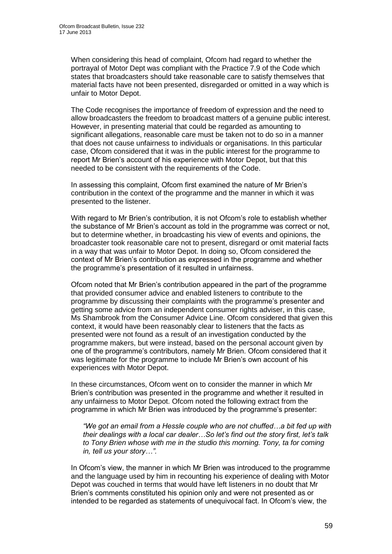When considering this head of complaint, Ofcom had regard to whether the portrayal of Motor Dept was compliant with the Practice 7.9 of the Code which states that broadcasters should take reasonable care to satisfy themselves that material facts have not been presented, disregarded or omitted in a way which is unfair to Motor Depot.

The Code recognises the importance of freedom of expression and the need to allow broadcasters the freedom to broadcast matters of a genuine public interest. However, in presenting material that could be regarded as amounting to significant allegations, reasonable care must be taken not to do so in a manner that does not cause unfairness to individuals or organisations. In this particular case, Ofcom considered that it was in the public interest for the programme to report Mr Brien's account of his experience with Motor Depot, but that this needed to be consistent with the requirements of the Code.

In assessing this complaint, Ofcom first examined the nature of Mr Brien's contribution in the context of the programme and the manner in which it was presented to the listener.

With regard to Mr Brien's contribution, it is not Ofcom's role to establish whether the substance of Mr Brien's account as told in the programme was correct or not, but to determine whether, in broadcasting his view of events and opinions, the broadcaster took reasonable care not to present, disregard or omit material facts in a way that was unfair to Motor Depot. In doing so, Ofcom considered the context of Mr Brien's contribution as expressed in the programme and whether the programme's presentation of it resulted in unfairness.

Ofcom noted that Mr Brien's contribution appeared in the part of the programme that provided consumer advice and enabled listeners to contribute to the programme by discussing their complaints with the programme's presenter and getting some advice from an independent consumer rights adviser, in this case, Ms Shambrook from the Consumer Advice Line. Ofcom considered that given this context, it would have been reasonably clear to listeners that the facts as presented were not found as a result of an investigation conducted by the programme makers, but were instead, based on the personal account given by one of the programme's contributors, namely Mr Brien. Ofcom considered that it was legitimate for the programme to include Mr Brien's own account of his experiences with Motor Depot.

In these circumstances, Ofcom went on to consider the manner in which Mr Brien's contribution was presented in the programme and whether it resulted in any unfairness to Motor Depot. Ofcom noted the following extract from the programme in which Mr Brien was introduced by the programme's presenter:

*"We got an email from a Hessle couple who are not chuffed…a bit fed up with their dealings with a local car dealer…So let's find out the story first, let's talk to Tony Brien whose with me in the studio this morning. Tony, ta for coming in, tell us your story…".* 

In Ofcom's view, the manner in which Mr Brien was introduced to the programme and the language used by him in recounting his experience of dealing with Motor Depot was couched in terms that would have left listeners in no doubt that Mr Brien's comments constituted his opinion only and were not presented as or intended to be regarded as statements of unequivocal fact. In Ofcom's view, the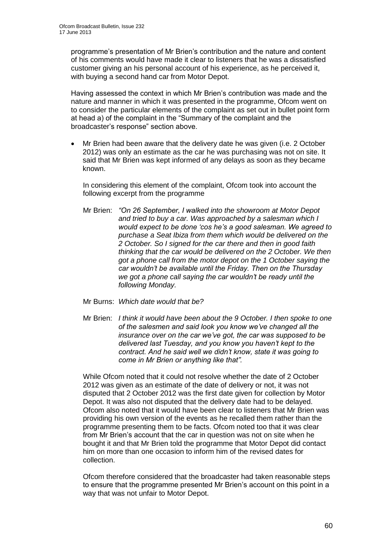programme's presentation of Mr Brien's contribution and the nature and content of his comments would have made it clear to listeners that he was a dissatisfied customer giving an his personal account of his experience, as he perceived it, with buying a second hand car from Motor Depot.

Having assessed the context in which Mr Brien's contribution was made and the nature and manner in which it was presented in the programme, Ofcom went on to consider the particular elements of the complaint as set out in bullet point form at head a) of the complaint in the "Summary of the complaint and the broadcaster's response" section above.

 Mr Brien had been aware that the delivery date he was given (i.e. 2 October 2012) was only an estimate as the car he was purchasing was not on site. It said that Mr Brien was kept informed of any delays as soon as they became known.

In considering this element of the complaint, Ofcom took into account the following excerpt from the programme

- Mr Brien: *"On 26 September, I walked into the showroom at Motor Depot and tried to buy a car. Was approached by a salesman which I would expect to be done 'cos he's a good salesman. We agreed to purchase a Seat Ibiza from them which would be delivered on the 2 October. So I signed for the car there and then in good faith thinking that the car would be delivered on the 2 October. We then got a phone call from the motor depot on the 1 October saying the car wouldn't be available until the Friday. Then on the Thursday we got a phone call saying the car wouldn't be ready until the following Monday.*
- Mr Burns: *Which date would that be?*
- Mr Brien: *I think it would have been about the 9 October. I then spoke to one of the salesmen and said look you know we've changed all the insurance over on the car we've got, the car was supposed to be delivered last Tuesday, and you know you haven't kept to the contract. And he said well we didn't know, state it was going to come in Mr Brien or anything like that".*

While Ofcom noted that it could not resolve whether the date of 2 October 2012 was given as an estimate of the date of delivery or not, it was not disputed that 2 October 2012 was the first date given for collection by Motor Depot. It was also not disputed that the delivery date had to be delayed. Ofcom also noted that it would have been clear to listeners that Mr Brien was providing his own version of the events as he recalled them rather than the programme presenting them to be facts. Ofcom noted too that it was clear from Mr Brien's account that the car in question was not on site when he bought it and that Mr Brien told the programme that Motor Depot did contact him on more than one occasion to inform him of the revised dates for collection.

Ofcom therefore considered that the broadcaster had taken reasonable steps to ensure that the programme presented Mr Brien's account on this point in a way that was not unfair to Motor Depot.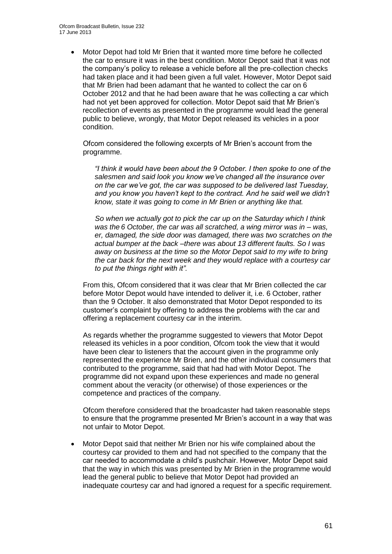Motor Depot had told Mr Brien that it wanted more time before he collected the car to ensure it was in the best condition. Motor Depot said that it was not the company's policy to release a vehicle before all the pre-collection checks had taken place and it had been given a full valet. However, Motor Depot said that Mr Brien had been adamant that he wanted to collect the car on 6 October 2012 and that he had been aware that he was collecting a car which had not yet been approved for collection. Motor Depot said that Mr Brien's recollection of events as presented in the programme would lead the general public to believe, wrongly, that Motor Depot released its vehicles in a poor condition.

Ofcom considered the following excerpts of Mr Brien's account from the programme.

*"I think it would have been about the 9 October. I then spoke to one of the salesmen and said look you know we've changed all the insurance over on the car we've got, the car was supposed to be delivered last Tuesday, and you know you haven't kept to the contract. And he said well we didn't know, state it was going to come in Mr Brien or anything like that.* 

*So when we actually got to pick the car up on the Saturday which I think was the 6 October, the car was all scratched, a wing mirror was in – was, er, damaged, the side door was damaged, there was two scratches on the actual bumper at the back –there was about 13 different faults. So I was away on business at the time so the Motor Depot said to my wife to bring the car back for the next week and they would replace with a courtesy car to put the things right with it".* 

From this, Ofcom considered that it was clear that Mr Brien collected the car before Motor Depot would have intended to deliver it, i.e. 6 October, rather than the 9 October. It also demonstrated that Motor Depot responded to its customer's complaint by offering to address the problems with the car and offering a replacement courtesy car in the interim.

As regards whether the programme suggested to viewers that Motor Depot released its vehicles in a poor condition, Ofcom took the view that it would have been clear to listeners that the account given in the programme only represented the experience Mr Brien, and the other individual consumers that contributed to the programme, said that had had with Motor Depot. The programme did not expand upon these experiences and made no general comment about the veracity (or otherwise) of those experiences or the competence and practices of the company.

Ofcom therefore considered that the broadcaster had taken reasonable steps to ensure that the programme presented Mr Brien's account in a way that was not unfair to Motor Depot.

 Motor Depot said that neither Mr Brien nor his wife complained about the courtesy car provided to them and had not specified to the company that the car needed to accommodate a child's pushchair. However, Motor Depot said that the way in which this was presented by Mr Brien in the programme would lead the general public to believe that Motor Depot had provided an inadequate courtesy car and had ignored a request for a specific requirement.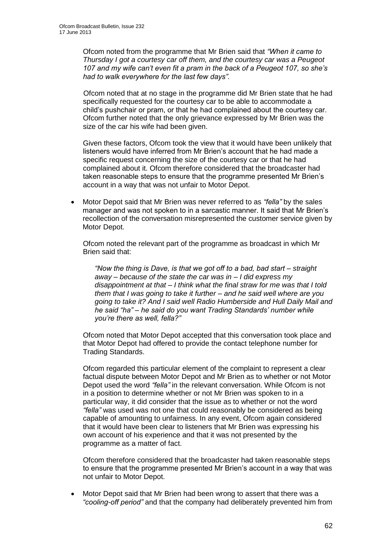Ofcom noted from the programme that Mr Brien said that *"When it came to Thursday I got a courtesy car off them, and the courtesy car was a Peugeot 107 and my wife can't even fit a pram in the back of a Peugeot 107, so she's had to walk everywhere for the last few days".*

Ofcom noted that at no stage in the programme did Mr Brien state that he had specifically requested for the courtesy car to be able to accommodate a child's pushchair or pram, or that he had complained about the courtesy car. Ofcom further noted that the only grievance expressed by Mr Brien was the size of the car his wife had been given.

Given these factors, Ofcom took the view that it would have been unlikely that listeners would have inferred from Mr Brien's account that he had made a specific request concerning the size of the courtesy car or that he had complained about it. Ofcom therefore considered that the broadcaster had taken reasonable steps to ensure that the programme presented Mr Brien's account in a way that was not unfair to Motor Depot.

 Motor Depot said that Mr Brien was never referred to as *"fella"* by the sales manager and was not spoken to in a sarcastic manner. It said that Mr Brien's recollection of the conversation misrepresented the customer service given by Motor Depot.

Ofcom noted the relevant part of the programme as broadcast in which Mr Brien said that:

*"Now the thing is Dave, is that we got off to a bad, bad start – straight away – because of the state the car was in – I did express my disappointment at that – I think what the final straw for me was that I told them that I was going to take it further – and he said well where are you going to take it? And I said well Radio Humberside and Hull Daily Mail and he said "ha" – he said do you want Trading Standards' number while you're there as well, fella?"*

Ofcom noted that Motor Depot accepted that this conversation took place and that Motor Depot had offered to provide the contact telephone number for Trading Standards.

Ofcom regarded this particular element of the complaint to represent a clear factual dispute between Motor Depot and Mr Brien as to whether or not Motor Depot used the word *"fella"* in the relevant conversation. While Ofcom is not in a position to determine whether or not Mr Brien was spoken to in a particular way, it did consider that the issue as to whether or not the word *"fella"* was used was not one that could reasonably be considered as being capable of amounting to unfairness. In any event, Ofcom again considered that it would have been clear to listeners that Mr Brien was expressing his own account of his experience and that it was not presented by the programme as a matter of fact.

Ofcom therefore considered that the broadcaster had taken reasonable steps to ensure that the programme presented Mr Brien's account in a way that was not unfair to Motor Depot.

 Motor Depot said that Mr Brien had been wrong to assert that there was a *"cooling-off period"* and that the company had deliberately prevented him from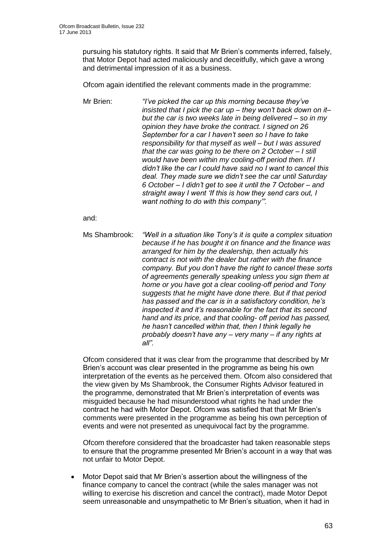pursuing his statutory rights. It said that Mr Brien's comments inferred, falsely, that Motor Depot had acted maliciously and deceitfully, which gave a wrong and detrimental impression of it as a business.

Ofcom again identified the relevant comments made in the programme:

Mr Brien: *"I've picked the car up this morning because they've insisted that I pick the car up – they won't back down on it– but the car is two weeks late in being delivered – so in my opinion they have broke the contract. I signed on 26 September for a car I haven't seen so I have to take responsibility for that myself as well – but I was assured that the car was going to be there on 2 October – I still would have been within my cooling-off period then. If I didn't like the car I could have said no I want to cancel this deal. They made sure we didn't see the car until Saturday 6 October – I didn't get to see it until the 7 October – and straight away I went 'If this is how they send cars out, I want nothing to do with this company'".*

and:

Ms Shambrook: *"Well in a situation like Tony's it is quite a complex situation because if he has bought it on finance and the finance was arranged for him by the dealership, then actually his contract is not with the dealer but rather with the finance company. But you don't have the right to cancel these sorts of agreements generally speaking unless you sign them at home or you have got a clear cooling-off period and Tony suggests that he might have done there. But if that period has passed and the car is in a satisfactory condition, he's inspected it and it's reasonable for the fact that its second hand and its price, and that cooling- off period has passed, he hasn't cancelled within that, then I think legally he probably doesn't have any – very many – if any rights at all".* 

Ofcom considered that it was clear from the programme that described by Mr Brien's account was clear presented in the programme as being his own interpretation of the events as he perceived them. Ofcom also considered that the view given by Ms Shambrook, the Consumer Rights Advisor featured in the programme, demonstrated that Mr Brien's interpretation of events was misguided because he had misunderstood what rights he had under the contract he had with Motor Depot. Ofcom was satisfied that that Mr Brien's comments were presented in the programme as being his own perception of events and were not presented as unequivocal fact by the programme.

Ofcom therefore considered that the broadcaster had taken reasonable steps to ensure that the programme presented Mr Brien's account in a way that was not unfair to Motor Depot.

 Motor Depot said that Mr Brien's assertion about the willingness of the finance company to cancel the contract (while the sales manager was not willing to exercise his discretion and cancel the contract), made Motor Depot seem unreasonable and unsympathetic to Mr Brien's situation, when it had in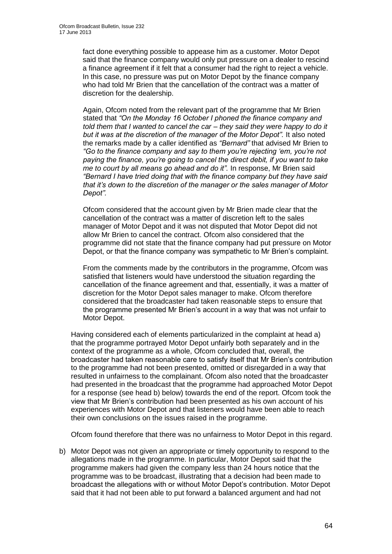fact done everything possible to appease him as a customer. Motor Depot said that the finance company would only put pressure on a dealer to rescind a finance agreement if it felt that a consumer had the right to reject a vehicle. In this case, no pressure was put on Motor Depot by the finance company who had told Mr Brien that the cancellation of the contract was a matter of discretion for the dealership.

Again, Ofcom noted from the relevant part of the programme that Mr Brien stated that *"On the Monday 16 October I phoned the finance company and told them that I wanted to cancel the car – they said they were happy to do it but it was at the discretion of the manager of the Motor Depot".* It also noted the remarks made by a caller identified as *"Bernard"* that advised Mr Brien to *"Go to the finance company and say to them you're rejecting 'em, you're not paying the finance, you're going to cancel the direct debit, if you want to take me to court by all means go ahead and do it".* In response, Mr Brien said *"Bernard I have tried doing that with the finance company but they have said that it's down to the discretion of the manager or the sales manager of Motor Depot".*

Ofcom considered that the account given by Mr Brien made clear that the cancellation of the contract was a matter of discretion left to the sales manager of Motor Depot and it was not disputed that Motor Depot did not allow Mr Brien to cancel the contract. Ofcom also considered that the programme did not state that the finance company had put pressure on Motor Depot, or that the finance company was sympathetic to Mr Brien's complaint.

From the comments made by the contributors in the programme, Ofcom was satisfied that listeners would have understood the situation regarding the cancellation of the finance agreement and that, essentially, it was a matter of discretion for the Motor Depot sales manager to make. Ofcom therefore considered that the broadcaster had taken reasonable steps to ensure that the programme presented Mr Brien's account in a way that was not unfair to Motor Depot.

Having considered each of elements particularized in the complaint at head a) that the programme portrayed Motor Depot unfairly both separately and in the context of the programme as a whole, Ofcom concluded that, overall, the broadcaster had taken reasonable care to satisfy itself that Mr Brien's contribution to the programme had not been presented, omitted or disregarded in a way that resulted in unfairness to the complainant. Ofcom also noted that the broadcaster had presented in the broadcast that the programme had approached Motor Depot for a response (see head b) below) towards the end of the report. Ofcom took the view that Mr Brien's contribution had been presented as his own account of his experiences with Motor Depot and that listeners would have been able to reach their own conclusions on the issues raised in the programme.

Ofcom found therefore that there was no unfairness to Motor Depot in this regard.

b) Motor Depot was not given an appropriate or timely opportunity to respond to the allegations made in the programme. In particular, Motor Depot said that the programme makers had given the company less than 24 hours notice that the programme was to be broadcast, illustrating that a decision had been made to broadcast the allegations with or without Motor Depot's contribution. Motor Depot said that it had not been able to put forward a balanced argument and had not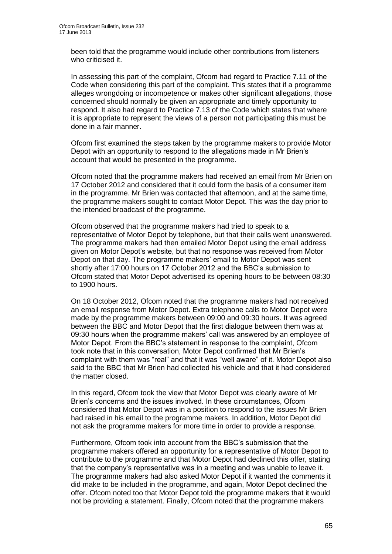been told that the programme would include other contributions from listeners who criticised it.

In assessing this part of the complaint, Ofcom had regard to Practice 7.11 of the Code when considering this part of the complaint. This states that if a programme alleges wrongdoing or incompetence or makes other significant allegations, those concerned should normally be given an appropriate and timely opportunity to respond. It also had regard to Practice 7.13 of the Code which states that where it is appropriate to represent the views of a person not participating this must be done in a fair manner.

Ofcom first examined the steps taken by the programme makers to provide Motor Depot with an opportunity to respond to the allegations made in Mr Brien's account that would be presented in the programme.

Ofcom noted that the programme makers had received an email from Mr Brien on 17 October 2012 and considered that it could form the basis of a consumer item in the programme. Mr Brien was contacted that afternoon, and at the same time, the programme makers sought to contact Motor Depot. This was the day prior to the intended broadcast of the programme.

Ofcom observed that the programme makers had tried to speak to a representative of Motor Depot by telephone, but that their calls went unanswered. The programme makers had then emailed Motor Depot using the email address given on Motor Depot's website, but that no response was received from Motor Depot on that day. The programme makers' email to Motor Depot was sent shortly after 17:00 hours on 17 October 2012 and the BBC's submission to Ofcom stated that Motor Depot advertised its opening hours to be between 08:30 to 1900 hours.

On 18 October 2012, Ofcom noted that the programme makers had not received an email response from Motor Depot. Extra telephone calls to Motor Depot were made by the programme makers between 09:00 and 09:30 hours. It was agreed between the BBC and Motor Depot that the first dialogue between them was at 09:30 hours when the programme makers' call was answered by an employee of Motor Depot. From the BBC's statement in response to the complaint, Ofcom took note that in this conversation, Motor Depot confirmed that Mr Brien's complaint with them was "real" and that it was "well aware" of it. Motor Depot also said to the BBC that Mr Brien had collected his vehicle and that it had considered the matter closed.

In this regard, Ofcom took the view that Motor Depot was clearly aware of Mr Brien's concerns and the issues involved. In these circumstances, Ofcom considered that Motor Depot was in a position to respond to the issues Mr Brien had raised in his email to the programme makers. In addition, Motor Depot did not ask the programme makers for more time in order to provide a response.

Furthermore, Ofcom took into account from the BBC's submission that the programme makers offered an opportunity for a representative of Motor Depot to contribute to the programme and that Motor Depot had declined this offer, stating that the company's representative was in a meeting and was unable to leave it. The programme makers had also asked Motor Depot if it wanted the comments it did make to be included in the programme, and again, Motor Depot declined the offer. Ofcom noted too that Motor Depot told the programme makers that it would not be providing a statement. Finally, Ofcom noted that the programme makers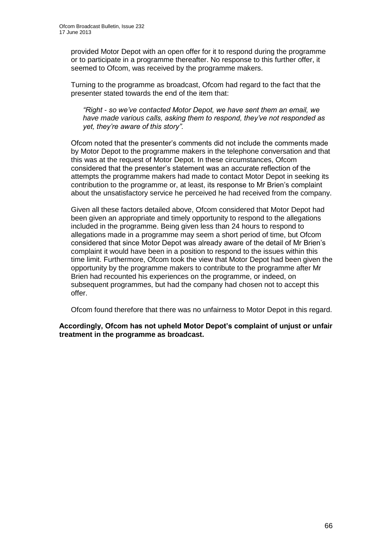provided Motor Depot with an open offer for it to respond during the programme or to participate in a programme thereafter. No response to this further offer, it seemed to Ofcom, was received by the programme makers.

Turning to the programme as broadcast, Ofcom had regard to the fact that the presenter stated towards the end of the item that:

*"Right - so we've contacted Motor Depot, we have sent them an email, we have made various calls, asking them to respond, they've not responded as yet, they're aware of this story".*

Ofcom noted that the presenter's comments did not include the comments made by Motor Depot to the programme makers in the telephone conversation and that this was at the request of Motor Depot. In these circumstances, Ofcom considered that the presenter's statement was an accurate reflection of the attempts the programme makers had made to contact Motor Depot in seeking its contribution to the programme or, at least, its response to Mr Brien's complaint about the unsatisfactory service he perceived he had received from the company.

Given all these factors detailed above, Ofcom considered that Motor Depot had been given an appropriate and timely opportunity to respond to the allegations included in the programme. Being given less than 24 hours to respond to allegations made in a programme may seem a short period of time, but Ofcom considered that since Motor Depot was already aware of the detail of Mr Brien's complaint it would have been in a position to respond to the issues within this time limit. Furthermore, Ofcom took the view that Motor Depot had been given the opportunity by the programme makers to contribute to the programme after Mr Brien had recounted his experiences on the programme, or indeed, on subsequent programmes, but had the company had chosen not to accept this offer.

Ofcom found therefore that there was no unfairness to Motor Depot in this regard.

**Accordingly, Ofcom has not upheld Motor Depot's complaint of unjust or unfair treatment in the programme as broadcast.**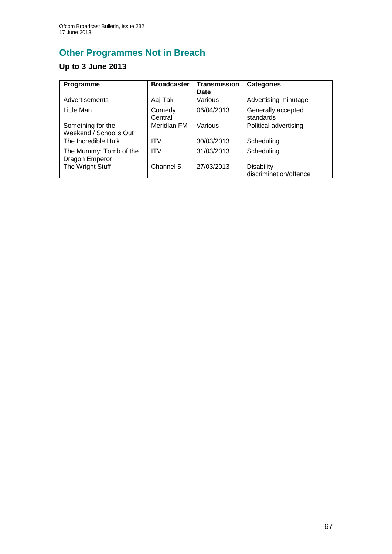# **Other Programmes Not in Breach**

## **Up to 3 June 2013**

| Programme                                   | <b>Broadcaster</b> | <b>Transmission</b><br><b>Date</b> | <b>Categories</b>                           |
|---------------------------------------------|--------------------|------------------------------------|---------------------------------------------|
| Advertisements                              | Aaj Tak            | Various                            | Advertising minutage                        |
| Little Man                                  | Comedy<br>Central  | 06/04/2013                         | Generally accepted<br>standards             |
| Something for the<br>Weekend / School's Out | Meridian FM        | Various                            | Political advertising                       |
| The Incredible Hulk                         | <b>ITV</b>         | 30/03/2013                         | Scheduling                                  |
| The Mummy: Tomb of the<br>Dragon Emperor    | <b>ITV</b>         | 31/03/2013                         | Scheduling                                  |
| The Wright Stuff                            | Channel 5          | 27/03/2013                         | <b>Disability</b><br>discrimination/offence |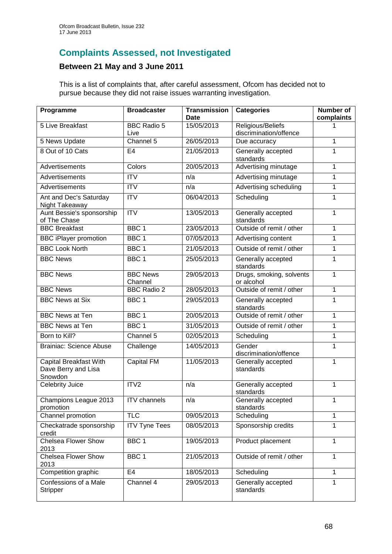## **Complaints Assessed, not Investigated**

### **Between 21 May and 3 June 2011**

This is a list of complaints that, after careful assessment, Ofcom has decided not to pursue because they did not raise issues warranting investigation.

| Programme                                                | <b>Broadcaster</b>         | <b>Transmission</b><br>Date | <b>Categories</b>                           | <b>Number of</b><br>complaints |
|----------------------------------------------------------|----------------------------|-----------------------------|---------------------------------------------|--------------------------------|
| 5 Live Breakfast                                         | <b>BBC Radio 5</b><br>Live | 15/05/2013                  | Religious/Beliefs<br>discrimination/offence |                                |
| 5 News Update                                            | Channel 5                  | 26/05/2013                  | Due accuracy                                | 1                              |
| 8 Out of 10 Cats                                         | E <sub>4</sub>             | 21/05/2013                  | Generally accepted<br>standards             | 1                              |
| Advertisements                                           | Colors                     | 20/05/2013                  | Advertising minutage                        | 1                              |
| Advertisements                                           | <b>ITV</b>                 | n/a                         | Advertising minutage                        | $\mathbf{1}$                   |
| Advertisements                                           | $\overline{\mathsf{ITV}}$  | n/a                         | Advertising scheduling                      | 1                              |
| Ant and Dec's Saturday<br>Night Takeaway                 | <b>ITV</b>                 | 06/04/2013                  | Scheduling                                  | 1                              |
| Aunt Bessie's sponsorship<br>of The Chase                | $\overline{\mathsf{ITV}}$  | 13/05/2013                  | Generally accepted<br>standards             | 1                              |
| <b>BBC Breakfast</b>                                     | BBC <sub>1</sub>           | 23/05/2013                  | Outside of remit / other                    | 1                              |
| <b>BBC iPlayer promotion</b>                             | BBC <sub>1</sub>           | 07/05/2013                  | Advertising content                         | 1                              |
| <b>BBC Look North</b>                                    | BBC <sub>1</sub>           | 21/05/2013                  | Outside of remit / other                    | 1                              |
| <b>BBC News</b>                                          | BBC <sub>1</sub>           | 25/05/2013                  | Generally accepted<br>standards             | 1                              |
| <b>BBC News</b>                                          | <b>BBC News</b><br>Channel | 29/05/2013                  | Drugs, smoking, solvents<br>or alcohol      | 1                              |
| <b>BBC News</b>                                          | <b>BBC Radio 2</b>         | 28/05/2013                  | Outside of remit / other                    | 1                              |
| <b>BBC News at Six</b>                                   | BBC <sub>1</sub>           | 29/05/2013                  | Generally accepted<br>standards             | 1                              |
| <b>BBC News at Ten</b>                                   | BBC <sub>1</sub>           | 20/05/2013                  | Outside of remit / other                    | 1                              |
| <b>BBC News at Ten</b>                                   | BBC <sub>1</sub>           | 31/05/2013                  | Outside of remit / other                    | 1                              |
| Born to Kill?                                            | Channel 5                  | 02/05/2013                  | Scheduling                                  | 1                              |
| <b>Brainiac: Science Abuse</b>                           | Challenge                  | 14/05/2013                  | Gender<br>discrimination/offence            | 1                              |
| Capital Breakfast With<br>Dave Berry and Lisa<br>Snowdon | Capital FM                 | 11/05/2013                  | Generally accepted<br>standards             | 1                              |
| <b>Celebrity Juice</b>                                   | ITV <sub>2</sub>           | n/a                         | Generally accepted<br>standards             | 1                              |
| Champions League 2013<br>promotion                       | <b>ITV</b> channels        | n/a                         | Generally accepted<br>standards             | 1                              |
| Channel promotion                                        | <b>TLC</b>                 | 09/05/2013                  | Scheduling                                  | 1                              |
| Checkatrade sponsorship<br>credit                        | <b>ITV Tyne Tees</b>       | 08/05/2013                  | Sponsorship credits                         | 1                              |
| <b>Chelsea Flower Show</b><br>2013                       | BBC <sub>1</sub>           | 19/05/2013                  | Product placement                           | 1                              |
| <b>Chelsea Flower Show</b><br>2013                       | BBC <sub>1</sub>           | 21/05/2013                  | Outside of remit / other                    | 1                              |
| Competition graphic                                      | E <sub>4</sub>             | 18/05/2013                  | Scheduling                                  | 1                              |
| Confessions of a Male<br>Stripper                        | Channel 4                  | 29/05/2013                  | Generally accepted<br>standards             | 1                              |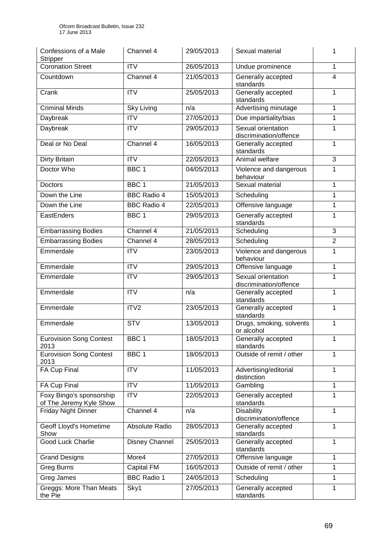| Confessions of a Male<br><b>Stripper</b>            | Channel 4               | 29/05/2013 | Sexual material                              | 1              |
|-----------------------------------------------------|-------------------------|------------|----------------------------------------------|----------------|
| <b>Coronation Street</b>                            | <b>ITV</b>              | 26/05/2013 | Undue prominence                             | $\mathbf{1}$   |
| Countdown                                           | Channel 4               | 21/05/2013 | Generally accepted<br>standards              | $\overline{4}$ |
| Crank                                               | <b>ITV</b>              | 25/05/2013 | Generally accepted<br>standards              | $\mathbf{1}$   |
| <b>Criminal Minds</b>                               | <b>Sky Living</b>       | n/a        | Advertising minutage                         | 1              |
| Daybreak                                            | <b>ITV</b>              | 27/05/2013 | Due impartiality/bias                        | $\mathbf{1}$   |
| Daybreak                                            | $\overline{ITV}$        | 29/05/2013 | Sexual orientation<br>discrimination/offence | 1              |
| Deal or No Deal                                     | Channel 4               | 16/05/2013 | Generally accepted<br>standards              | $\mathbf{1}$   |
| Dirty Britain                                       | $\overline{\text{ITV}}$ | 22/05/2013 | Animal welfare                               | $\overline{3}$ |
| Doctor Who                                          | BBC <sub>1</sub>        | 04/05/2013 | Violence and dangerous<br>behaviour          | $\mathbf{1}$   |
| Doctors                                             | BBC <sub>1</sub>        | 21/05/2013 | Sexual material                              | $\mathbf{1}$   |
| Down the Line                                       | <b>BBC Radio 4</b>      | 15/05/2013 | Scheduling                                   | $\mathbf{1}$   |
| Down the Line                                       | <b>BBC Radio 4</b>      | 22/05/2013 | Offensive language                           | $\mathbf{1}$   |
| EastEnders                                          | BBC <sub>1</sub>        | 29/05/2013 | Generally accepted<br>standards              | 1              |
| <b>Embarrassing Bodies</b>                          | Channel 4               | 21/05/2013 | Scheduling                                   | $\overline{3}$ |
| <b>Embarrassing Bodies</b>                          | Channel 4               | 28/05/2013 | Scheduling                                   | $\overline{2}$ |
| Emmerdale                                           | <b>ITV</b>              | 23/05/2013 | Violence and dangerous<br>behaviour          | $\mathbf{1}$   |
| Emmerdale                                           | <b>ITV</b>              | 29/05/2013 | Offensive language                           | $\mathbf{1}$   |
| Emmerdale                                           | <b>ITV</b>              | 29/05/2013 | Sexual orientation<br>discrimination/offence | 1              |
| Emmerdale                                           | <b>ITV</b>              | n/a        | Generally accepted<br>standards              | 1              |
| Emmerdale                                           | ITV <sub>2</sub>        | 23/05/2013 | Generally accepted<br>standards              | $\mathbf{1}$   |
| Emmerdale                                           | <b>STV</b>              | 13/05/2013 | Drugs, smoking, solvents<br>or alcohol       | $\mathbf{1}$   |
| <b>Eurovision Song Contest</b><br>2013              | BBC 1                   | 18/05/2013 | Generally accepted<br>standards              | 1              |
| <b>Eurovision Song Contest</b><br>2013              | BBC <sub>1</sub>        | 18/05/2013 | Outside of remit / other                     | 1              |
| FA Cup Final                                        | <b>ITV</b>              | 11/05/2013 | Advertising/editorial<br>distinction         | 1              |
| <b>FA Cup Final</b>                                 | <b>ITV</b>              | 11/05/2013 | Gambling                                     | $\mathbf{1}$   |
| Foxy Bingo's sponsorship<br>of The Jeremy Kyle Show | <b>ITV</b>              | 22/05/2013 | Generally accepted<br>standards              | 1              |
| Friday Night Dinner                                 | Channel 4               | n/a        | <b>Disability</b><br>discrimination/offence  | $\mathbf{1}$   |
| Geoff Lloyd's Hometime<br>Show                      | Absolute Radio          | 28/05/2013 | Generally accepted<br>standards              | 1              |
| Good Luck Charlie                                   | Disney Channel          | 25/05/2013 | Generally accepted<br>standards              | 1              |
| <b>Grand Designs</b>                                | More4                   | 27/05/2013 | Offensive language                           | $\mathbf{1}$   |
| <b>Greg Burns</b>                                   | Capital FM              | 16/05/2013 | Outside of remit / other                     | 1              |
| Greg James                                          | <b>BBC Radio 1</b>      | 24/05/2013 | Scheduling                                   | 1              |
| Greggs: More Than Meats<br>the Pie                  | Sky1                    | 27/05/2013 | Generally accepted<br>standards              | 1              |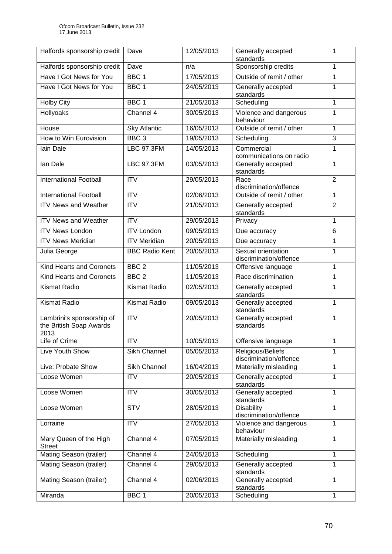| Halfords sponsorship credit                                  | Dave                  | 12/05/2013 | Generally accepted<br>standards              | 1              |
|--------------------------------------------------------------|-----------------------|------------|----------------------------------------------|----------------|
| Halfords sponsorship credit                                  | Dave                  | n/a        | Sponsorship credits                          | 1              |
| Have I Got News for You                                      | BBC <sub>1</sub>      | 17/05/2013 | Outside of remit / other                     | 1              |
| Have I Got News for You                                      | BBC <sub>1</sub>      | 24/05/2013 | Generally accepted<br>standards              | $\mathbf{1}$   |
| <b>Holby City</b>                                            | BBC <sub>1</sub>      | 21/05/2013 | Scheduling                                   | 1              |
| <b>Hollyoaks</b>                                             | Channel 4             | 30/05/2013 | Violence and dangerous<br>behaviour          | 1              |
| House                                                        | <b>Sky Atlantic</b>   | 16/05/2013 | Outside of remit / other                     | 1              |
| How to Win Eurovision                                        | BBC <sub>3</sub>      | 19/05/2013 | Scheduling                                   | $\overline{3}$ |
| lain Dale                                                    | <b>LBC 97.3FM</b>     | 14/05/2013 | Commercial<br>communications on radio        | 1              |
| lan Dale                                                     | <b>LBC 97.3FM</b>     | 03/05/2013 | Generally accepted<br>standards              | 1              |
| <b>International Football</b>                                | <b>ITV</b>            | 29/05/2013 | Race<br>discrimination/offence               | $\overline{2}$ |
| <b>International Football</b>                                | $\overline{IV}$       | 02/06/2013 | Outside of remit / other                     | $\mathbf{1}$   |
| <b>ITV News and Weather</b>                                  | <b>ITV</b>            | 21/05/2013 | Generally accepted<br>standards              | $\overline{2}$ |
| <b>ITV News and Weather</b>                                  | $\overline{IV}$       | 29/05/2013 | Privacy                                      | $\mathbf{1}$   |
| <b>ITV News London</b>                                       | <b>ITV London</b>     | 09/05/2013 | Due accuracy                                 | 6              |
| <b>ITV News Meridian</b>                                     | <b>ITV Meridian</b>   | 20/05/2013 | Due accuracy                                 | $\mathbf{1}$   |
| Julia George                                                 | <b>BBC Radio Kent</b> | 20/05/2013 | Sexual orientation<br>discrimination/offence | 1              |
| Kind Hearts and Coronets                                     | BBC <sub>2</sub>      | 11/05/2013 | Offensive language                           | $\mathbf{1}$   |
| Kind Hearts and Coronets                                     | BBC <sub>2</sub>      | 11/05/2013 | Race discrimination                          | $\mathbf{1}$   |
| <b>Kismat Radio</b>                                          | <b>Kismat Radio</b>   | 02/05/2013 | Generally accepted<br>standards              | 1              |
| <b>Kismat Radio</b>                                          | <b>Kismat Radio</b>   | 09/05/2013 | Generally accepted<br>standards              | 1              |
| Lambrini's sponsorship of<br>the British Soap Awards<br>2013 | <b>ITV</b>            | 20/05/2013 | Generally accepted<br>standards              | 1              |
| Life of Crime                                                | <b>ITV</b>            | 10/05/2013 | Offensive language                           | $\mathbf{1}$   |
| Live Youth Show                                              | Sikh Channel          | 05/05/2013 | Religious/Beliefs<br>discrimination/offence  | 1              |
| Live: Probate Show                                           | Sikh Channel          | 16/04/2013 | Materially misleading                        | $\mathbf{1}$   |
| Loose Women                                                  | <b>ITV</b>            | 20/05/2013 | Generally accepted<br>standards              | 1              |
| Loose Women                                                  | <b>ITV</b>            | 30/05/2013 | Generally accepted<br>standards              | 1              |
| Loose Women                                                  | <b>STV</b>            | 28/05/2013 | <b>Disability</b><br>discrimination/offence  | $\mathbf{1}$   |
| Lorraine                                                     | <b>ITV</b>            | 27/05/2013 | Violence and dangerous<br>behaviour          | 1              |
| Mary Queen of the High<br><b>Street</b>                      | Channel 4             | 07/05/2013 | Materially misleading                        | $\mathbf{1}$   |
| Mating Season (trailer)                                      | Channel 4             | 24/05/2013 | Scheduling                                   | 1              |
| Mating Season (trailer)                                      | Channel 4             | 29/05/2013 | Generally accepted<br>standards              | 1              |
| Mating Season (trailer)                                      | Channel 4             | 02/06/2013 | Generally accepted<br>standards              | 1              |
| Miranda                                                      | BBC 1                 | 20/05/2013 | Scheduling                                   | 1              |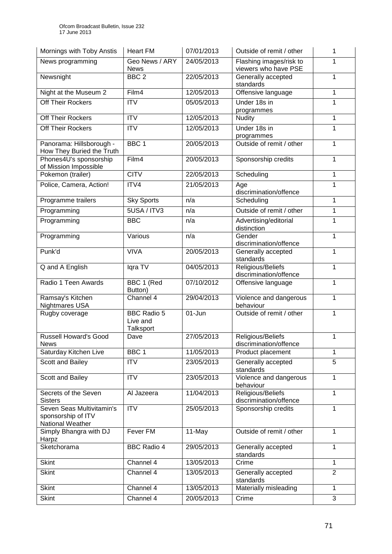| Mornings with Toby Anstis                                           | <b>Heart FM</b>                             | 07/01/2013 | Outside of remit / other                        | 1              |
|---------------------------------------------------------------------|---------------------------------------------|------------|-------------------------------------------------|----------------|
| News programming                                                    | Geo News / ARY<br><b>News</b>               | 24/05/2013 | Flashing images/risk to<br>viewers who have PSE | 1              |
| Newsnight                                                           | BBC <sub>2</sub>                            | 22/05/2013 | Generally accepted<br>standards                 | 1              |
| Night at the Museum 2                                               | Film4                                       | 12/05/2013 | Offensive language                              | 1              |
| Off Their Rockers                                                   | <b>ITV</b>                                  | 05/05/2013 | Under 18s in<br>programmes                      | 1              |
| Off Their Rockers                                                   | <b>ITV</b>                                  | 12/05/2013 | <b>Nudity</b>                                   | $\mathbf{1}$   |
| <b>Off Their Rockers</b>                                            | $\overline{ITV}$                            | 12/05/2013 | Under 18s in<br>programmes                      | 1              |
| Panorama: Hillsborough -<br>How They Buried the Truth               | BBC <sub>1</sub>                            | 20/05/2013 | Outside of remit / other                        | 1              |
| Phones4U's sponsorship<br>of Mission Impossible                     | Film4                                       | 20/05/2013 | Sponsorship credits                             | 1              |
| Pokemon (trailer)                                                   | <b>CITV</b>                                 | 22/05/2013 | Scheduling                                      | 1              |
| Police, Camera, Action!                                             | ITV4                                        | 21/05/2013 | Age<br>discrimination/offence                   | 1              |
| Programme trailers                                                  | <b>Sky Sports</b>                           | n/a        | Scheduling                                      | 1              |
| Programming                                                         | 5USA / ITV3                                 | n/a        | Outside of remit / other                        | $\mathbf{1}$   |
| Programming                                                         | <b>BBC</b>                                  | n/a        | Advertising/editorial<br>distinction            | $\mathbf{1}$   |
| Programming                                                         | Various                                     | n/a        | Gender<br>discrimination/offence                | 1              |
| Punk'd                                                              | <b>VIVA</b>                                 | 20/05/2013 | Generally accepted<br>standards                 | 1              |
| Q and A English                                                     | Iqra TV                                     | 04/05/2013 | Religious/Beliefs<br>discrimination/offence     | $\mathbf{1}$   |
| Radio 1 Teen Awards                                                 | BBC 1 (Red<br>Button)                       | 07/10/2012 | Offensive language                              | 1              |
| Ramsay's Kitchen<br>Nightmares USA                                  | Channel $\overline{4}$                      | 29/04/2013 | Violence and dangerous<br>behaviour             | 1              |
| Rugby coverage                                                      | <b>BBC Radio 5</b><br>Live and<br>Talksport | $01 - Jun$ | Outside of remit / other                        | 1              |
| <b>Russell Howard's Good</b><br><b>News</b>                         | Dave                                        | 27/05/2013 | Religious/Beliefs<br>discrimination/offence     | 1              |
| Saturday Kitchen Live                                               | BBC <sub>1</sub>                            | 11/05/2013 | Product placement                               | $\mathbf{1}$   |
| Scott and Bailey                                                    | <b>ITV</b>                                  | 23/05/2013 | Generally accepted<br>standards                 | 5              |
| Scott and Bailey                                                    | <b>ITV</b>                                  | 23/05/2013 | Violence and dangerous<br>behaviour             | 1              |
| Secrets of the Seven<br><b>Sisters</b>                              | Al Jazeera                                  | 11/04/2013 | Religious/Beliefs<br>discrimination/offence     | 1              |
| Seven Seas Multivitamin's<br>sponsorship of ITV<br>National Weather | <b>ITV</b>                                  | 25/05/2013 | Sponsorship credits                             | 1              |
| Simply Bhangra with DJ<br>Harpz                                     | Fever FM                                    | 11-May     | Outside of remit / other                        | $\mathbf{1}$   |
| Sketchorama                                                         | <b>BBC Radio 4</b>                          | 29/05/2013 | Generally accepted<br>standards                 | 1              |
| <b>Skint</b>                                                        | Channel 4                                   | 13/05/2013 | Crime                                           | $\mathbf{1}$   |
| <b>Skint</b>                                                        | Channel 4                                   | 13/05/2013 | Generally accepted<br>standards                 | $\overline{2}$ |
| <b>Skint</b>                                                        | Channel 4                                   | 13/05/2013 | Materially misleading                           | $\mathbf{1}$   |
| <b>Skint</b>                                                        | Channel 4                                   | 20/05/2013 | Crime                                           | 3              |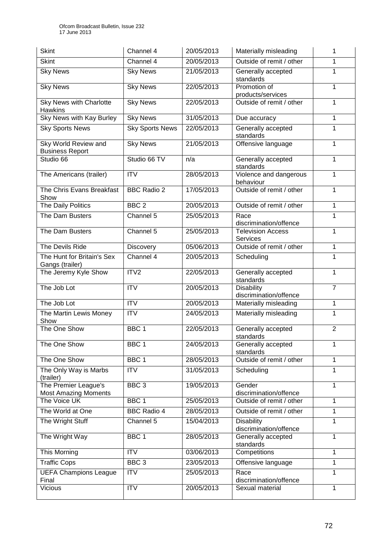| <b>Skint</b>                                        | Channel 4              | 20/05/2013 | Materially misleading                       | 1              |
|-----------------------------------------------------|------------------------|------------|---------------------------------------------|----------------|
| <b>Skint</b>                                        | Channel 4              | 20/05/2013 | Outside of remit / other                    | 1              |
| <b>Sky News</b>                                     | <b>Sky News</b>        | 21/05/2013 | Generally accepted<br>standards             | 1              |
| <b>Sky News</b>                                     | <b>Sky News</b>        | 22/05/2013 | Promotion of<br>products/services           | $\mathbf{1}$   |
| Sky News with Charlotte<br><b>Hawkins</b>           | <b>Sky News</b>        | 22/05/2013 | Outside of remit / other                    | 1              |
| <b>Sky News with Kay Burley</b>                     | <b>Sky News</b>        | 31/05/2013 | Due accuracy                                | 1              |
| <b>Sky Sports News</b>                              | <b>Sky Sports News</b> | 22/05/2013 | Generally accepted<br>standards             | 1              |
| Sky World Review and<br><b>Business Report</b>      | <b>Sky News</b>        | 21/05/2013 | Offensive language                          | 1              |
| Studio 66                                           | Studio 66 TV           | n/a        | Generally accepted<br>standards             | $\mathbf{1}$   |
| The Americans (trailer)                             | <b>ITV</b>             | 28/05/2013 | Violence and dangerous<br>behaviour         | $\mathbf{1}$   |
| The Chris Evans Breakfast<br>Show                   | <b>BBC Radio 2</b>     | 17/05/2013 | Outside of remit / other                    | $\mathbf{1}$   |
| <b>The Daily Politics</b>                           | BBC <sub>2</sub>       | 20/05/2013 | Outside of remit / other                    | $\mathbf{1}$   |
| The Dam Busters                                     | Channel 5              | 25/05/2013 | Race<br>discrimination/offence              | 1              |
| The Dam Busters                                     | Channel 5              | 25/05/2013 | <b>Television Access</b><br><b>Services</b> | 1              |
| The Devils Ride                                     | Discovery              | 05/06/2013 | Outside of remit / other                    | $\mathbf{1}$   |
| The Hunt for Britain's Sex<br>Gangs (trailer)       | Channel 4              | 20/05/2013 | Scheduling                                  | $\mathbf{1}$   |
| The Jeremy Kyle Show                                | ITV <sub>2</sub>       | 22/05/2013 | Generally accepted<br>standards             | $\mathbf{1}$   |
| The Job Lot                                         | <b>ITV</b>             | 20/05/2013 | <b>Disability</b><br>discrimination/offence | $\overline{7}$ |
| The Job Lot                                         | $\overline{IV}$        | 20/05/2013 | Materially misleading                       | $\mathbf{1}$   |
| The Martin Lewis Money<br>Show                      | <b>ITV</b>             | 24/05/2013 | Materially misleading                       | 1              |
| The One Show                                        | BBC <sub>1</sub>       | 22/05/2013 | Generally accepted<br>standards             | $\overline{2}$ |
| The One Show                                        | BBC <sub>1</sub>       | 24/05/2013 | Generally accepted<br>standards             | 1              |
| The One Show                                        | BBC <sub>1</sub>       | 28/05/2013 | Outside of remit / other                    | $\mathbf{1}$   |
| The Only Way is Marbs<br>(trailer)                  | <b>ITV</b>             | 31/05/2013 | Scheduling                                  | 1              |
| The Premier League's<br><b>Most Amazing Moments</b> | BBC <sub>3</sub>       | 19/05/2013 | Gender<br>discrimination/offence            | $\mathbf{1}$   |
| The Voice UK                                        | BBC <sub>1</sub>       | 25/05/2013 | Outside of remit / other                    | 1              |
| The World at One                                    | <b>BBC Radio 4</b>     | 28/05/2013 | Outside of remit / other                    | $\mathbf{1}$   |
| The Wright Stuff                                    | Channel 5              | 15/04/2013 | <b>Disability</b><br>discrimination/offence | 1              |
| The Wright Way                                      | BBC <sub>1</sub>       | 28/05/2013 | Generally accepted<br>standards             | $\mathbf{1}$   |
| This Morning                                        | <b>ITV</b>             | 03/06/2013 | Competitions                                | 1              |
| <b>Traffic Cops</b>                                 | BBC <sub>3</sub>       | 23/05/2013 | Offensive language                          | $\mathbf{1}$   |
| <b>UEFA Champions League</b><br>Final               | <b>ITV</b>             | 25/05/2013 | Race<br>discrimination/offence              | 1              |
| Vicious                                             | ITV                    | 20/05/2013 | Sexual material                             | $\mathbf{1}$   |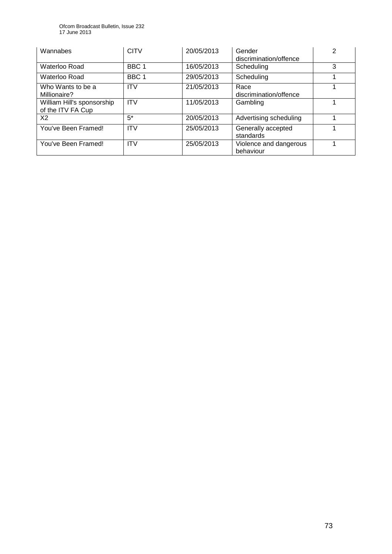Ofcom Broadcast Bulletin, Issue 232 17 June 2013

| Wannabes                                        | <b>CITV</b>      | 20/05/2013 | Gender<br>discrimination/offence    | 2 |
|-------------------------------------------------|------------------|------------|-------------------------------------|---|
| Waterloo Road                                   | BBC <sub>1</sub> | 16/05/2013 | Scheduling                          | 3 |
| Waterloo Road                                   | BBC <sub>1</sub> | 29/05/2013 | Scheduling                          |   |
| Who Wants to be a<br>Millionaire?               | <b>ITV</b>       | 21/05/2013 | Race<br>discrimination/offence      |   |
| William Hill's sponsorship<br>of the ITV FA Cup | <b>ITV</b>       | 11/05/2013 | Gambling                            |   |
| X <sub>2</sub>                                  | $5^*$            | 20/05/2013 | Advertising scheduling              |   |
| You've Been Framed!                             | <b>ITV</b>       | 25/05/2013 | Generally accepted<br>standards     |   |
| You've Been Framed!                             | <b>ITV</b>       | 25/05/2013 | Violence and dangerous<br>behaviour |   |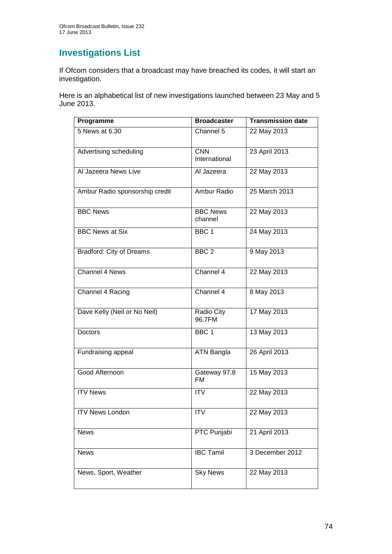## **Investigations List**

If Ofcom considers that a broadcast may have breached its codes, it will start an investigation.

Here is an alphabetical list of new investigations launched between 23 May and 5 June 2013.

| Programme                       | <b>Broadcaster</b>          | <b>Transmission date</b> |
|---------------------------------|-----------------------------|--------------------------|
| 5 News at 6.30                  | Channel 5                   | 22 May 2013              |
| Advertising scheduling          | <b>CNN</b><br>International | 23 April 2013            |
| Al Jazeera News Live            | Al Jazeera                  | 22 May 2013              |
| Ambur Radio sponsorship credit  | Ambur Radio                 | 25 March 2013            |
| <b>BBC News</b>                 | <b>BBC News</b><br>channel  | 22 May 2013              |
| <b>BBC News at Six</b>          | BBC 1                       | 24 May 2013              |
| <b>Bradford: City of Dreams</b> | BBC <sub>2</sub>            | 9 May 2013               |
| <b>Channel 4 News</b>           | Channel 4                   | 22 May 2013              |
| Channel 4 Racing                | Channel 4                   | 8 May 2013               |
| Dave Kelly (Neil or No Neil)    | Radio City<br>96.7FM        | 17 May 2013              |
| <b>Doctors</b>                  | BBC <sub>1</sub>            | 13 May 2013              |
| Fundraising appeal              | ATN Bangla                  | 26 April 2013            |
| Good Afternoon                  | Gateway 97.8<br><b>FM</b>   | 15 May 2013              |
| <b>ITV News</b>                 | <b>ITV</b>                  | 22 May 2013              |
| <b>ITV News London</b>          | <b>ITV</b>                  | 22 May 2013              |
| <b>News</b>                     | <b>PTC Punjabi</b>          | 21 April 2013            |
| <b>News</b>                     | <b>IBC Tamil</b>            | 3 December 2012          |
| News, Sport, Weather            | <b>Sky News</b>             | 22 May 2013              |